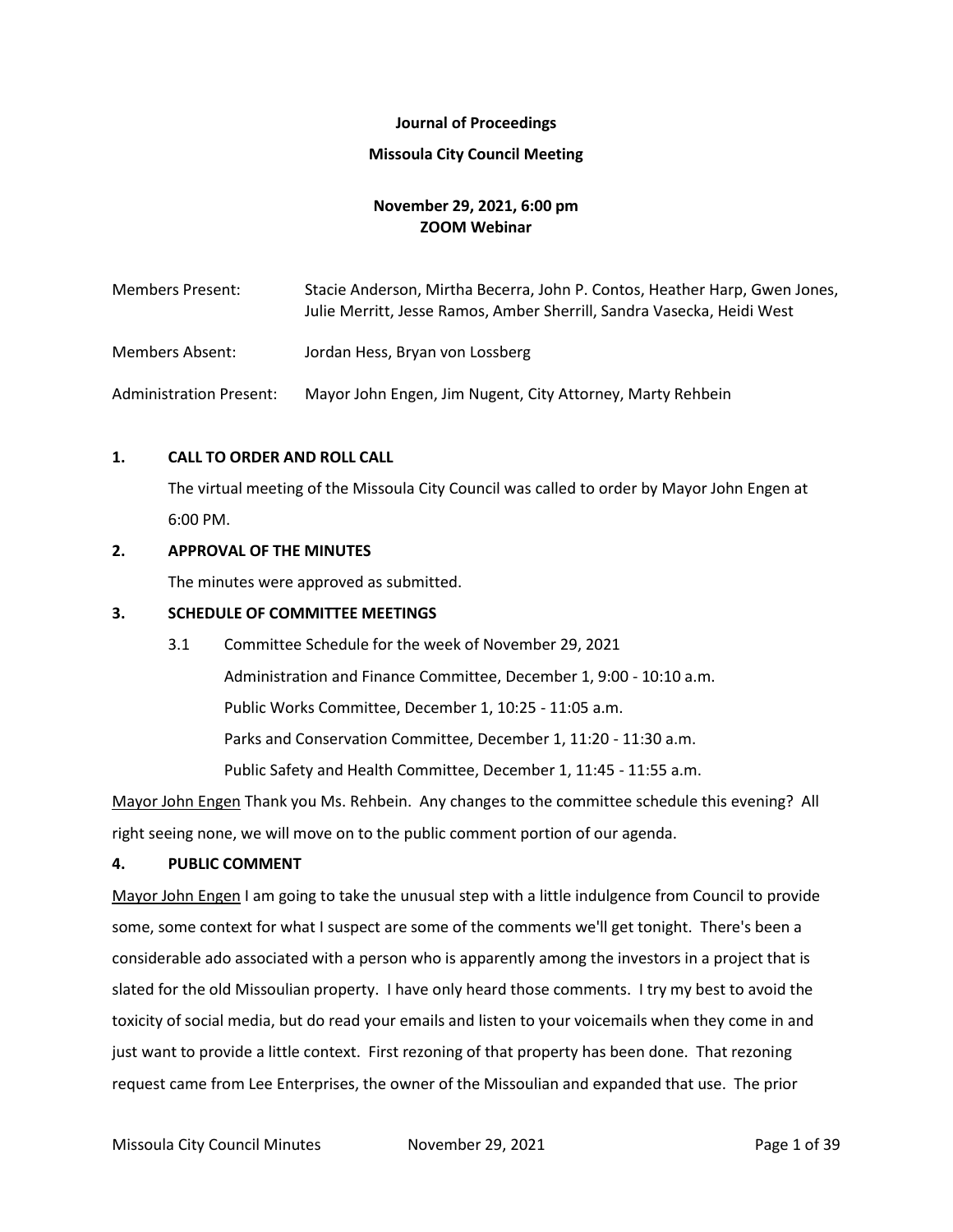# **Journal of Proceedings**

### **Missoula City Council Meeting**

# **November 29, 2021, 6:00 pm ZOOM Webinar**

Members Present: Stacie Anderson, Mirtha Becerra, John P. Contos, Heather Harp, Gwen Jones, Julie Merritt, Jesse Ramos, Amber Sherrill, Sandra Vasecka, Heidi West

Members Absent: Jordan Hess, Bryan von Lossberg

Administration Present: Mayor John Engen, Jim Nugent, City Attorney, Marty Rehbein

# **1. CALL TO ORDER AND ROLL CALL**

The virtual meeting of the Missoula City Council was called to order by Mayor John Engen at 6:00 PM.

# **2. APPROVAL OF THE MINUTES**

The minutes were approved as submitted.

# **3. SCHEDULE OF COMMITTEE MEETINGS**

3.1 Committee Schedule for the week of November 29, 2021 Administration and Finance Committee, December 1, 9:00 - 10:10 a.m. Public Works Committee, December 1, 10:25 - 11:05 a.m. Parks and Conservation Committee, December 1, 11:20 - 11:30 a.m. Public Safety and Health Committee, December 1, 11:45 - 11:55 a.m.

Mayor John Engen Thank you Ms. Rehbein. Any changes to the committee schedule this evening? All right seeing none, we will move on to the public comment portion of our agenda.

#### **4. PUBLIC COMMENT**

Mayor John Engen I am going to take the unusual step with a little indulgence from Council to provide some, some context for what I suspect are some of the comments we'll get tonight. There's been a considerable ado associated with a person who is apparently among the investors in a project that is slated for the old Missoulian property. I have only heard those comments. I try my best to avoid the toxicity of social media, but do read your emails and listen to your voicemails when they come in and just want to provide a little context. First rezoning of that property has been done. That rezoning request came from Lee Enterprises, the owner of the Missoulian and expanded that use. The prior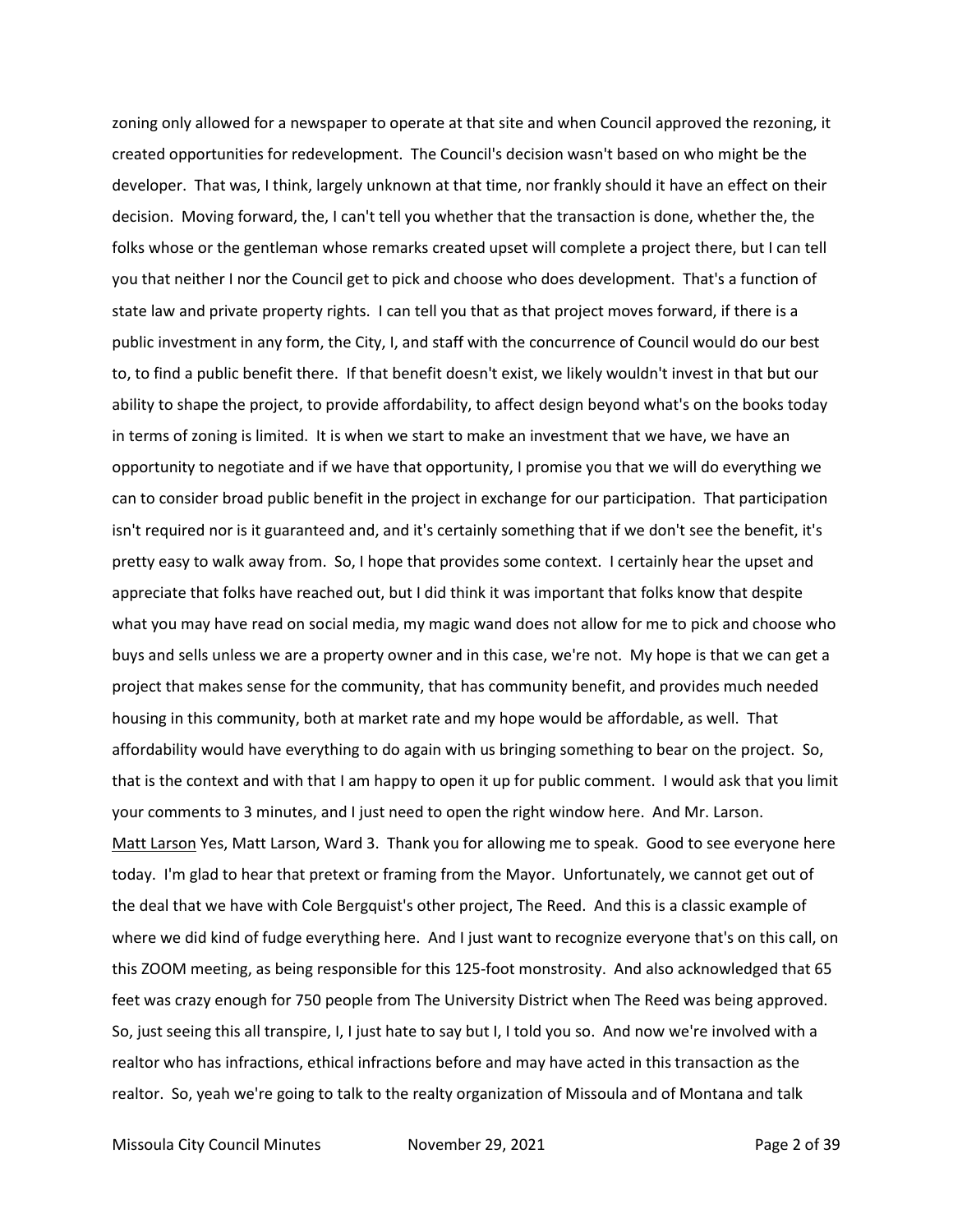zoning only allowed for a newspaper to operate at that site and when Council approved the rezoning, it created opportunities for redevelopment. The Council's decision wasn't based on who might be the developer. That was, I think, largely unknown at that time, nor frankly should it have an effect on their decision. Moving forward, the, I can't tell you whether that the transaction is done, whether the, the folks whose or the gentleman whose remarks created upset will complete a project there, but I can tell you that neither I nor the Council get to pick and choose who does development. That's a function of state law and private property rights. I can tell you that as that project moves forward, if there is a public investment in any form, the City, I, and staff with the concurrence of Council would do our best to, to find a public benefit there. If that benefit doesn't exist, we likely wouldn't invest in that but our ability to shape the project, to provide affordability, to affect design beyond what's on the books today in terms of zoning is limited. It is when we start to make an investment that we have, we have an opportunity to negotiate and if we have that opportunity, I promise you that we will do everything we can to consider broad public benefit in the project in exchange for our participation. That participation isn't required nor is it guaranteed and, and it's certainly something that if we don't see the benefit, it's pretty easy to walk away from. So, I hope that provides some context. I certainly hear the upset and appreciate that folks have reached out, but I did think it was important that folks know that despite what you may have read on social media, my magic wand does not allow for me to pick and choose who buys and sells unless we are a property owner and in this case, we're not. My hope is that we can get a project that makes sense for the community, that has community benefit, and provides much needed housing in this community, both at market rate and my hope would be affordable, as well. That affordability would have everything to do again with us bringing something to bear on the project. So, that is the context and with that I am happy to open it up for public comment. I would ask that you limit your comments to 3 minutes, and I just need to open the right window here. And Mr. Larson. Matt Larson Yes, Matt Larson, Ward 3. Thank you for allowing me to speak. Good to see everyone here today. I'm glad to hear that pretext or framing from the Mayor. Unfortunately, we cannot get out of the deal that we have with Cole Bergquist's other project, The Reed. And this is a classic example of where we did kind of fudge everything here. And I just want to recognize everyone that's on this call, on this ZOOM meeting, as being responsible for this 125-foot monstrosity. And also acknowledged that 65 feet was crazy enough for 750 people from The University District when The Reed was being approved. So, just seeing this all transpire, I, I just hate to say but I, I told you so. And now we're involved with a realtor who has infractions, ethical infractions before and may have acted in this transaction as the realtor. So, yeah we're going to talk to the realty organization of Missoula and of Montana and talk

Missoula City Council Minutes **November 29, 2021 Page 2 of 39**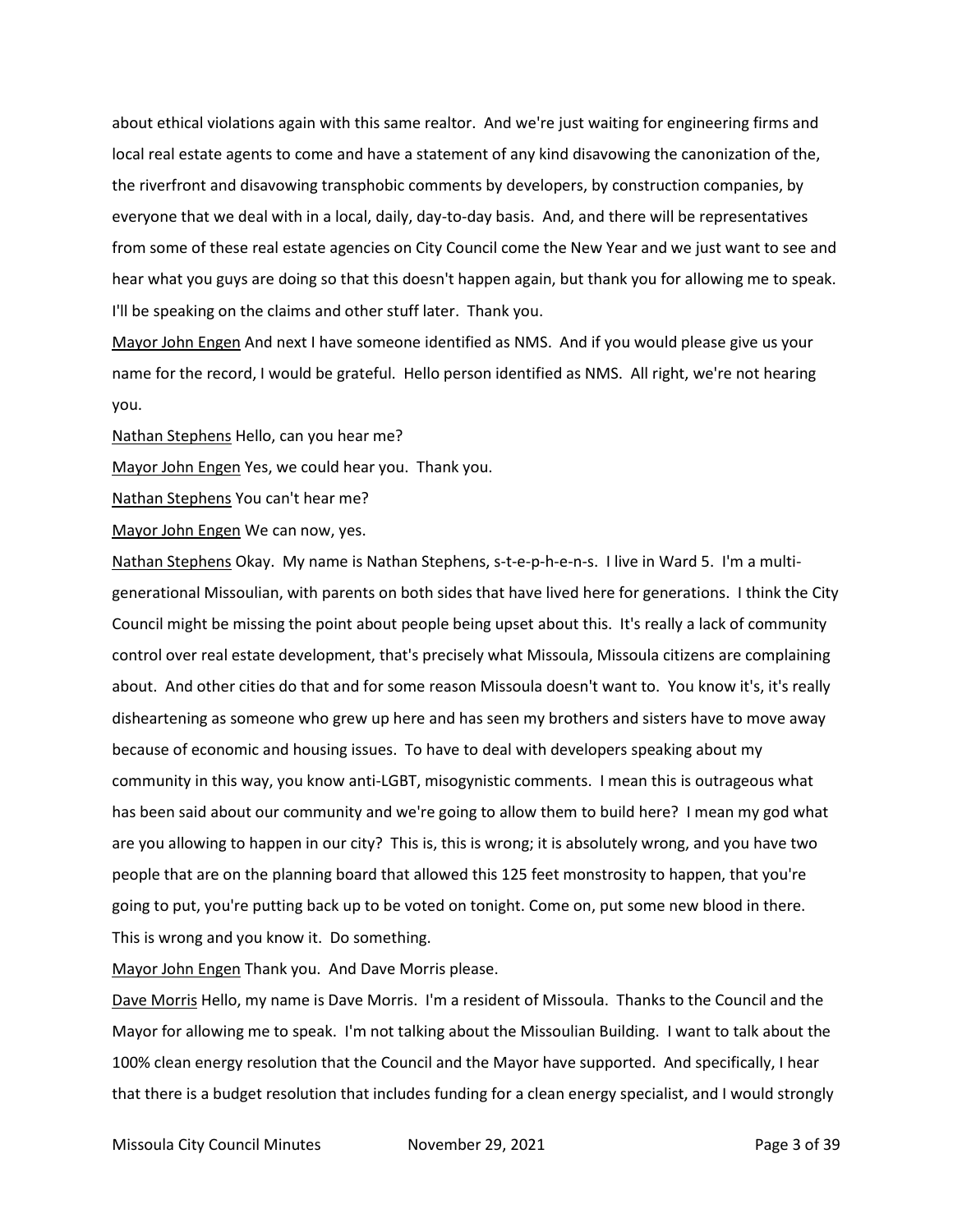about ethical violations again with this same realtor. And we're just waiting for engineering firms and local real estate agents to come and have a statement of any kind disavowing the canonization of the, the riverfront and disavowing transphobic comments by developers, by construction companies, by everyone that we deal with in a local, daily, day-to-day basis. And, and there will be representatives from some of these real estate agencies on City Council come the New Year and we just want to see and hear what you guys are doing so that this doesn't happen again, but thank you for allowing me to speak. I'll be speaking on the claims and other stuff later. Thank you.

Mayor John Engen And next I have someone identified as NMS. And if you would please give us your name for the record, I would be grateful. Hello person identified as NMS. All right, we're not hearing you.

Nathan Stephens Hello, can you hear me?

Mayor John Engen Yes, we could hear you. Thank you.

Nathan Stephens You can't hear me?

Mayor John Engen We can now, yes.

Nathan Stephens Okay. My name is Nathan Stephens, s-t-e-p-h-e-n-s. I live in Ward 5. I'm a multigenerational Missoulian, with parents on both sides that have lived here for generations. I think the City Council might be missing the point about people being upset about this. It's really a lack of community control over real estate development, that's precisely what Missoula, Missoula citizens are complaining about. And other cities do that and for some reason Missoula doesn't want to. You know it's, it's really disheartening as someone who grew up here and has seen my brothers and sisters have to move away because of economic and housing issues. To have to deal with developers speaking about my community in this way, you know anti-LGBT, misogynistic comments. I mean this is outrageous what has been said about our community and we're going to allow them to build here? I mean my god what are you allowing to happen in our city? This is, this is wrong; it is absolutely wrong, and you have two people that are on the planning board that allowed this 125 feet monstrosity to happen, that you're going to put, you're putting back up to be voted on tonight. Come on, put some new blood in there. This is wrong and you know it. Do something.

Mayor John Engen Thank you. And Dave Morris please.

Dave Morris Hello, my name is Dave Morris. I'm a resident of Missoula. Thanks to the Council and the Mayor for allowing me to speak. I'm not talking about the Missoulian Building. I want to talk about the 100% clean energy resolution that the Council and the Mayor have supported. And specifically, I hear that there is a budget resolution that includes funding for a clean energy specialist, and I would strongly

Missoula City Council Minutes **November 29, 2021 Page 3 of 39**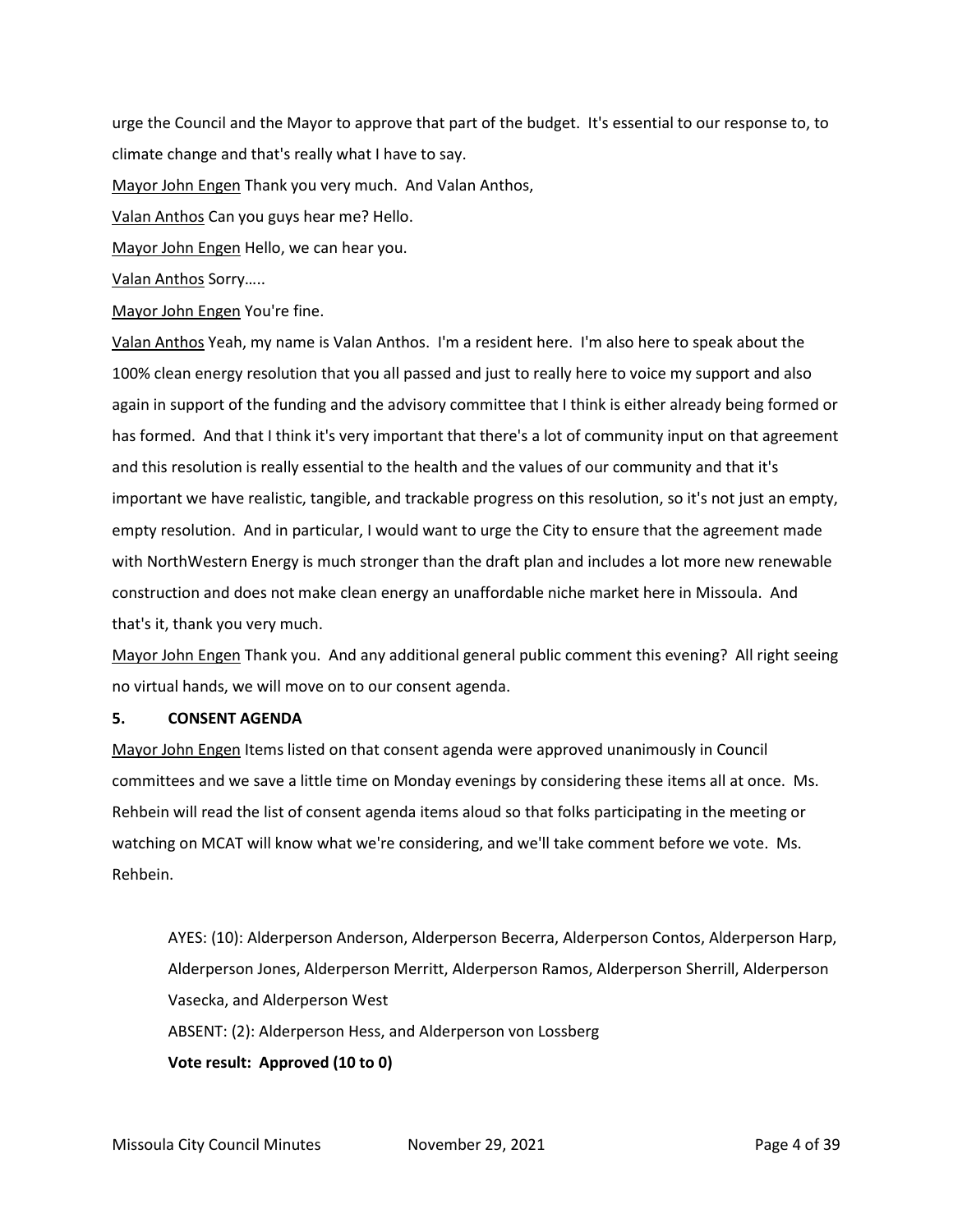urge the Council and the Mayor to approve that part of the budget. It's essential to our response to, to climate change and that's really what I have to say.

Mayor John Engen Thank you very much. And Valan Anthos,

Valan Anthos Can you guys hear me? Hello.

Mayor John Engen Hello, we can hear you.

Valan Anthos Sorry…..

Mayor John Engen You're fine.

Valan Anthos Yeah, my name is Valan Anthos. I'm a resident here. I'm also here to speak about the 100% clean energy resolution that you all passed and just to really here to voice my support and also again in support of the funding and the advisory committee that I think is either already being formed or has formed. And that I think it's very important that there's a lot of community input on that agreement and this resolution is really essential to the health and the values of our community and that it's important we have realistic, tangible, and trackable progress on this resolution, so it's not just an empty, empty resolution. And in particular, I would want to urge the City to ensure that the agreement made with NorthWestern Energy is much stronger than the draft plan and includes a lot more new renewable construction and does not make clean energy an unaffordable niche market here in Missoula. And that's it, thank you very much.

Mayor John Engen Thank you. And any additional general public comment this evening? All right seeing no virtual hands, we will move on to our consent agenda.

# **5. CONSENT AGENDA**

Mayor John Engen Items listed on that consent agenda were approved unanimously in Council committees and we save a little time on Monday evenings by considering these items all at once. Ms. Rehbein will read the list of consent agenda items aloud so that folks participating in the meeting or watching on MCAT will know what we're considering, and we'll take comment before we vote. Ms. Rehbein.

AYES: (10): Alderperson Anderson, Alderperson Becerra, Alderperson Contos, Alderperson Harp, Alderperson Jones, Alderperson Merritt, Alderperson Ramos, Alderperson Sherrill, Alderperson Vasecka, and Alderperson West ABSENT: (2): Alderperson Hess, and Alderperson von Lossberg **Vote result: Approved (10 to 0)**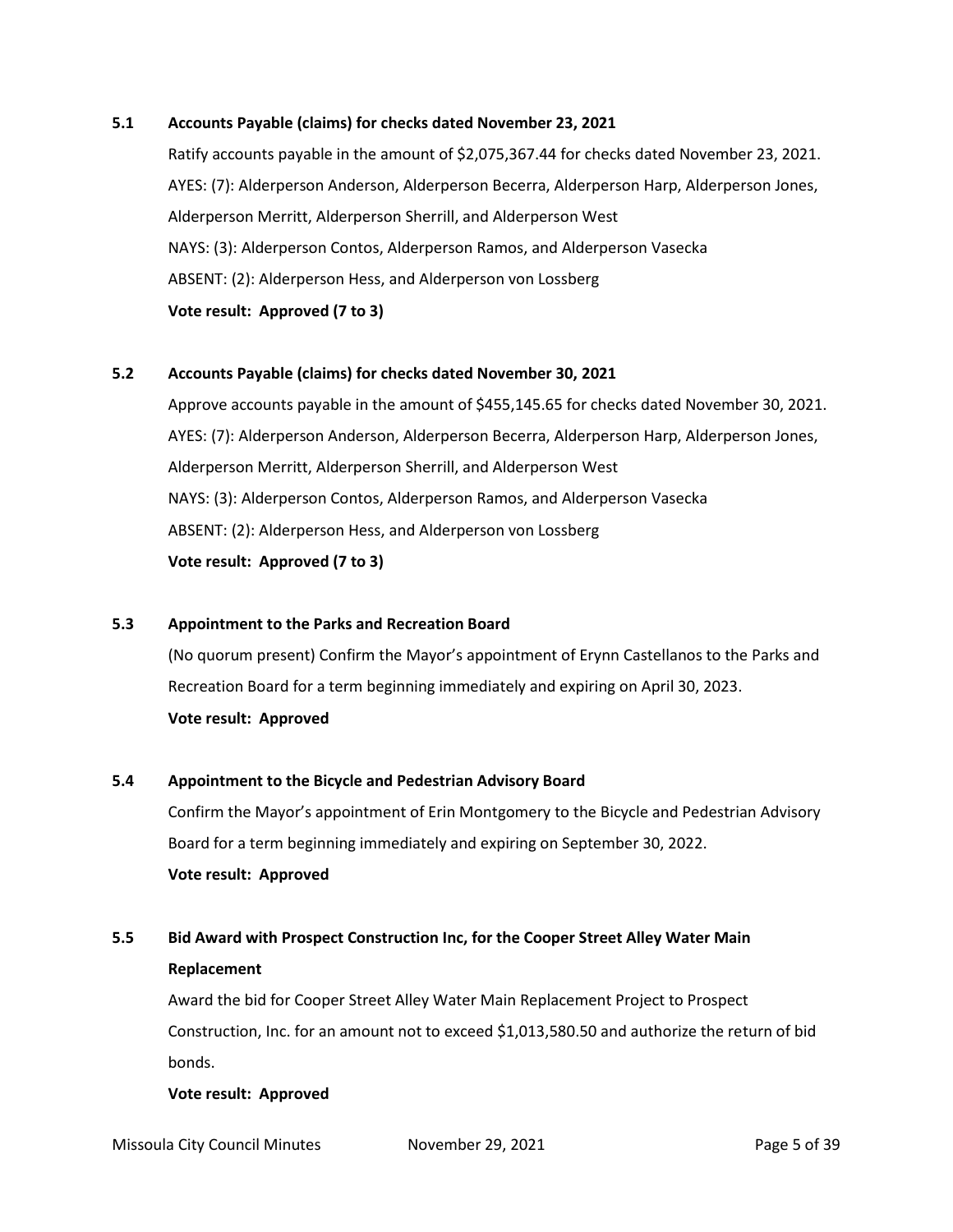# **5.1 Accounts Payable (claims) for checks dated November 23, 2021**

Ratify accounts payable in the amount of \$2,075,367.44 for checks dated November 23, 2021. AYES: (7): Alderperson Anderson, Alderperson Becerra, Alderperson Harp, Alderperson Jones, Alderperson Merritt, Alderperson Sherrill, and Alderperson West NAYS: (3): Alderperson Contos, Alderperson Ramos, and Alderperson Vasecka ABSENT: (2): Alderperson Hess, and Alderperson von Lossberg **Vote result: Approved (7 to 3)**

# **5.2 Accounts Payable (claims) for checks dated November 30, 2021**

Approve accounts payable in the amount of \$455,145.65 for checks dated November 30, 2021. AYES: (7): Alderperson Anderson, Alderperson Becerra, Alderperson Harp, Alderperson Jones, Alderperson Merritt, Alderperson Sherrill, and Alderperson West NAYS: (3): Alderperson Contos, Alderperson Ramos, and Alderperson Vasecka ABSENT: (2): Alderperson Hess, and Alderperson von Lossberg **Vote result: Approved (7 to 3)**

#### **5.3 Appointment to the Parks and Recreation Board**

(No quorum present) Confirm the Mayor's appointment of Erynn Castellanos to the Parks and Recreation Board for a term beginning immediately and expiring on April 30, 2023. **Vote result: Approved**

#### **5.4 Appointment to the Bicycle and Pedestrian Advisory Board**

Confirm the Mayor's appointment of Erin Montgomery to the Bicycle and Pedestrian Advisory Board for a term beginning immediately and expiring on September 30, 2022. **Vote result: Approved**

# **5.5 Bid Award with Prospect Construction Inc, for the Cooper Street Alley Water Main Replacement**

Award the bid for Cooper Street Alley Water Main Replacement Project to Prospect Construction, Inc. for an amount not to exceed \$1,013,580.50 and authorize the return of bid bonds.

#### **Vote result: Approved**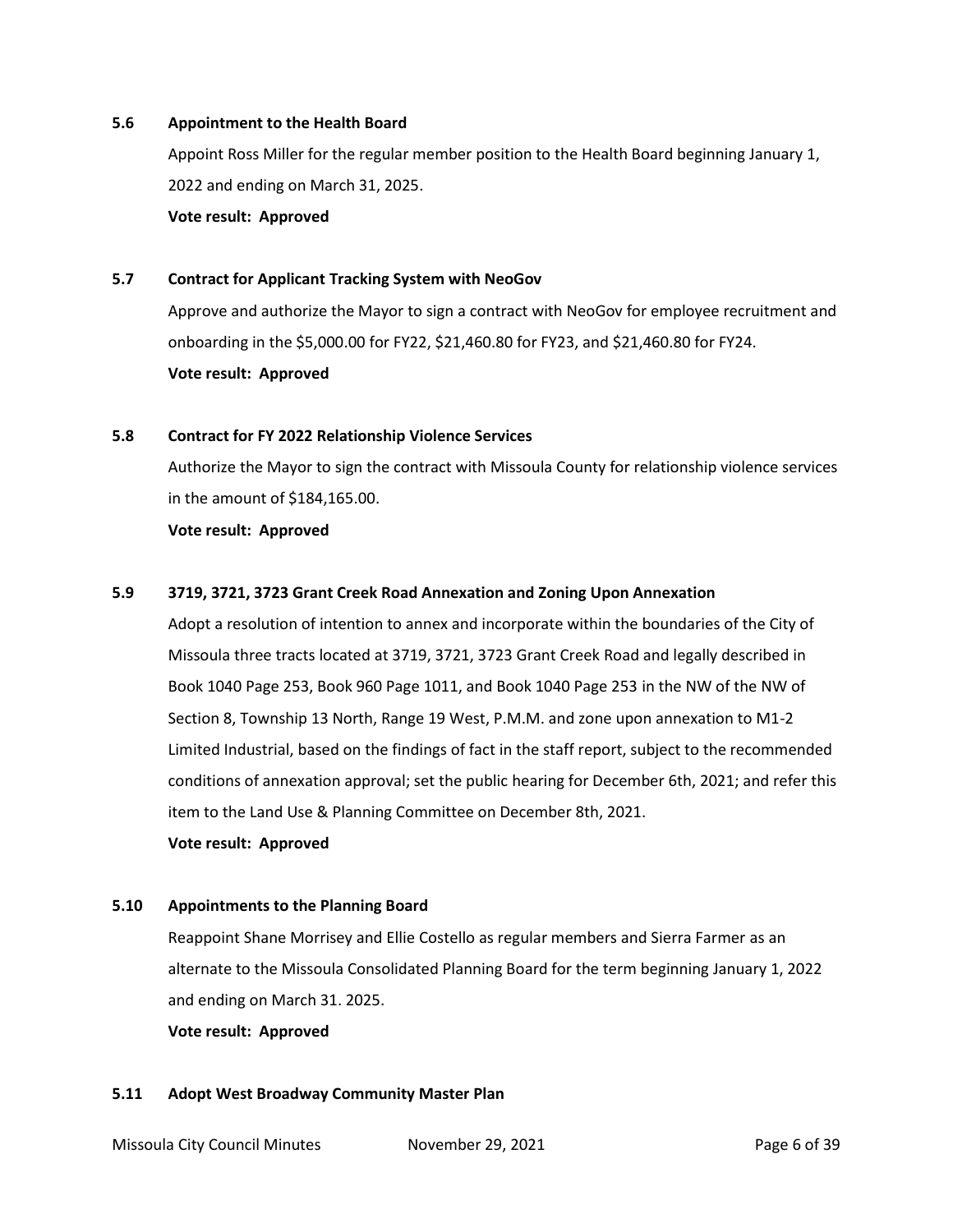#### **5.6 Appointment to the Health Board**

Appoint Ross Miller for the regular member position to the Health Board beginning January 1, 2022 and ending on March 31, 2025.

**Vote result: Approved**

#### **5.7 Contract for Applicant Tracking System with NeoGov**

Approve and authorize the Mayor to sign a contract with NeoGov for employee recruitment and onboarding in the \$5,000.00 for FY22, \$21,460.80 for FY23, and \$21,460.80 for FY24. **Vote result: Approved**

# **5.8 Contract for FY 2022 Relationship Violence Services**

Authorize the Mayor to sign the contract with Missoula County for relationship violence services in the amount of \$184,165.00.

#### **Vote result: Approved**

#### **5.9 3719, 3721, 3723 Grant Creek Road Annexation and Zoning Upon Annexation**

Adopt a resolution of intention to annex and incorporate within the boundaries of the City of Missoula three tracts located at 3719, 3721, 3723 Grant Creek Road and legally described in Book 1040 Page 253, Book 960 Page 1011, and Book 1040 Page 253 in the NW of the NW of Section 8, Township 13 North, Range 19 West, P.M.M. and zone upon annexation to M1-2 Limited Industrial, based on the findings of fact in the staff report, subject to the recommended conditions of annexation approval; set the public hearing for December 6th, 2021; and refer this item to the Land Use & Planning Committee on December 8th, 2021.

#### **Vote result: Approved**

#### **5.10 Appointments to the Planning Board**

Reappoint Shane Morrisey and Ellie Costello as regular members and Sierra Farmer as an alternate to the Missoula Consolidated Planning Board for the term beginning January 1, 2022 and ending on March 31. 2025.

**Vote result: Approved**

#### **5.11 Adopt West Broadway Community Master Plan**

Missoula City Council Minutes **November 29, 2021 Page 6 of 39**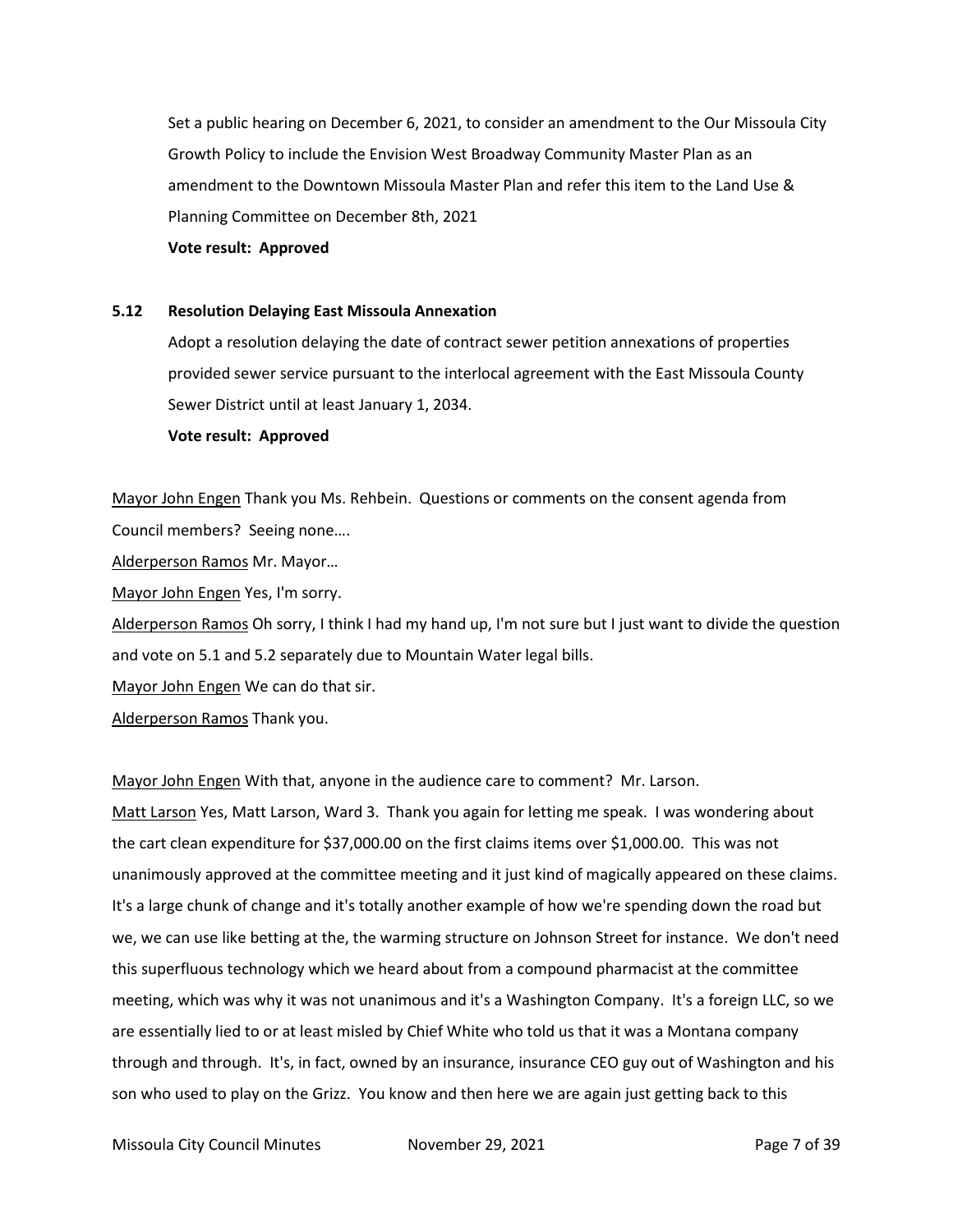Set a public hearing on December 6, 2021, to consider an amendment to the Our Missoula City Growth Policy to include the Envision West Broadway Community Master Plan as an amendment to the Downtown Missoula Master Plan and refer this item to the Land Use & Planning Committee on December 8th, 2021

**Vote result: Approved**

#### **5.12 Resolution Delaying East Missoula Annexation**

Adopt a resolution delaying the date of contract sewer petition annexations of properties provided sewer service pursuant to the interlocal agreement with the East Missoula County Sewer District until at least January 1, 2034.

**Vote result: Approved**

Mayor John Engen Thank you Ms. Rehbein. Questions or comments on the consent agenda from Council members? Seeing none….

Alderperson Ramos Mr. Mayor…

Mayor John Engen Yes, I'm sorry.

Alderperson Ramos Oh sorry, I think I had my hand up, I'm not sure but I just want to divide the question and vote on 5.1 and 5.2 separately due to Mountain Water legal bills.

Mayor John Engen We can do that sir.

Alderperson Ramos Thank you.

Mayor John Engen With that, anyone in the audience care to comment? Mr. Larson.

Matt Larson Yes, Matt Larson, Ward 3. Thank you again for letting me speak. I was wondering about the cart clean expenditure for \$37,000.00 on the first claims items over \$1,000.00. This was not unanimously approved at the committee meeting and it just kind of magically appeared on these claims. It's a large chunk of change and it's totally another example of how we're spending down the road but we, we can use like betting at the, the warming structure on Johnson Street for instance. We don't need this superfluous technology which we heard about from a compound pharmacist at the committee meeting, which was why it was not unanimous and it's a Washington Company. It's a foreign LLC, so we are essentially lied to or at least misled by Chief White who told us that it was a Montana company through and through. It's, in fact, owned by an insurance, insurance CEO guy out of Washington and his son who used to play on the Grizz. You know and then here we are again just getting back to this

Missoula City Council Minutes **November 29, 2021 Page 7 of 39**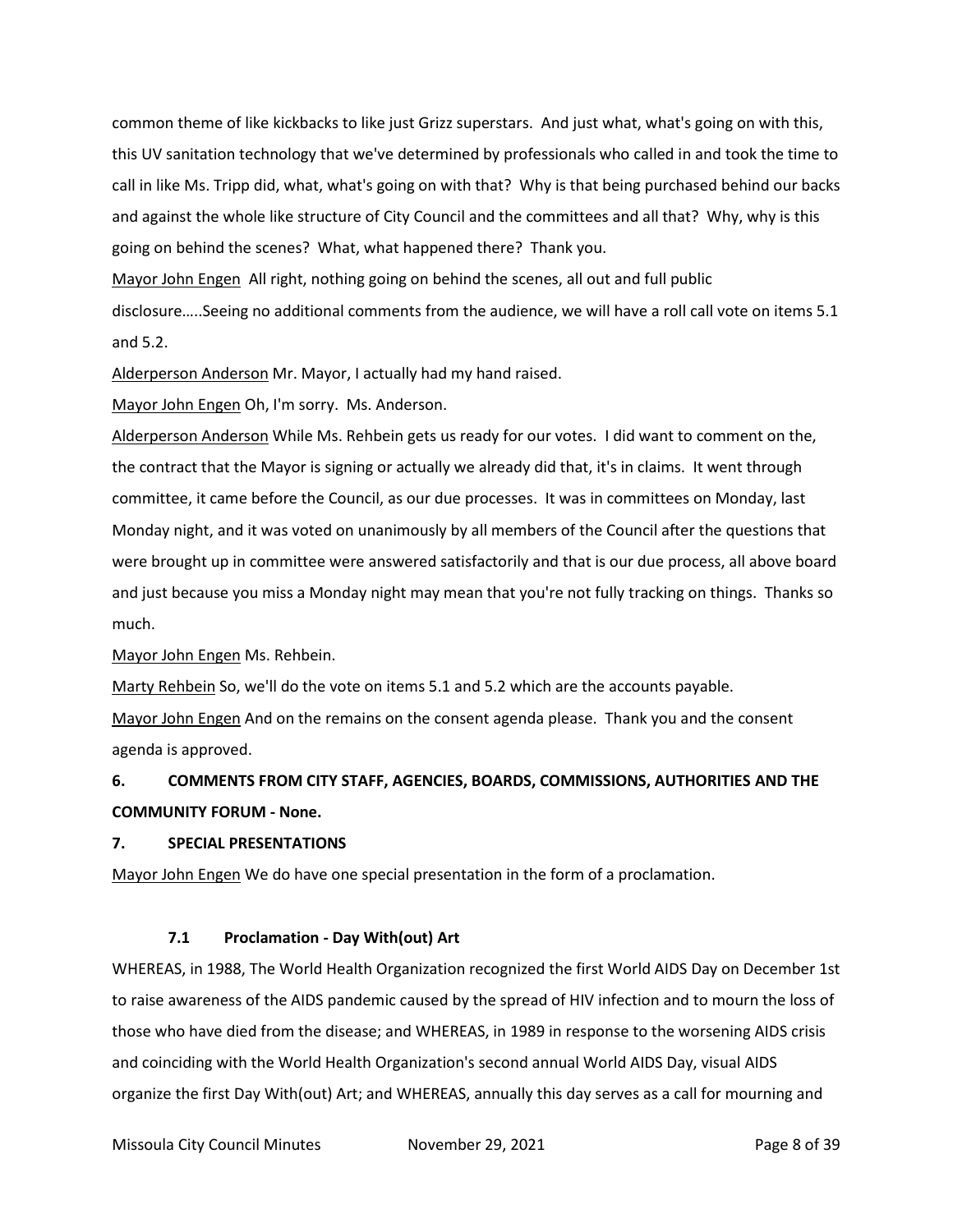common theme of like kickbacks to like just Grizz superstars. And just what, what's going on with this, this UV sanitation technology that we've determined by professionals who called in and took the time to call in like Ms. Tripp did, what, what's going on with that? Why is that being purchased behind our backs and against the whole like structure of City Council and the committees and all that? Why, why is this going on behind the scenes? What, what happened there? Thank you.

Mayor John Engen All right, nothing going on behind the scenes, all out and full public

disclosure…..Seeing no additional comments from the audience, we will have a roll call vote on items 5.1 and 5.2.

Alderperson Anderson Mr. Mayor, I actually had my hand raised.

Mayor John Engen Oh, I'm sorry. Ms. Anderson.

Alderperson Anderson While Ms. Rehbein gets us ready for our votes. I did want to comment on the, the contract that the Mayor is signing or actually we already did that, it's in claims. It went through committee, it came before the Council, as our due processes. It was in committees on Monday, last Monday night, and it was voted on unanimously by all members of the Council after the questions that were brought up in committee were answered satisfactorily and that is our due process, all above board and just because you miss a Monday night may mean that you're not fully tracking on things. Thanks so much.

Mayor John Engen Ms. Rehbein.

Marty Rehbein So, we'll do the vote on items 5.1 and 5.2 which are the accounts payable.

Mayor John Engen And on the remains on the consent agenda please. Thank you and the consent agenda is approved.

# **6. COMMENTS FROM CITY STAFF, AGENCIES, BOARDS, COMMISSIONS, AUTHORITIES AND THE COMMUNITY FORUM - None.**

# **7. SPECIAL PRESENTATIONS**

Mayor John Engen We do have one special presentation in the form of a proclamation.

# **7.1 Proclamation - Day With(out) Art**

WHEREAS, in 1988, The World Health Organization recognized the first World AIDS Day on December 1st to raise awareness of the AIDS pandemic caused by the spread of HIV infection and to mourn the loss of those who have died from the disease; and WHEREAS, in 1989 in response to the worsening AIDS crisis and coinciding with the World Health Organization's second annual World AIDS Day, visual AIDS organize the first Day With(out) Art; and WHEREAS, annually this day serves as a call for mourning and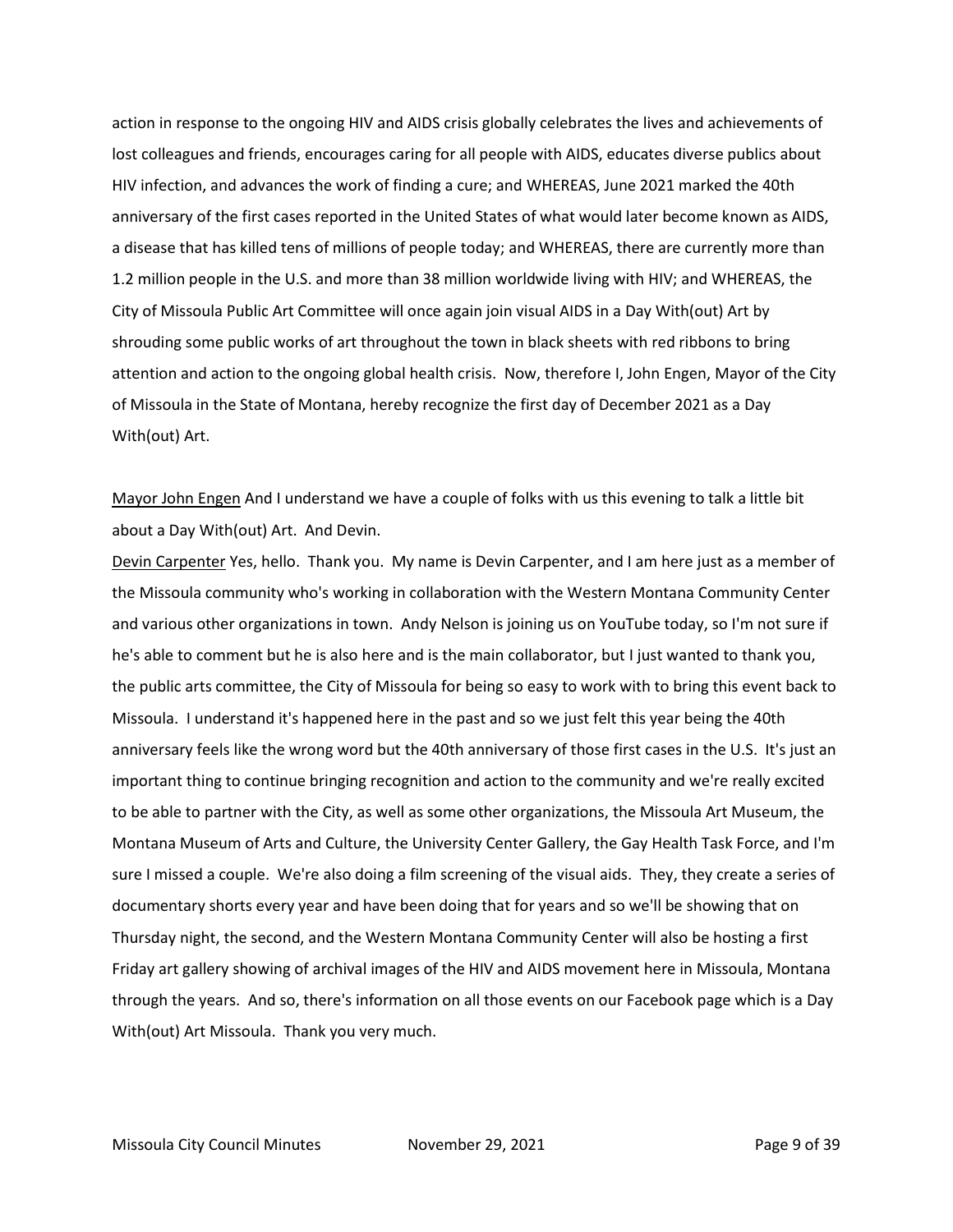action in response to the ongoing HIV and AIDS crisis globally celebrates the lives and achievements of lost colleagues and friends, encourages caring for all people with AIDS, educates diverse publics about HIV infection, and advances the work of finding a cure; and WHEREAS, June 2021 marked the 40th anniversary of the first cases reported in the United States of what would later become known as AIDS, a disease that has killed tens of millions of people today; and WHEREAS, there are currently more than 1.2 million people in the U.S. and more than 38 million worldwide living with HIV; and WHEREAS, the City of Missoula Public Art Committee will once again join visual AIDS in a Day With(out) Art by shrouding some public works of art throughout the town in black sheets with red ribbons to bring attention and action to the ongoing global health crisis. Now, therefore I, John Engen, Mayor of the City of Missoula in the State of Montana, hereby recognize the first day of December 2021 as a Day With(out) Art.

Mayor John Engen And I understand we have a couple of folks with us this evening to talk a little bit about a Day With(out) Art. And Devin.

Devin Carpenter Yes, hello. Thank you. My name is Devin Carpenter, and I am here just as a member of the Missoula community who's working in collaboration with the Western Montana Community Center and various other organizations in town. Andy Nelson is joining us on YouTube today, so I'm not sure if he's able to comment but he is also here and is the main collaborator, but I just wanted to thank you, the public arts committee, the City of Missoula for being so easy to work with to bring this event back to Missoula. I understand it's happened here in the past and so we just felt this year being the 40th anniversary feels like the wrong word but the 40th anniversary of those first cases in the U.S. It's just an important thing to continue bringing recognition and action to the community and we're really excited to be able to partner with the City, as well as some other organizations, the Missoula Art Museum, the Montana Museum of Arts and Culture, the University Center Gallery, the Gay Health Task Force, and I'm sure I missed a couple. We're also doing a film screening of the visual aids. They, they create a series of documentary shorts every year and have been doing that for years and so we'll be showing that on Thursday night, the second, and the Western Montana Community Center will also be hosting a first Friday art gallery showing of archival images of the HIV and AIDS movement here in Missoula, Montana through the years. And so, there's information on all those events on our Facebook page which is a Day With(out) Art Missoula. Thank you very much.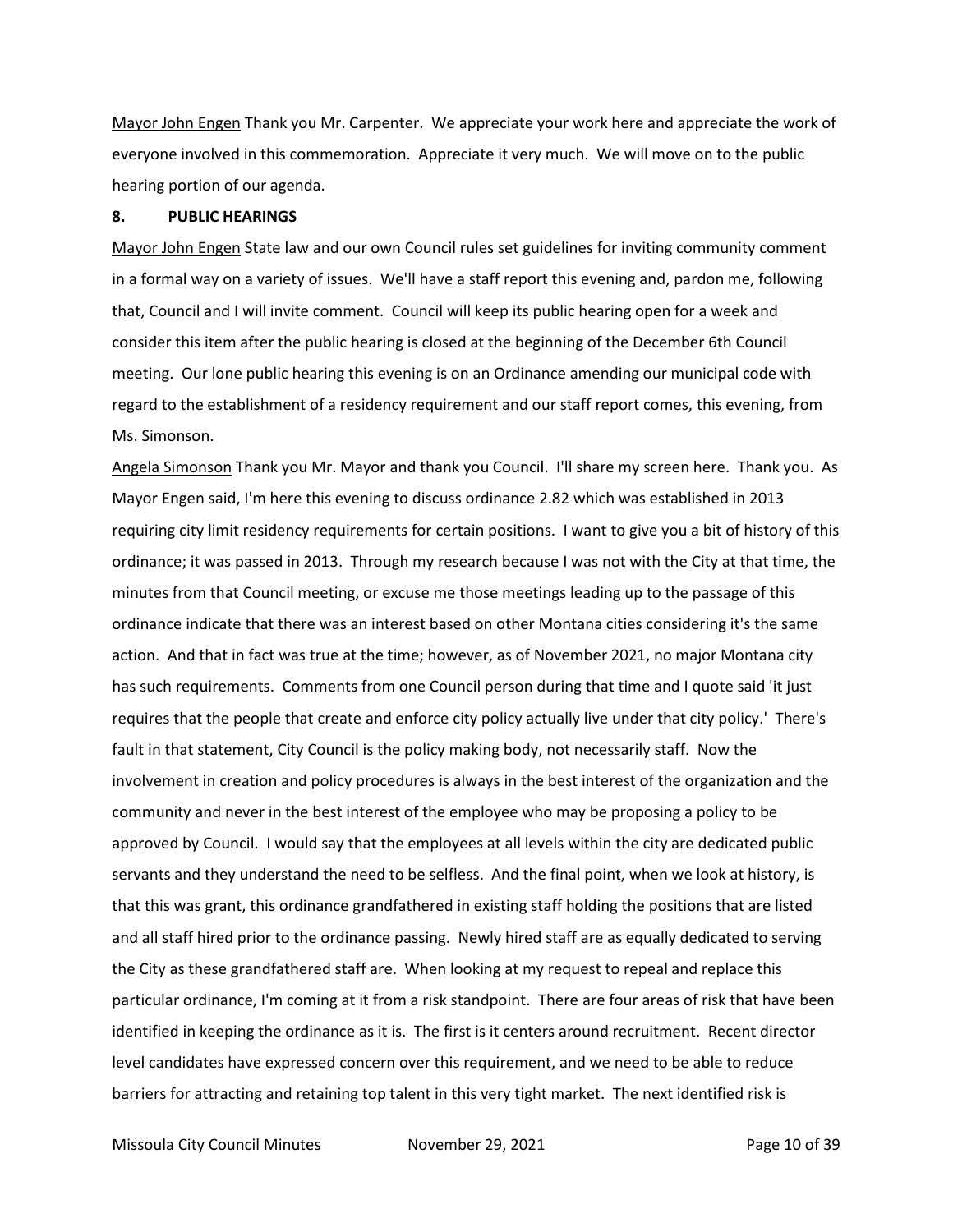Mayor John Engen Thank you Mr. Carpenter. We appreciate your work here and appreciate the work of everyone involved in this commemoration. Appreciate it very much. We will move on to the public hearing portion of our agenda.

#### **8. PUBLIC HEARINGS**

Mayor John Engen State law and our own Council rules set guidelines for inviting community comment in a formal way on a variety of issues. We'll have a staff report this evening and, pardon me, following that, Council and I will invite comment. Council will keep its public hearing open for a week and consider this item after the public hearing is closed at the beginning of the December 6th Council meeting. Our lone public hearing this evening is on an Ordinance amending our municipal code with regard to the establishment of a residency requirement and our staff report comes, this evening, from Ms. Simonson.

Angela Simonson Thank you Mr. Mayor and thank you Council. I'll share my screen here. Thank you. As Mayor Engen said, I'm here this evening to discuss ordinance 2.82 which was established in 2013 requiring city limit residency requirements for certain positions. I want to give you a bit of history of this ordinance; it was passed in 2013. Through my research because I was not with the City at that time, the minutes from that Council meeting, or excuse me those meetings leading up to the passage of this ordinance indicate that there was an interest based on other Montana cities considering it's the same action. And that in fact was true at the time; however, as of November 2021, no major Montana city has such requirements. Comments from one Council person during that time and I quote said 'it just requires that the people that create and enforce city policy actually live under that city policy.' There's fault in that statement, City Council is the policy making body, not necessarily staff. Now the involvement in creation and policy procedures is always in the best interest of the organization and the community and never in the best interest of the employee who may be proposing a policy to be approved by Council. I would say that the employees at all levels within the city are dedicated public servants and they understand the need to be selfless. And the final point, when we look at history, is that this was grant, this ordinance grandfathered in existing staff holding the positions that are listed and all staff hired prior to the ordinance passing. Newly hired staff are as equally dedicated to serving the City as these grandfathered staff are. When looking at my request to repeal and replace this particular ordinance, I'm coming at it from a risk standpoint. There are four areas of risk that have been identified in keeping the ordinance as it is. The first is it centers around recruitment. Recent director level candidates have expressed concern over this requirement, and we need to be able to reduce barriers for attracting and retaining top talent in this very tight market. The next identified risk is

Missoula City Council Minutes **November 29, 2021 Page 10 of 39**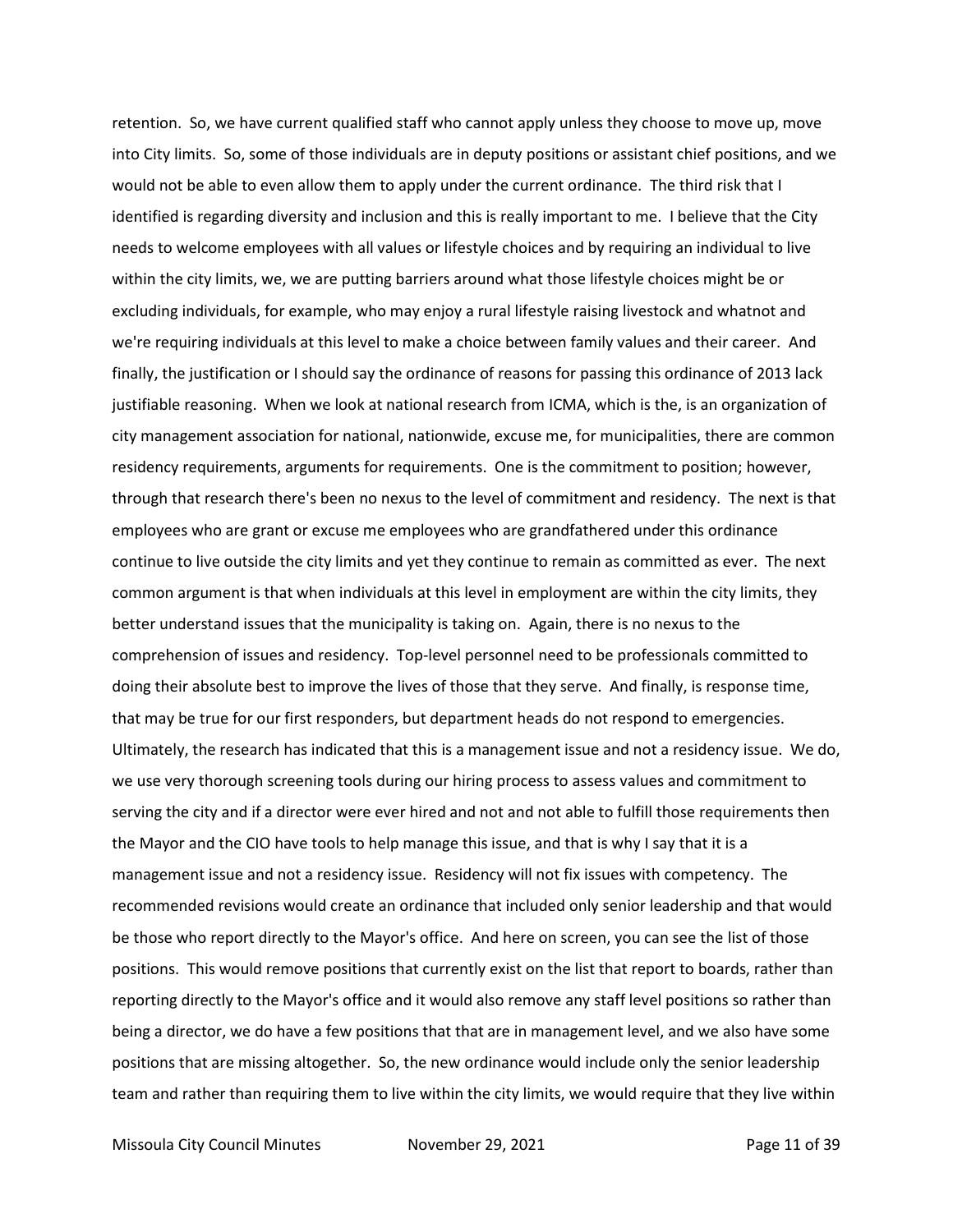retention. So, we have current qualified staff who cannot apply unless they choose to move up, move into City limits. So, some of those individuals are in deputy positions or assistant chief positions, and we would not be able to even allow them to apply under the current ordinance. The third risk that I identified is regarding diversity and inclusion and this is really important to me. I believe that the City needs to welcome employees with all values or lifestyle choices and by requiring an individual to live within the city limits, we, we are putting barriers around what those lifestyle choices might be or excluding individuals, for example, who may enjoy a rural lifestyle raising livestock and whatnot and we're requiring individuals at this level to make a choice between family values and their career. And finally, the justification or I should say the ordinance of reasons for passing this ordinance of 2013 lack justifiable reasoning. When we look at national research from ICMA, which is the, is an organization of city management association for national, nationwide, excuse me, for municipalities, there are common residency requirements, arguments for requirements. One is the commitment to position; however, through that research there's been no nexus to the level of commitment and residency. The next is that employees who are grant or excuse me employees who are grandfathered under this ordinance continue to live outside the city limits and yet they continue to remain as committed as ever. The next common argument is that when individuals at this level in employment are within the city limits, they better understand issues that the municipality is taking on. Again, there is no nexus to the comprehension of issues and residency. Top-level personnel need to be professionals committed to doing their absolute best to improve the lives of those that they serve. And finally, is response time, that may be true for our first responders, but department heads do not respond to emergencies. Ultimately, the research has indicated that this is a management issue and not a residency issue. We do, we use very thorough screening tools during our hiring process to assess values and commitment to serving the city and if a director were ever hired and not and not able to fulfill those requirements then the Mayor and the CIO have tools to help manage this issue, and that is why I say that it is a management issue and not a residency issue. Residency will not fix issues with competency. The recommended revisions would create an ordinance that included only senior leadership and that would be those who report directly to the Mayor's office. And here on screen, you can see the list of those positions. This would remove positions that currently exist on the list that report to boards, rather than reporting directly to the Mayor's office and it would also remove any staff level positions so rather than being a director, we do have a few positions that that are in management level, and we also have some positions that are missing altogether. So, the new ordinance would include only the senior leadership team and rather than requiring them to live within the city limits, we would require that they live within

Missoula City Council Minutes **November 29, 2021 Page 11 of 39**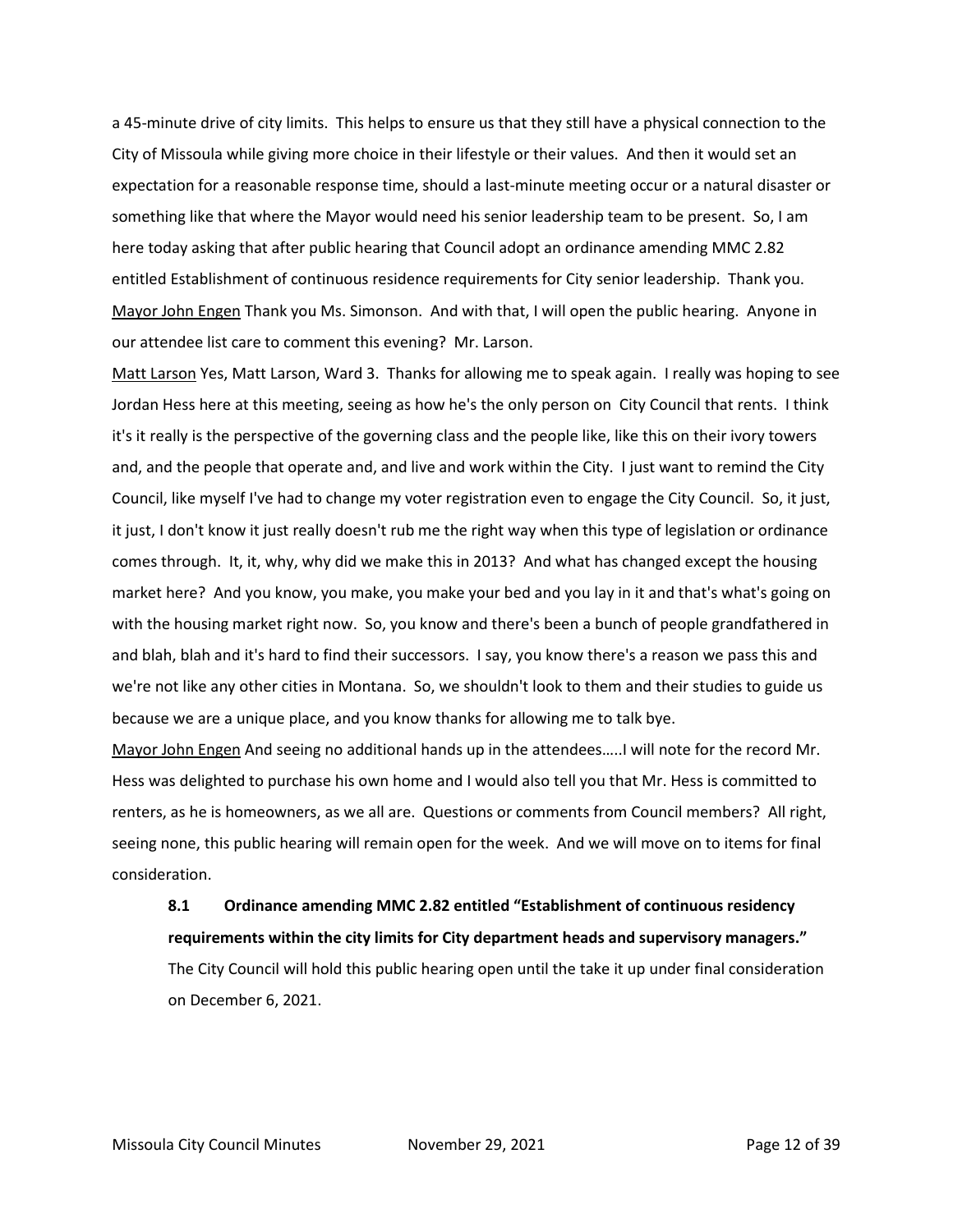a 45-minute drive of city limits. This helps to ensure us that they still have a physical connection to the City of Missoula while giving more choice in their lifestyle or their values. And then it would set an expectation for a reasonable response time, should a last-minute meeting occur or a natural disaster or something like that where the Mayor would need his senior leadership team to be present. So, I am here today asking that after public hearing that Council adopt an ordinance amending MMC 2.82 entitled Establishment of continuous residence requirements for City senior leadership. Thank you. Mayor John Engen Thank you Ms. Simonson. And with that, I will open the public hearing. Anyone in our attendee list care to comment this evening? Mr. Larson.

Matt Larson Yes, Matt Larson, Ward 3. Thanks for allowing me to speak again. I really was hoping to see Jordan Hess here at this meeting, seeing as how he's the only person on City Council that rents. I think it's it really is the perspective of the governing class and the people like, like this on their ivory towers and, and the people that operate and, and live and work within the City. I just want to remind the City Council, like myself I've had to change my voter registration even to engage the City Council. So, it just, it just, I don't know it just really doesn't rub me the right way when this type of legislation or ordinance comes through. It, it, why, why did we make this in 2013? And what has changed except the housing market here? And you know, you make, you make your bed and you lay in it and that's what's going on with the housing market right now. So, you know and there's been a bunch of people grandfathered in and blah, blah and it's hard to find their successors. I say, you know there's a reason we pass this and we're not like any other cities in Montana. So, we shouldn't look to them and their studies to guide us because we are a unique place, and you know thanks for allowing me to talk bye.

Mayor John Engen And seeing no additional hands up in the attendees…..I will note for the record Mr. Hess was delighted to purchase his own home and I would also tell you that Mr. Hess is committed to renters, as he is homeowners, as we all are. Questions or comments from Council members? All right, seeing none, this public hearing will remain open for the week. And we will move on to items for final consideration.

# **8.1 Ordinance amending MMC 2.82 entitled "Establishment of continuous residency requirements within the city limits for City department heads and supervisory managers."** The City Council will hold this public hearing open until the take it up under final consideration on December 6, 2021.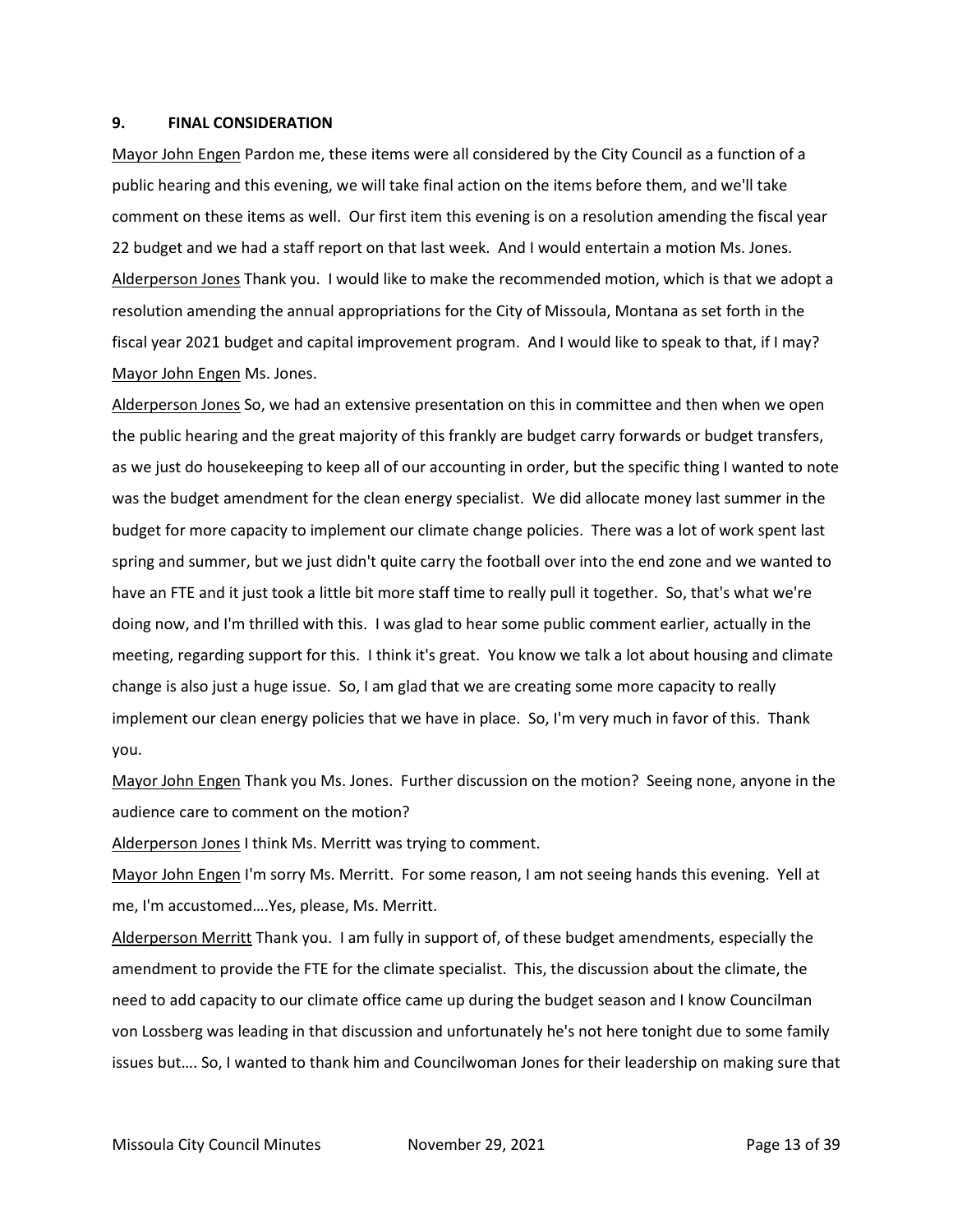#### **9. FINAL CONSIDERATION**

Mayor John Engen Pardon me, these items were all considered by the City Council as a function of a public hearing and this evening, we will take final action on the items before them, and we'll take comment on these items as well. Our first item this evening is on a resolution amending the fiscal year 22 budget and we had a staff report on that last week. And I would entertain a motion Ms. Jones. Alderperson Jones Thank you. I would like to make the recommended motion, which is that we adopt a resolution amending the annual appropriations for the City of Missoula, Montana as set forth in the fiscal year 2021 budget and capital improvement program. And I would like to speak to that, if I may? Mayor John Engen Ms. Jones.

Alderperson Jones So, we had an extensive presentation on this in committee and then when we open the public hearing and the great majority of this frankly are budget carry forwards or budget transfers, as we just do housekeeping to keep all of our accounting in order, but the specific thing I wanted to note was the budget amendment for the clean energy specialist. We did allocate money last summer in the budget for more capacity to implement our climate change policies. There was a lot of work spent last spring and summer, but we just didn't quite carry the football over into the end zone and we wanted to have an FTE and it just took a little bit more staff time to really pull it together. So, that's what we're doing now, and I'm thrilled with this. I was glad to hear some public comment earlier, actually in the meeting, regarding support for this. I think it's great. You know we talk a lot about housing and climate change is also just a huge issue. So, I am glad that we are creating some more capacity to really implement our clean energy policies that we have in place. So, I'm very much in favor of this. Thank you.

Mayor John Engen Thank you Ms. Jones. Further discussion on the motion? Seeing none, anyone in the audience care to comment on the motion?

Alderperson Jones I think Ms. Merritt was trying to comment.

Mayor John Engen I'm sorry Ms. Merritt. For some reason, I am not seeing hands this evening. Yell at me, I'm accustomed….Yes, please, Ms. Merritt.

Alderperson Merritt Thank you. I am fully in support of, of these budget amendments, especially the amendment to provide the FTE for the climate specialist. This, the discussion about the climate, the need to add capacity to our climate office came up during the budget season and I know Councilman von Lossberg was leading in that discussion and unfortunately he's not here tonight due to some family issues but…. So, I wanted to thank him and Councilwoman Jones for their leadership on making sure that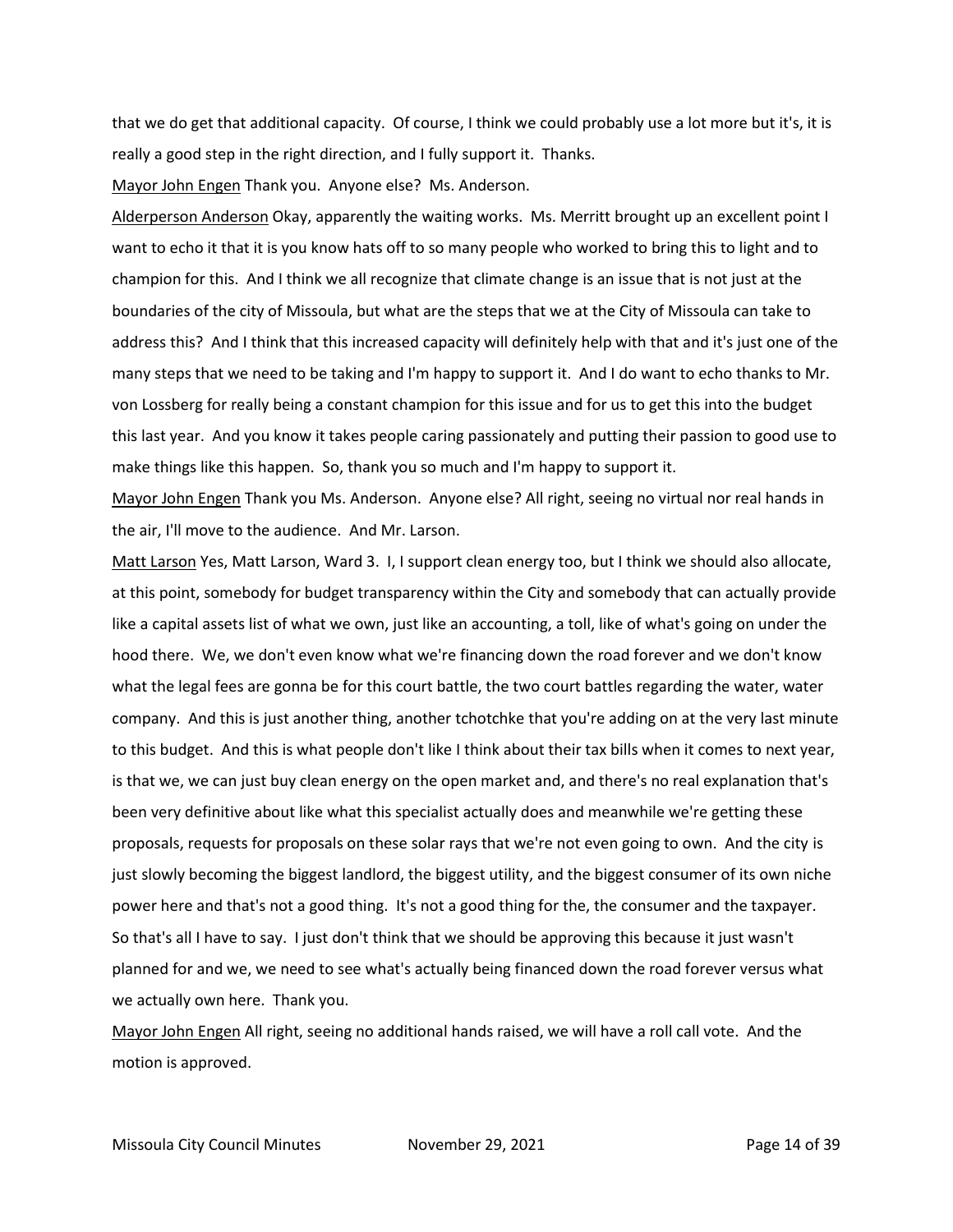that we do get that additional capacity. Of course, I think we could probably use a lot more but it's, it is really a good step in the right direction, and I fully support it. Thanks.

Mayor John Engen Thank you. Anyone else? Ms. Anderson.

Alderperson Anderson Okay, apparently the waiting works. Ms. Merritt brought up an excellent point I want to echo it that it is you know hats off to so many people who worked to bring this to light and to champion for this. And I think we all recognize that climate change is an issue that is not just at the boundaries of the city of Missoula, but what are the steps that we at the City of Missoula can take to address this? And I think that this increased capacity will definitely help with that and it's just one of the many steps that we need to be taking and I'm happy to support it. And I do want to echo thanks to Mr. von Lossberg for really being a constant champion for this issue and for us to get this into the budget this last year. And you know it takes people caring passionately and putting their passion to good use to make things like this happen. So, thank you so much and I'm happy to support it.

Mayor John Engen Thank you Ms. Anderson. Anyone else? All right, seeing no virtual nor real hands in the air, I'll move to the audience. And Mr. Larson.

Matt Larson Yes, Matt Larson, Ward 3. I, I support clean energy too, but I think we should also allocate, at this point, somebody for budget transparency within the City and somebody that can actually provide like a capital assets list of what we own, just like an accounting, a toll, like of what's going on under the hood there. We, we don't even know what we're financing down the road forever and we don't know what the legal fees are gonna be for this court battle, the two court battles regarding the water, water company. And this is just another thing, another tchotchke that you're adding on at the very last minute to this budget. And this is what people don't like I think about their tax bills when it comes to next year, is that we, we can just buy clean energy on the open market and, and there's no real explanation that's been very definitive about like what this specialist actually does and meanwhile we're getting these proposals, requests for proposals on these solar rays that we're not even going to own. And the city is just slowly becoming the biggest landlord, the biggest utility, and the biggest consumer of its own niche power here and that's not a good thing. It's not a good thing for the, the consumer and the taxpayer. So that's all I have to say. I just don't think that we should be approving this because it just wasn't planned for and we, we need to see what's actually being financed down the road forever versus what we actually own here. Thank you.

Mayor John Engen All right, seeing no additional hands raised, we will have a roll call vote. And the motion is approved.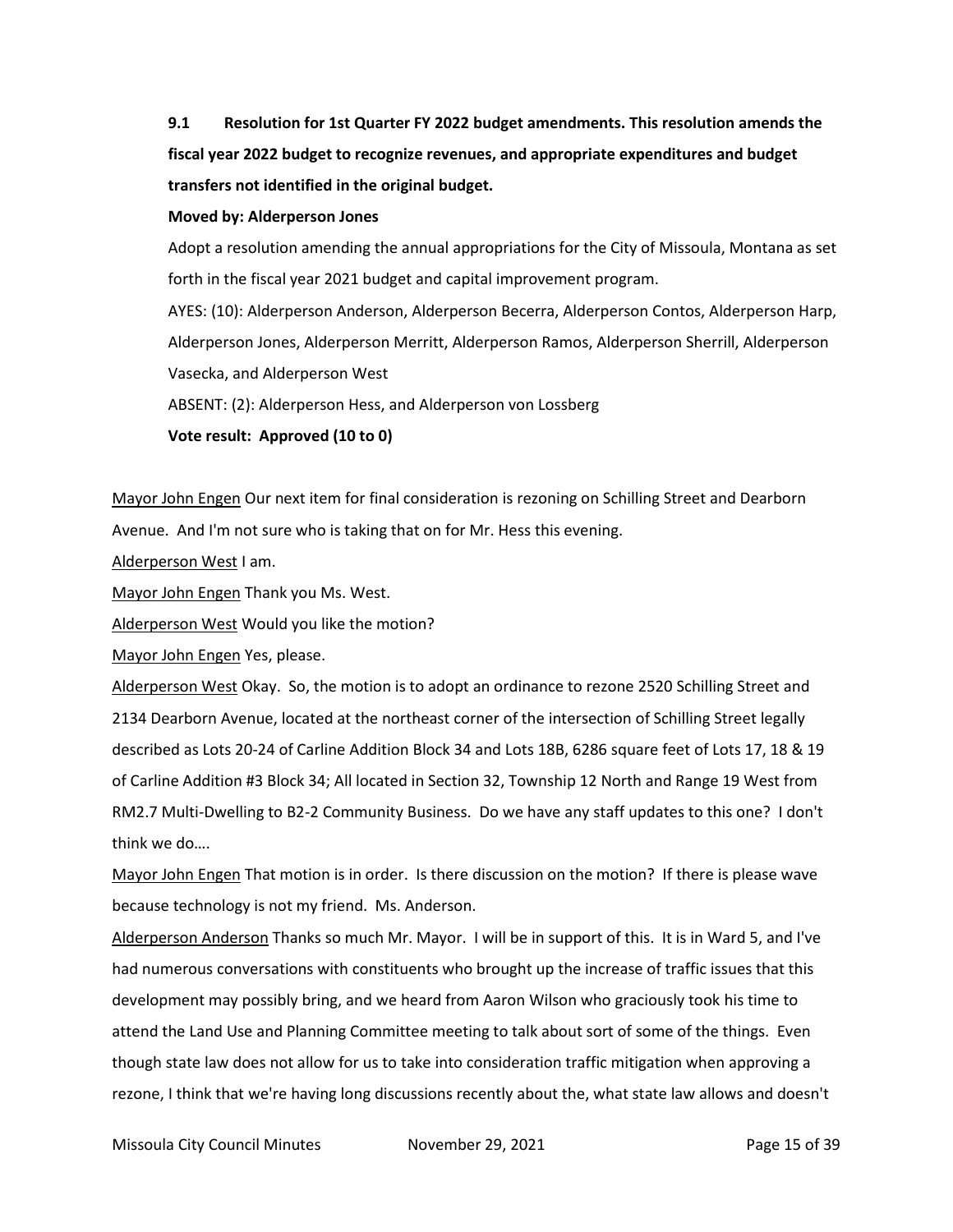**9.1 Resolution for 1st Quarter FY 2022 budget amendments. This resolution amends the fiscal year 2022 budget to recognize revenues, and appropriate expenditures and budget transfers not identified in the original budget.**

#### **Moved by: Alderperson Jones**

Adopt a resolution amending the annual appropriations for the City of Missoula, Montana as set forth in the fiscal year 2021 budget and capital improvement program. AYES: (10): Alderperson Anderson, Alderperson Becerra, Alderperson Contos, Alderperson Harp, Alderperson Jones, Alderperson Merritt, Alderperson Ramos, Alderperson Sherrill, Alderperson Vasecka, and Alderperson West ABSENT: (2): Alderperson Hess, and Alderperson von Lossberg

**Vote result: Approved (10 to 0)**

Mayor John Engen Our next item for final consideration is rezoning on Schilling Street and Dearborn Avenue. And I'm not sure who is taking that on for Mr. Hess this evening.

Alderperson West I am.

Mayor John Engen Thank you Ms. West.

Alderperson West Would you like the motion?

Mayor John Engen Yes, please.

Alderperson West Okay. So, the motion is to adopt an ordinance to rezone 2520 Schilling Street and 2134 Dearborn Avenue, located at the northeast corner of the intersection of Schilling Street legally described as Lots 20-24 of Carline Addition Block 34 and Lots 18B, 6286 square feet of Lots 17, 18 & 19 of Carline Addition #3 Block 34; All located in Section 32, Township 12 North and Range 19 West from RM2.7 Multi-Dwelling to B2-2 Community Business. Do we have any staff updates to this one? I don't think we do….

Mayor John Engen That motion is in order. Is there discussion on the motion? If there is please wave because technology is not my friend. Ms. Anderson.

Alderperson Anderson Thanks so much Mr. Mayor. I will be in support of this. It is in Ward 5, and I've had numerous conversations with constituents who brought up the increase of traffic issues that this development may possibly bring, and we heard from Aaron Wilson who graciously took his time to attend the Land Use and Planning Committee meeting to talk about sort of some of the things. Even though state law does not allow for us to take into consideration traffic mitigation when approving a rezone, I think that we're having long discussions recently about the, what state law allows and doesn't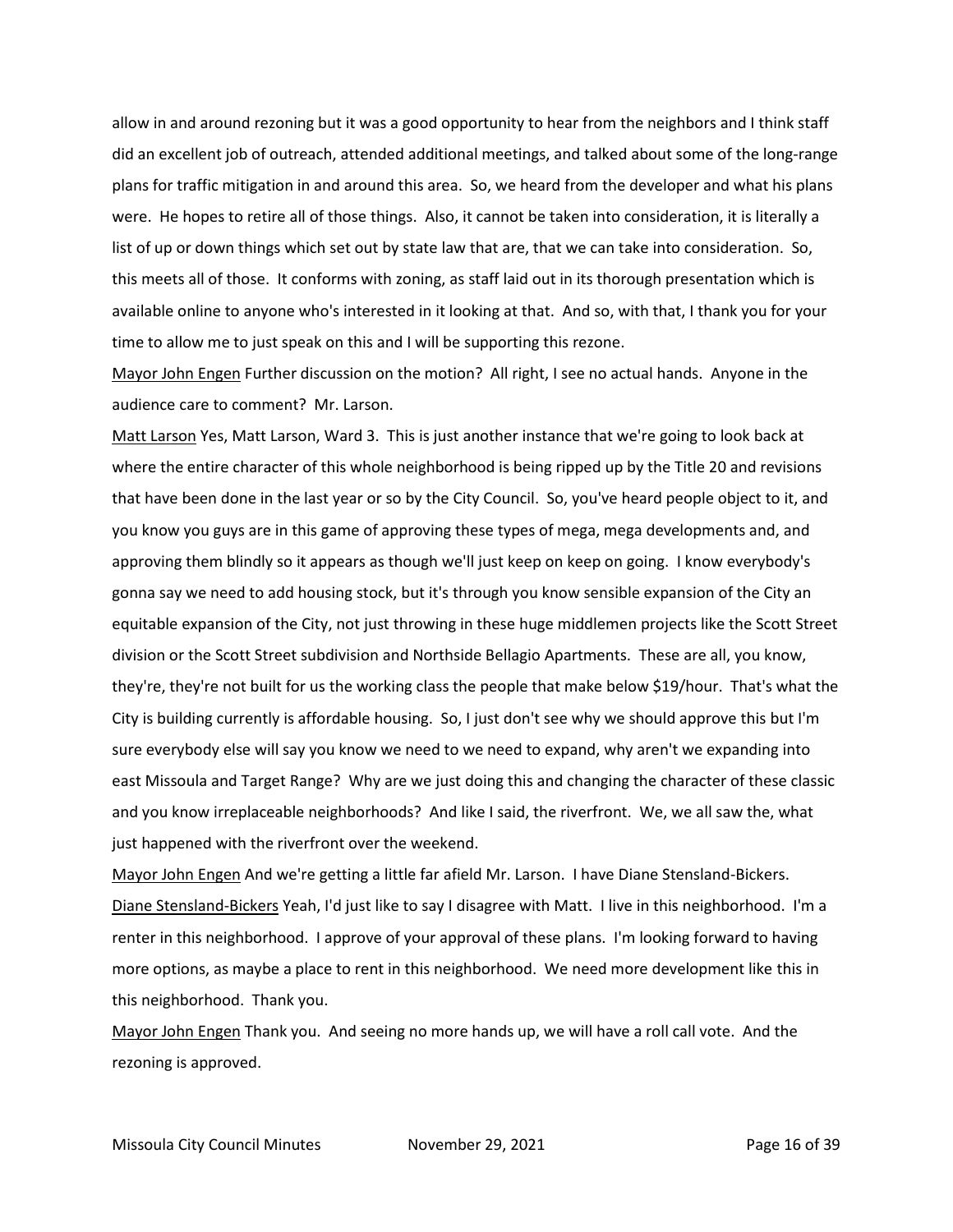allow in and around rezoning but it was a good opportunity to hear from the neighbors and I think staff did an excellent job of outreach, attended additional meetings, and talked about some of the long-range plans for traffic mitigation in and around this area. So, we heard from the developer and what his plans were. He hopes to retire all of those things. Also, it cannot be taken into consideration, it is literally a list of up or down things which set out by state law that are, that we can take into consideration. So, this meets all of those. It conforms with zoning, as staff laid out in its thorough presentation which is available online to anyone who's interested in it looking at that. And so, with that, I thank you for your time to allow me to just speak on this and I will be supporting this rezone.

Mayor John Engen Further discussion on the motion? All right, I see no actual hands. Anyone in the audience care to comment? Mr. Larson.

Matt Larson Yes, Matt Larson, Ward 3. This is just another instance that we're going to look back at where the entire character of this whole neighborhood is being ripped up by the Title 20 and revisions that have been done in the last year or so by the City Council. So, you've heard people object to it, and you know you guys are in this game of approving these types of mega, mega developments and, and approving them blindly so it appears as though we'll just keep on keep on going. I know everybody's gonna say we need to add housing stock, but it's through you know sensible expansion of the City an equitable expansion of the City, not just throwing in these huge middlemen projects like the Scott Street division or the Scott Street subdivision and Northside Bellagio Apartments. These are all, you know, they're, they're not built for us the working class the people that make below \$19/hour. That's what the City is building currently is affordable housing. So, I just don't see why we should approve this but I'm sure everybody else will say you know we need to we need to expand, why aren't we expanding into east Missoula and Target Range? Why are we just doing this and changing the character of these classic and you know irreplaceable neighborhoods? And like I said, the riverfront. We, we all saw the, what just happened with the riverfront over the weekend.

Mayor John Engen And we're getting a little far afield Mr. Larson. I have Diane Stensland-Bickers. Diane Stensland-Bickers Yeah, I'd just like to say I disagree with Matt. I live in this neighborhood. I'm a renter in this neighborhood. I approve of your approval of these plans. I'm looking forward to having more options, as maybe a place to rent in this neighborhood. We need more development like this in this neighborhood. Thank you.

Mayor John Engen Thank you. And seeing no more hands up, we will have a roll call vote. And the rezoning is approved.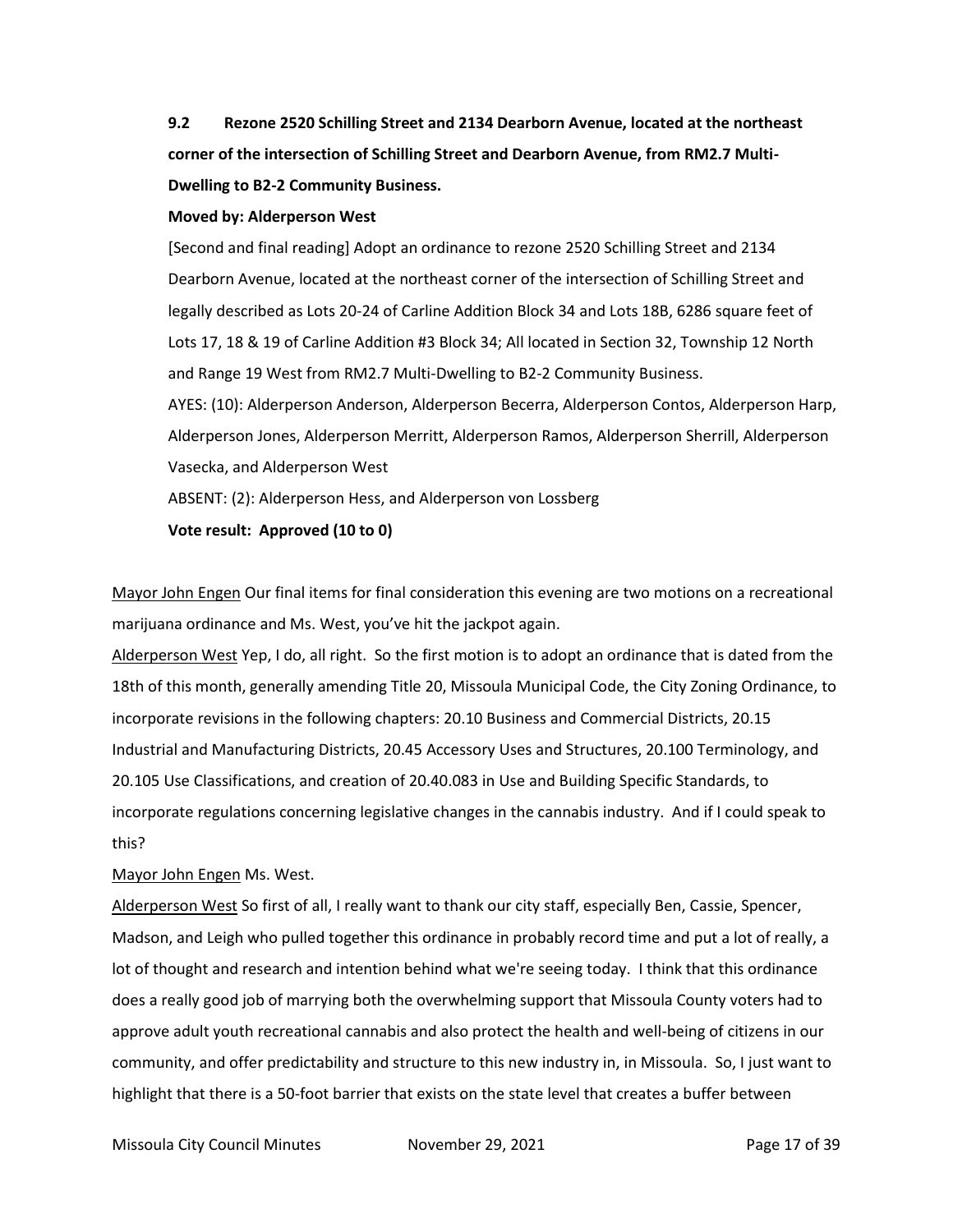**9.2 Rezone 2520 Schilling Street and 2134 Dearborn Avenue, located at the northeast corner of the intersection of Schilling Street and Dearborn Avenue, from RM2.7 Multi-Dwelling to B2-2 Community Business.**

#### **Moved by: Alderperson West**

[Second and final reading] Adopt an ordinance to rezone 2520 Schilling Street and 2134 Dearborn Avenue, located at the northeast corner of the intersection of Schilling Street and legally described as Lots 20-24 of Carline Addition Block 34 and Lots 18B, 6286 square feet of Lots 17, 18 & 19 of Carline Addition #3 Block 34; All located in Section 32, Township 12 North and Range 19 West from RM2.7 Multi-Dwelling to B2-2 Community Business.

AYES: (10): Alderperson Anderson, Alderperson Becerra, Alderperson Contos, Alderperson Harp, Alderperson Jones, Alderperson Merritt, Alderperson Ramos, Alderperson Sherrill, Alderperson Vasecka, and Alderperson West

ABSENT: (2): Alderperson Hess, and Alderperson von Lossberg

**Vote result: Approved (10 to 0)**

Mayor John Engen Our final items for final consideration this evening are two motions on a recreational marijuana ordinance and Ms. West, you've hit the jackpot again.

Alderperson West Yep, I do, all right. So the first motion is to adopt an ordinance that is dated from the 18th of this month, generally amending Title 20, Missoula Municipal Code, the City Zoning Ordinance, to incorporate revisions in the following chapters: 20.10 Business and Commercial Districts, 20.15 Industrial and Manufacturing Districts, 20.45 Accessory Uses and Structures, 20.100 Terminology, and 20.105 Use Classifications, and creation of 20.40.083 in Use and Building Specific Standards, to incorporate regulations concerning legislative changes in the cannabis industry. And if I could speak to this?

#### Mayor John Engen Ms. West.

Alderperson West So first of all, I really want to thank our city staff, especially Ben, Cassie, Spencer, Madson, and Leigh who pulled together this ordinance in probably record time and put a lot of really, a lot of thought and research and intention behind what we're seeing today. I think that this ordinance does a really good job of marrying both the overwhelming support that Missoula County voters had to approve adult youth recreational cannabis and also protect the health and well-being of citizens in our community, and offer predictability and structure to this new industry in, in Missoula. So, I just want to highlight that there is a 50-foot barrier that exists on the state level that creates a buffer between

Missoula City Council Minutes **November 29, 2021 Page 17 of 39**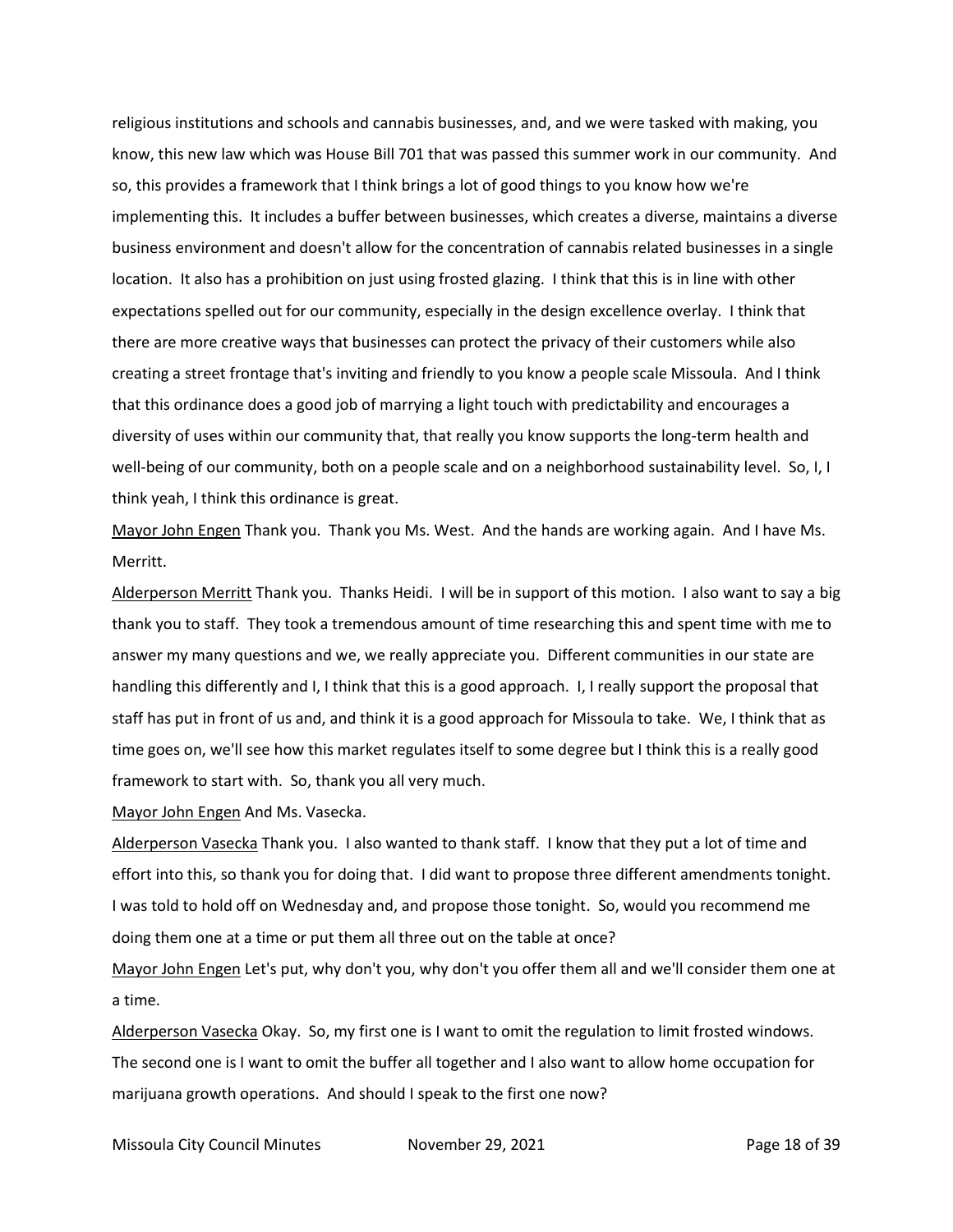religious institutions and schools and cannabis businesses, and, and we were tasked with making, you know, this new law which was House Bill 701 that was passed this summer work in our community. And so, this provides a framework that I think brings a lot of good things to you know how we're implementing this. It includes a buffer between businesses, which creates a diverse, maintains a diverse business environment and doesn't allow for the concentration of cannabis related businesses in a single location. It also has a prohibition on just using frosted glazing. I think that this is in line with other expectations spelled out for our community, especially in the design excellence overlay. I think that there are more creative ways that businesses can protect the privacy of their customers while also creating a street frontage that's inviting and friendly to you know a people scale Missoula. And I think that this ordinance does a good job of marrying a light touch with predictability and encourages a diversity of uses within our community that, that really you know supports the long-term health and well-being of our community, both on a people scale and on a neighborhood sustainability level. So, I, I think yeah, I think this ordinance is great.

Mayor John Engen Thank you. Thank you Ms. West. And the hands are working again. And I have Ms. Merritt.

Alderperson Merritt Thank you. Thanks Heidi. I will be in support of this motion. I also want to say a big thank you to staff. They took a tremendous amount of time researching this and spent time with me to answer my many questions and we, we really appreciate you. Different communities in our state are handling this differently and I, I think that this is a good approach. I, I really support the proposal that staff has put in front of us and, and think it is a good approach for Missoula to take. We, I think that as time goes on, we'll see how this market regulates itself to some degree but I think this is a really good framework to start with. So, thank you all very much.

Mayor John Engen And Ms. Vasecka.

Alderperson Vasecka Thank you. I also wanted to thank staff. I know that they put a lot of time and effort into this, so thank you for doing that. I did want to propose three different amendments tonight. I was told to hold off on Wednesday and, and propose those tonight. So, would you recommend me doing them one at a time or put them all three out on the table at once?

Mayor John Engen Let's put, why don't you, why don't you offer them all and we'll consider them one at a time.

Alderperson Vasecka Okay. So, my first one is I want to omit the regulation to limit frosted windows. The second one is I want to omit the buffer all together and I also want to allow home occupation for marijuana growth operations. And should I speak to the first one now?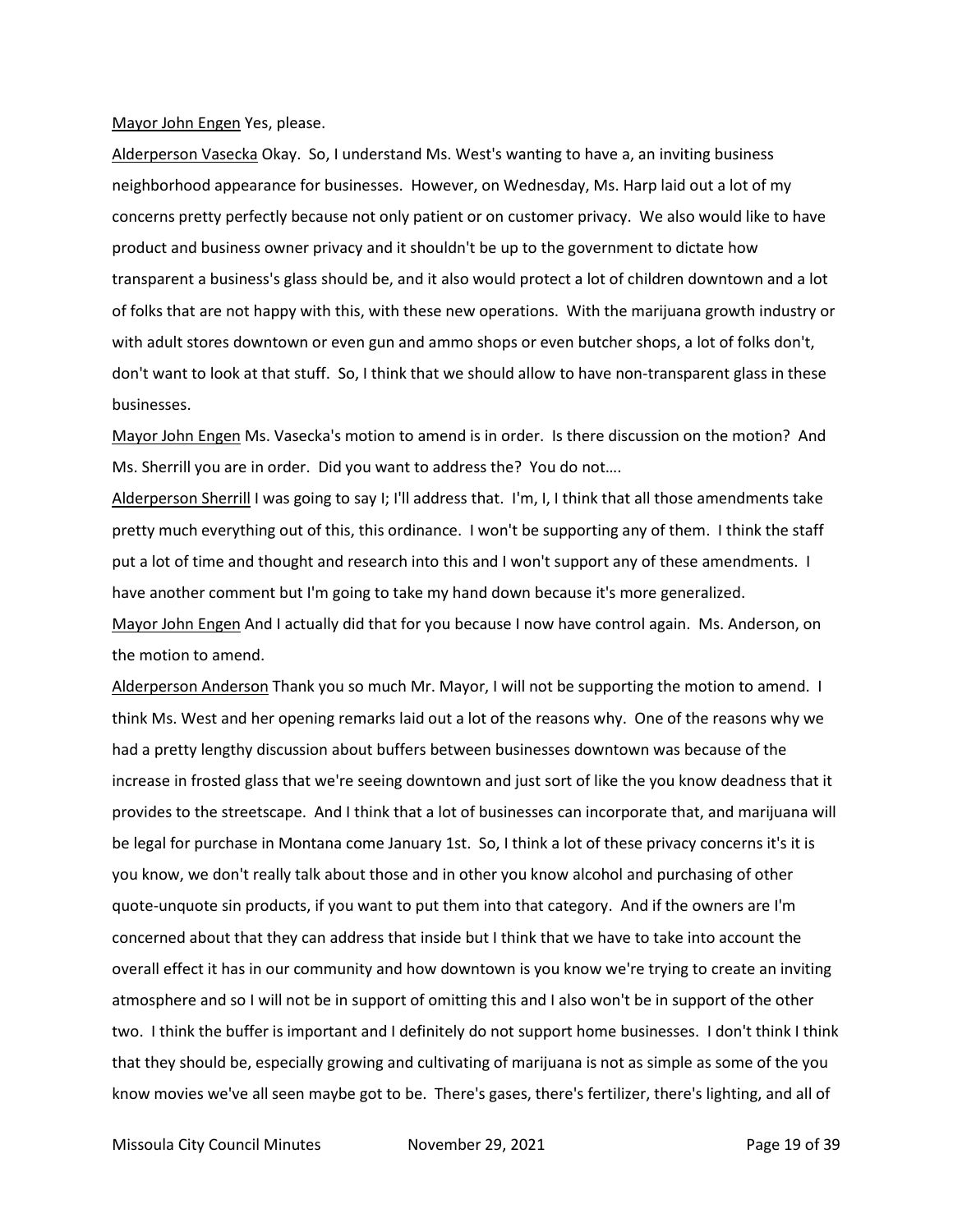#### Mayor John Engen Yes, please.

Alderperson Vasecka Okay. So, I understand Ms. West's wanting to have a, an inviting business neighborhood appearance for businesses. However, on Wednesday, Ms. Harp laid out a lot of my concerns pretty perfectly because not only patient or on customer privacy. We also would like to have product and business owner privacy and it shouldn't be up to the government to dictate how transparent a business's glass should be, and it also would protect a lot of children downtown and a lot of folks that are not happy with this, with these new operations. With the marijuana growth industry or with adult stores downtown or even gun and ammo shops or even butcher shops, a lot of folks don't, don't want to look at that stuff. So, I think that we should allow to have non-transparent glass in these businesses.

Mayor John Engen Ms. Vasecka's motion to amend is in order. Is there discussion on the motion? And Ms. Sherrill you are in order. Did you want to address the? You do not….

Alderperson Sherrill I was going to say I; I'll address that. I'm, I, I think that all those amendments take pretty much everything out of this, this ordinance. I won't be supporting any of them. I think the staff put a lot of time and thought and research into this and I won't support any of these amendments. I have another comment but I'm going to take my hand down because it's more generalized.

Mayor John Engen And I actually did that for you because I now have control again. Ms. Anderson, on the motion to amend.

Alderperson Anderson Thank you so much Mr. Mayor, I will not be supporting the motion to amend. I think Ms. West and her opening remarks laid out a lot of the reasons why. One of the reasons why we had a pretty lengthy discussion about buffers between businesses downtown was because of the increase in frosted glass that we're seeing downtown and just sort of like the you know deadness that it provides to the streetscape. And I think that a lot of businesses can incorporate that, and marijuana will be legal for purchase in Montana come January 1st. So, I think a lot of these privacy concerns it's it is you know, we don't really talk about those and in other you know alcohol and purchasing of other quote-unquote sin products, if you want to put them into that category. And if the owners are I'm concerned about that they can address that inside but I think that we have to take into account the overall effect it has in our community and how downtown is you know we're trying to create an inviting atmosphere and so I will not be in support of omitting this and I also won't be in support of the other two. I think the buffer is important and I definitely do not support home businesses. I don't think I think that they should be, especially growing and cultivating of marijuana is not as simple as some of the you know movies we've all seen maybe got to be. There's gases, there's fertilizer, there's lighting, and all of

Missoula City Council Minutes **November 29, 2021** Page 19 of 39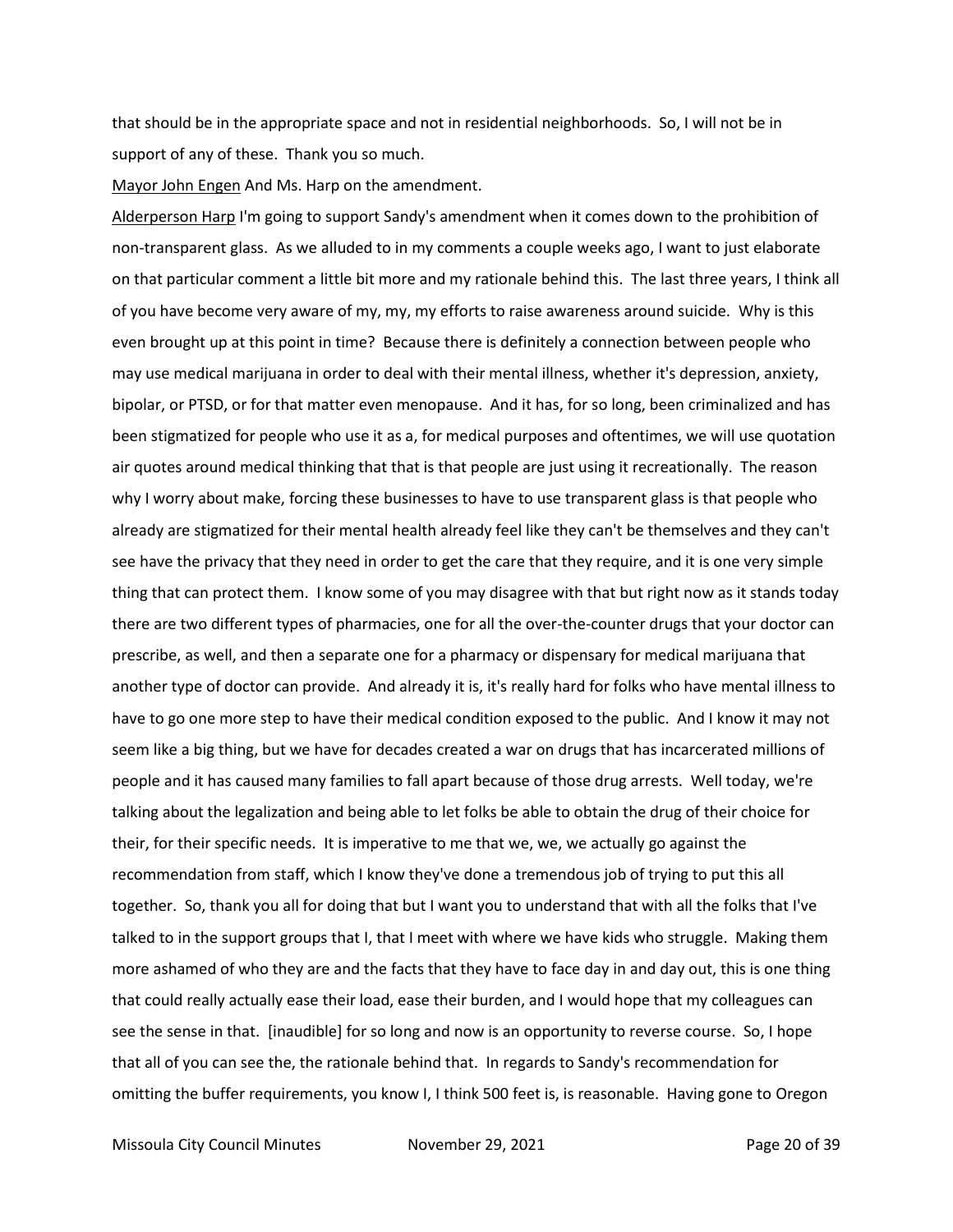that should be in the appropriate space and not in residential neighborhoods. So, I will not be in support of any of these. Thank you so much.

Mayor John Engen And Ms. Harp on the amendment.

Alderperson Harp I'm going to support Sandy's amendment when it comes down to the prohibition of non-transparent glass. As we alluded to in my comments a couple weeks ago, I want to just elaborate on that particular comment a little bit more and my rationale behind this. The last three years, I think all of you have become very aware of my, my, my efforts to raise awareness around suicide. Why is this even brought up at this point in time? Because there is definitely a connection between people who may use medical marijuana in order to deal with their mental illness, whether it's depression, anxiety, bipolar, or PTSD, or for that matter even menopause. And it has, for so long, been criminalized and has been stigmatized for people who use it as a, for medical purposes and oftentimes, we will use quotation air quotes around medical thinking that that is that people are just using it recreationally. The reason why I worry about make, forcing these businesses to have to use transparent glass is that people who already are stigmatized for their mental health already feel like they can't be themselves and they can't see have the privacy that they need in order to get the care that they require, and it is one very simple thing that can protect them. I know some of you may disagree with that but right now as it stands today there are two different types of pharmacies, one for all the over-the-counter drugs that your doctor can prescribe, as well, and then a separate one for a pharmacy or dispensary for medical marijuana that another type of doctor can provide. And already it is, it's really hard for folks who have mental illness to have to go one more step to have their medical condition exposed to the public. And I know it may not seem like a big thing, but we have for decades created a war on drugs that has incarcerated millions of people and it has caused many families to fall apart because of those drug arrests. Well today, we're talking about the legalization and being able to let folks be able to obtain the drug of their choice for their, for their specific needs. It is imperative to me that we, we, we actually go against the recommendation from staff, which I know they've done a tremendous job of trying to put this all together. So, thank you all for doing that but I want you to understand that with all the folks that I've talked to in the support groups that I, that I meet with where we have kids who struggle. Making them more ashamed of who they are and the facts that they have to face day in and day out, this is one thing that could really actually ease their load, ease their burden, and I would hope that my colleagues can see the sense in that. [inaudible] for so long and now is an opportunity to reverse course. So, I hope that all of you can see the, the rationale behind that. In regards to Sandy's recommendation for omitting the buffer requirements, you know I, I think 500 feet is, is reasonable. Having gone to Oregon

Missoula City Council Minutes **November 29, 2021 Page 20 of 39**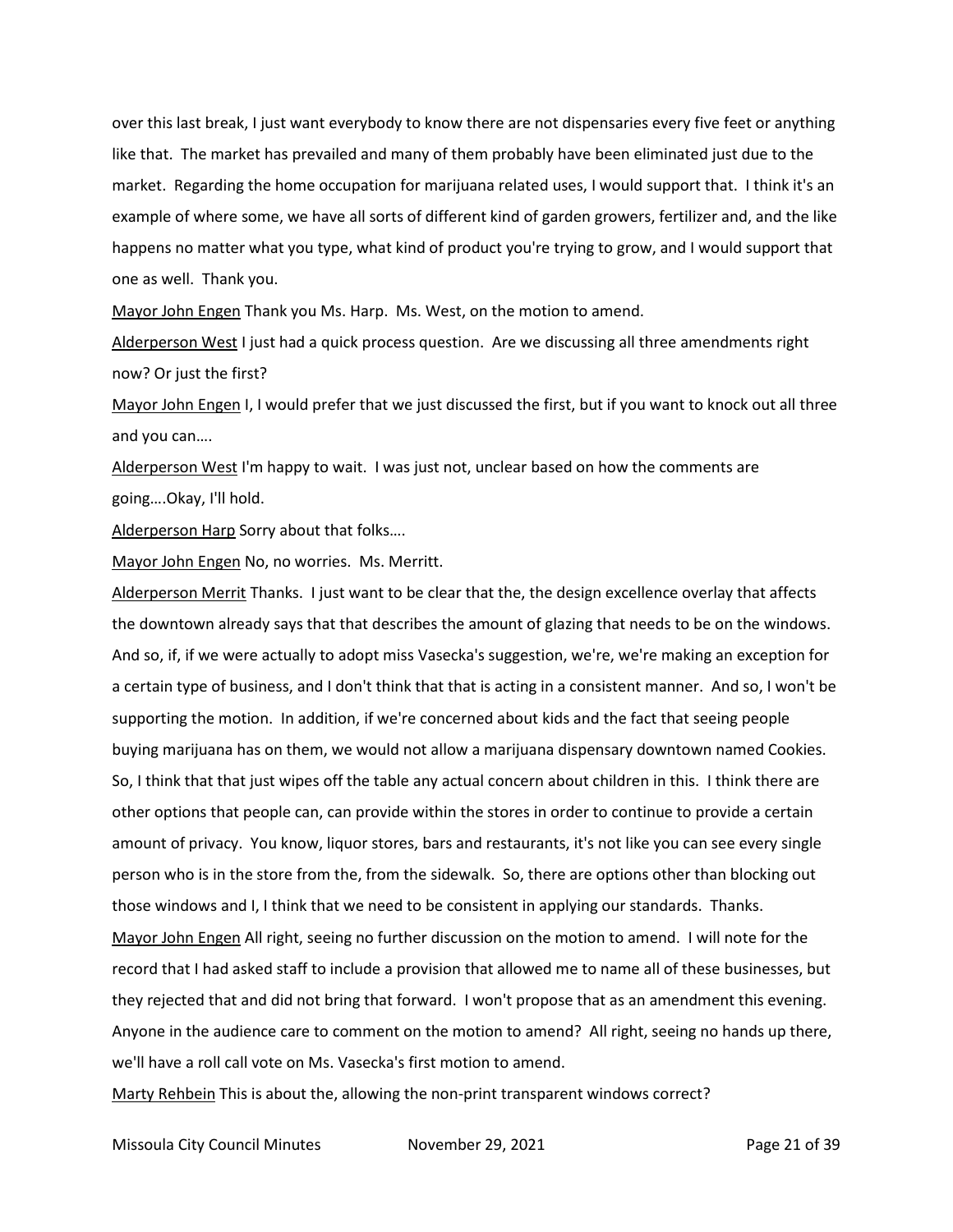over this last break, I just want everybody to know there are not dispensaries every five feet or anything like that. The market has prevailed and many of them probably have been eliminated just due to the market. Regarding the home occupation for marijuana related uses, I would support that. I think it's an example of where some, we have all sorts of different kind of garden growers, fertilizer and, and the like happens no matter what you type, what kind of product you're trying to grow, and I would support that one as well. Thank you.

Mayor John Engen Thank you Ms. Harp. Ms. West, on the motion to amend.

Alderperson West I just had a quick process question. Are we discussing all three amendments right now? Or just the first?

Mayor John Engen I, I would prefer that we just discussed the first, but if you want to knock out all three and you can….

Alderperson West I'm happy to wait. I was just not, unclear based on how the comments are going….Okay, I'll hold.

Alderperson Harp Sorry about that folks....

Mayor John Engen No, no worries. Ms. Merritt.

Alderperson Merrit Thanks. I just want to be clear that the, the design excellence overlay that affects the downtown already says that that describes the amount of glazing that needs to be on the windows. And so, if, if we were actually to adopt miss Vasecka's suggestion, we're, we're making an exception for a certain type of business, and I don't think that that is acting in a consistent manner. And so, I won't be supporting the motion. In addition, if we're concerned about kids and the fact that seeing people buying marijuana has on them, we would not allow a marijuana dispensary downtown named Cookies. So, I think that that just wipes off the table any actual concern about children in this. I think there are other options that people can, can provide within the stores in order to continue to provide a certain amount of privacy. You know, liquor stores, bars and restaurants, it's not like you can see every single person who is in the store from the, from the sidewalk. So, there are options other than blocking out those windows and I, I think that we need to be consistent in applying our standards. Thanks. Mayor John Engen All right, seeing no further discussion on the motion to amend. I will note for the record that I had asked staff to include a provision that allowed me to name all of these businesses, but they rejected that and did not bring that forward. I won't propose that as an amendment this evening. Anyone in the audience care to comment on the motion to amend? All right, seeing no hands up there, we'll have a roll call vote on Ms. Vasecka's first motion to amend.

Marty Rehbein This is about the, allowing the non-print transparent windows correct?

Missoula City Council Minutes **November 29, 2021 Page 21 of 39**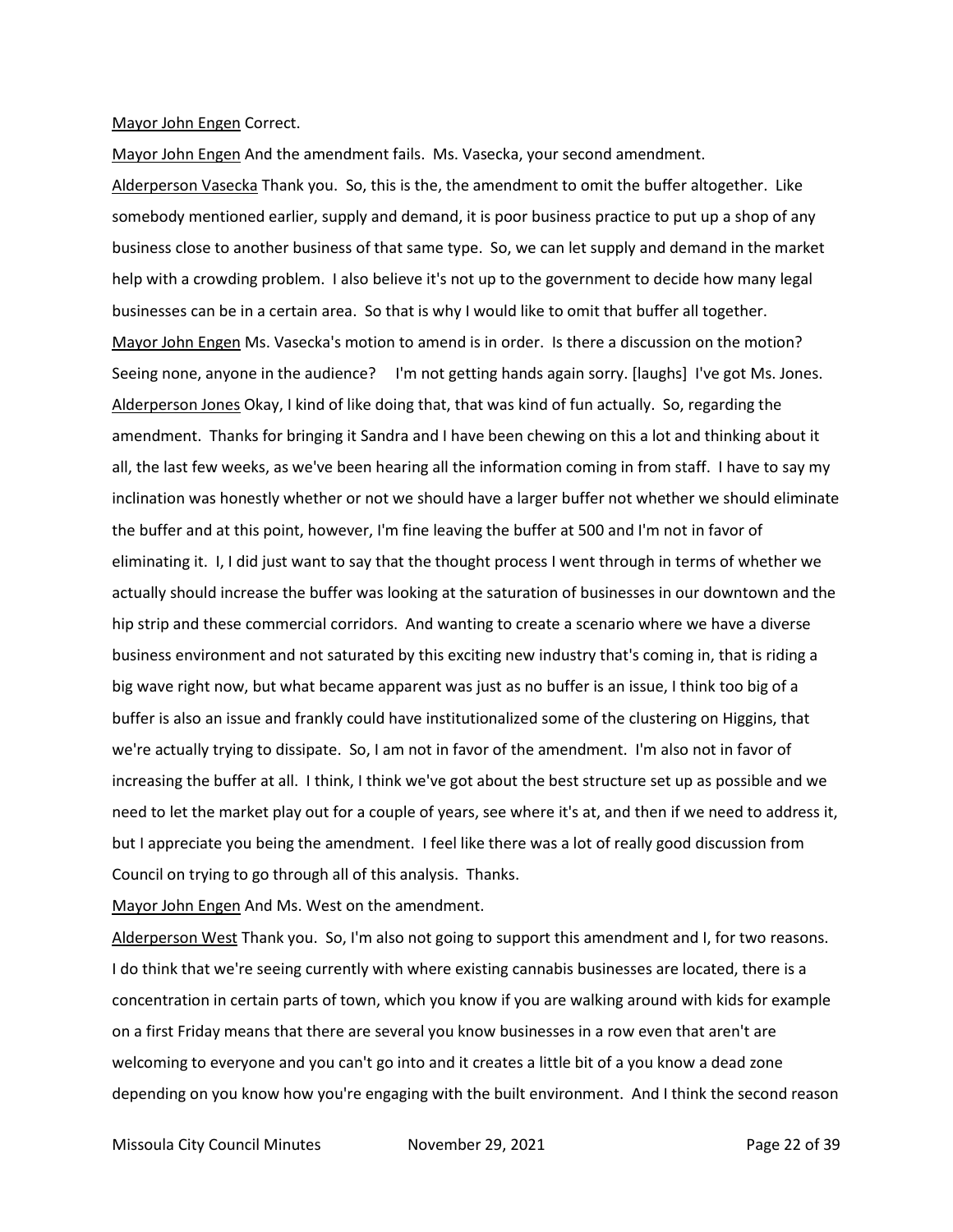#### Mayor John Engen Correct.

Mayor John Engen And the amendment fails. Ms. Vasecka, your second amendment.

Alderperson Vasecka Thank you. So, this is the, the amendment to omit the buffer altogether. Like somebody mentioned earlier, supply and demand, it is poor business practice to put up a shop of any business close to another business of that same type. So, we can let supply and demand in the market help with a crowding problem. I also believe it's not up to the government to decide how many legal businesses can be in a certain area. So that is why I would like to omit that buffer all together. Mayor John Engen Ms. Vasecka's motion to amend is in order. Is there a discussion on the motion? Seeing none, anyone in the audience? I'm not getting hands again sorry. [laughs] I've got Ms. Jones. Alderperson Jones Okay, I kind of like doing that, that was kind of fun actually. So, regarding the amendment. Thanks for bringing it Sandra and I have been chewing on this a lot and thinking about it all, the last few weeks, as we've been hearing all the information coming in from staff. I have to say my inclination was honestly whether or not we should have a larger buffer not whether we should eliminate the buffer and at this point, however, I'm fine leaving the buffer at 500 and I'm not in favor of eliminating it. I, I did just want to say that the thought process I went through in terms of whether we actually should increase the buffer was looking at the saturation of businesses in our downtown and the hip strip and these commercial corridors. And wanting to create a scenario where we have a diverse business environment and not saturated by this exciting new industry that's coming in, that is riding a big wave right now, but what became apparent was just as no buffer is an issue, I think too big of a buffer is also an issue and frankly could have institutionalized some of the clustering on Higgins, that we're actually trying to dissipate. So, I am not in favor of the amendment. I'm also not in favor of increasing the buffer at all. I think, I think we've got about the best structure set up as possible and we need to let the market play out for a couple of years, see where it's at, and then if we need to address it, but I appreciate you being the amendment. I feel like there was a lot of really good discussion from Council on trying to go through all of this analysis. Thanks.

Mayor John Engen And Ms. West on the amendment.

Alderperson West Thank you. So, I'm also not going to support this amendment and I, for two reasons. I do think that we're seeing currently with where existing cannabis businesses are located, there is a concentration in certain parts of town, which you know if you are walking around with kids for example on a first Friday means that there are several you know businesses in a row even that aren't are welcoming to everyone and you can't go into and it creates a little bit of a you know a dead zone depending on you know how you're engaging with the built environment. And I think the second reason

Missoula City Council Minutes **November 29, 2021 Page 22 of 39**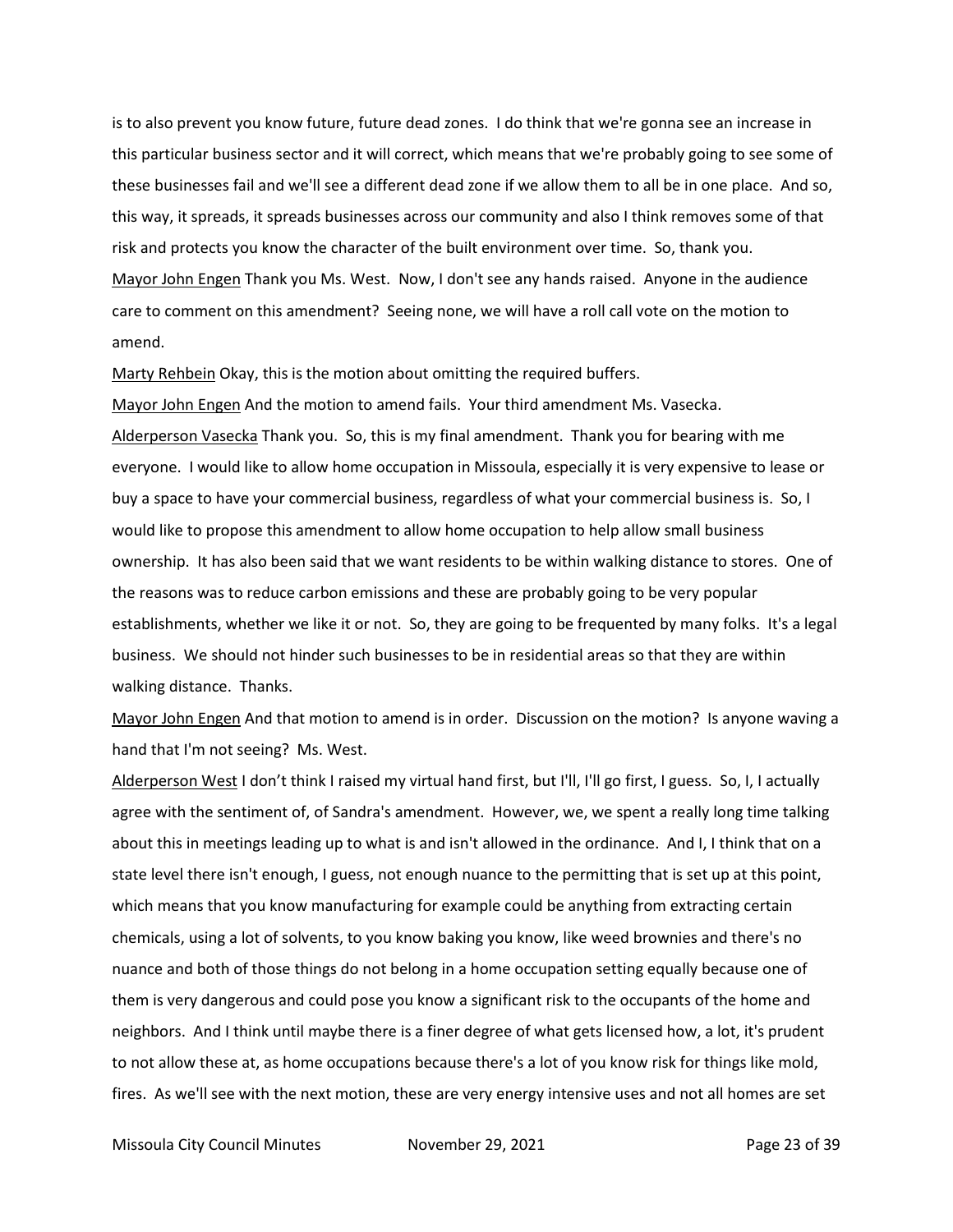is to also prevent you know future, future dead zones. I do think that we're gonna see an increase in this particular business sector and it will correct, which means that we're probably going to see some of these businesses fail and we'll see a different dead zone if we allow them to all be in one place. And so, this way, it spreads, it spreads businesses across our community and also I think removes some of that risk and protects you know the character of the built environment over time. So, thank you. Mayor John Engen Thank you Ms. West. Now, I don't see any hands raised. Anyone in the audience care to comment on this amendment? Seeing none, we will have a roll call vote on the motion to amend.

Marty Rehbein Okay, this is the motion about omitting the required buffers.

Mayor John Engen And the motion to amend fails. Your third amendment Ms. Vasecka. Alderperson Vasecka Thank you. So, this is my final amendment. Thank you for bearing with me everyone. I would like to allow home occupation in Missoula, especially it is very expensive to lease or buy a space to have your commercial business, regardless of what your commercial business is. So, I would like to propose this amendment to allow home occupation to help allow small business ownership. It has also been said that we want residents to be within walking distance to stores. One of the reasons was to reduce carbon emissions and these are probably going to be very popular establishments, whether we like it or not. So, they are going to be frequented by many folks. It's a legal business. We should not hinder such businesses to be in residential areas so that they are within walking distance. Thanks.

Mayor John Engen And that motion to amend is in order. Discussion on the motion? Is anyone waving a hand that I'm not seeing? Ms. West.

Alderperson West I don't think I raised my virtual hand first, but I'll, I'll go first, I guess. So, I, I actually agree with the sentiment of, of Sandra's amendment. However, we, we spent a really long time talking about this in meetings leading up to what is and isn't allowed in the ordinance. And I, I think that on a state level there isn't enough, I guess, not enough nuance to the permitting that is set up at this point, which means that you know manufacturing for example could be anything from extracting certain chemicals, using a lot of solvents, to you know baking you know, like weed brownies and there's no nuance and both of those things do not belong in a home occupation setting equally because one of them is very dangerous and could pose you know a significant risk to the occupants of the home and neighbors. And I think until maybe there is a finer degree of what gets licensed how, a lot, it's prudent to not allow these at, as home occupations because there's a lot of you know risk for things like mold, fires. As we'll see with the next motion, these are very energy intensive uses and not all homes are set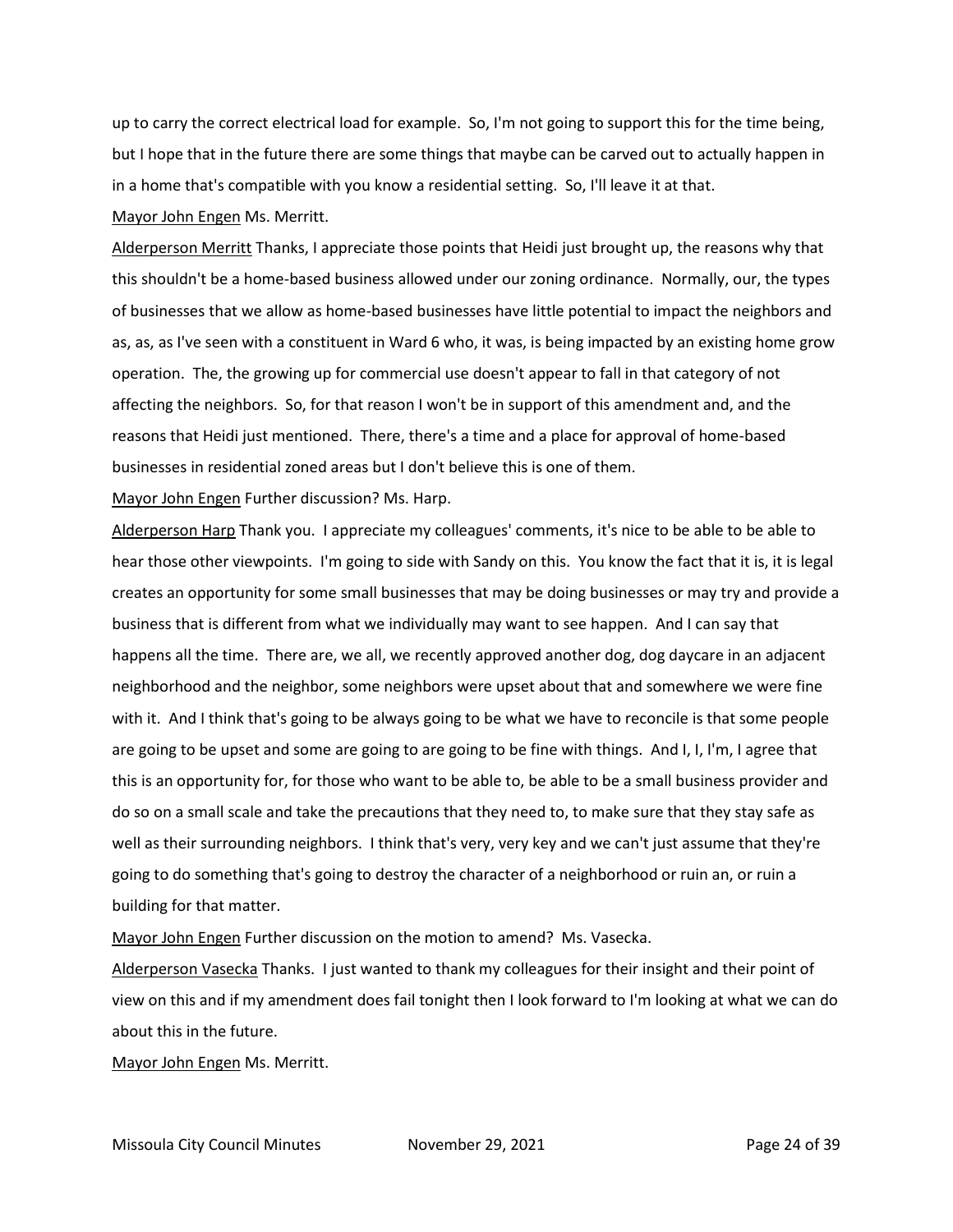up to carry the correct electrical load for example. So, I'm not going to support this for the time being, but I hope that in the future there are some things that maybe can be carved out to actually happen in in a home that's compatible with you know a residential setting. So, I'll leave it at that.

Mayor John Engen Ms. Merritt.

Alderperson Merritt Thanks, I appreciate those points that Heidi just brought up, the reasons why that this shouldn't be a home-based business allowed under our zoning ordinance. Normally, our, the types of businesses that we allow as home-based businesses have little potential to impact the neighbors and as, as, as I've seen with a constituent in Ward 6 who, it was, is being impacted by an existing home grow operation. The, the growing up for commercial use doesn't appear to fall in that category of not affecting the neighbors. So, for that reason I won't be in support of this amendment and, and the reasons that Heidi just mentioned. There, there's a time and a place for approval of home-based businesses in residential zoned areas but I don't believe this is one of them.

Mayor John Engen Further discussion? Ms. Harp.

Alderperson Harp Thank you. I appreciate my colleagues' comments, it's nice to be able to be able to hear those other viewpoints. I'm going to side with Sandy on this. You know the fact that it is, it is legal creates an opportunity for some small businesses that may be doing businesses or may try and provide a business that is different from what we individually may want to see happen. And I can say that happens all the time. There are, we all, we recently approved another dog, dog daycare in an adjacent neighborhood and the neighbor, some neighbors were upset about that and somewhere we were fine with it. And I think that's going to be always going to be what we have to reconcile is that some people are going to be upset and some are going to are going to be fine with things. And I, I, I'm, I agree that this is an opportunity for, for those who want to be able to, be able to be a small business provider and do so on a small scale and take the precautions that they need to, to make sure that they stay safe as well as their surrounding neighbors. I think that's very, very key and we can't just assume that they're going to do something that's going to destroy the character of a neighborhood or ruin an, or ruin a building for that matter.

Mayor John Engen Further discussion on the motion to amend? Ms. Vasecka.

Alderperson Vasecka Thanks. I just wanted to thank my colleagues for their insight and their point of view on this and if my amendment does fail tonight then I look forward to I'm looking at what we can do about this in the future.

Mayor John Engen Ms. Merritt.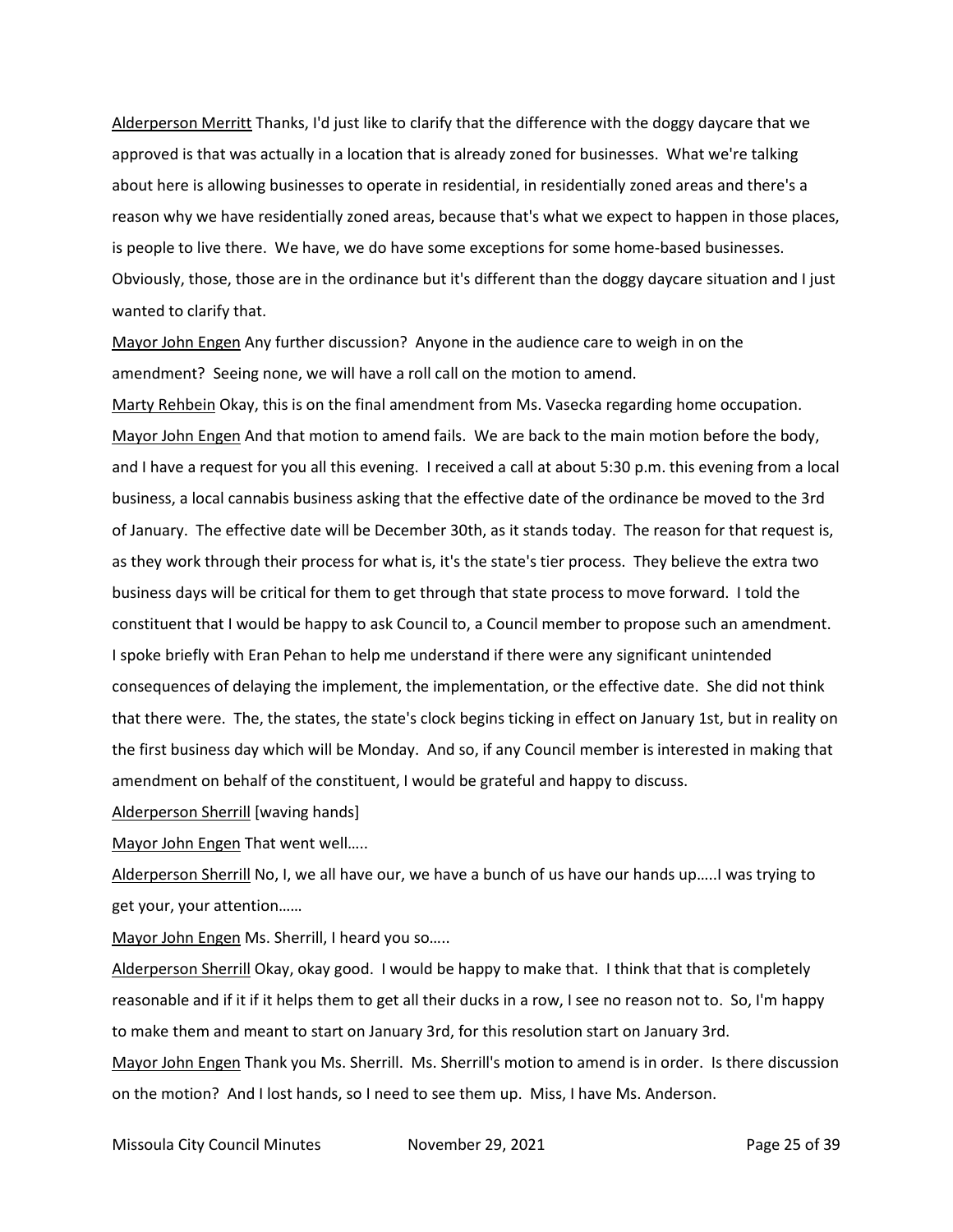Alderperson Merritt Thanks, I'd just like to clarify that the difference with the doggy daycare that we approved is that was actually in a location that is already zoned for businesses. What we're talking about here is allowing businesses to operate in residential, in residentially zoned areas and there's a reason why we have residentially zoned areas, because that's what we expect to happen in those places, is people to live there. We have, we do have some exceptions for some home-based businesses. Obviously, those, those are in the ordinance but it's different than the doggy daycare situation and I just wanted to clarify that.

Mayor John Engen Any further discussion? Anyone in the audience care to weigh in on the amendment? Seeing none, we will have a roll call on the motion to amend.

Marty Rehbein Okay, this is on the final amendment from Ms. Vasecka regarding home occupation. Mayor John Engen And that motion to amend fails. We are back to the main motion before the body, and I have a request for you all this evening. I received a call at about 5:30 p.m. this evening from a local business, a local cannabis business asking that the effective date of the ordinance be moved to the 3rd of January. The effective date will be December 30th, as it stands today. The reason for that request is, as they work through their process for what is, it's the state's tier process. They believe the extra two business days will be critical for them to get through that state process to move forward. I told the constituent that I would be happy to ask Council to, a Council member to propose such an amendment. I spoke briefly with Eran Pehan to help me understand if there were any significant unintended consequences of delaying the implement, the implementation, or the effective date. She did not think that there were. The, the states, the state's clock begins ticking in effect on January 1st, but in reality on the first business day which will be Monday. And so, if any Council member is interested in making that amendment on behalf of the constituent, I would be grateful and happy to discuss.

Alderperson Sherrill [waving hands]

Mayor John Engen That went well…..

Alderperson Sherrill No, I, we all have our, we have a bunch of us have our hands up…..I was trying to get your, your attention……

Mayor John Engen Ms. Sherrill, I heard you so…..

Alderperson Sherrill Okay, okay good. I would be happy to make that. I think that that is completely reasonable and if it if it helps them to get all their ducks in a row, I see no reason not to. So, I'm happy to make them and meant to start on January 3rd, for this resolution start on January 3rd. Mayor John Engen Thank you Ms. Sherrill. Ms. Sherrill's motion to amend is in order. Is there discussion on the motion? And I lost hands, so I need to see them up. Miss, I have Ms. Anderson.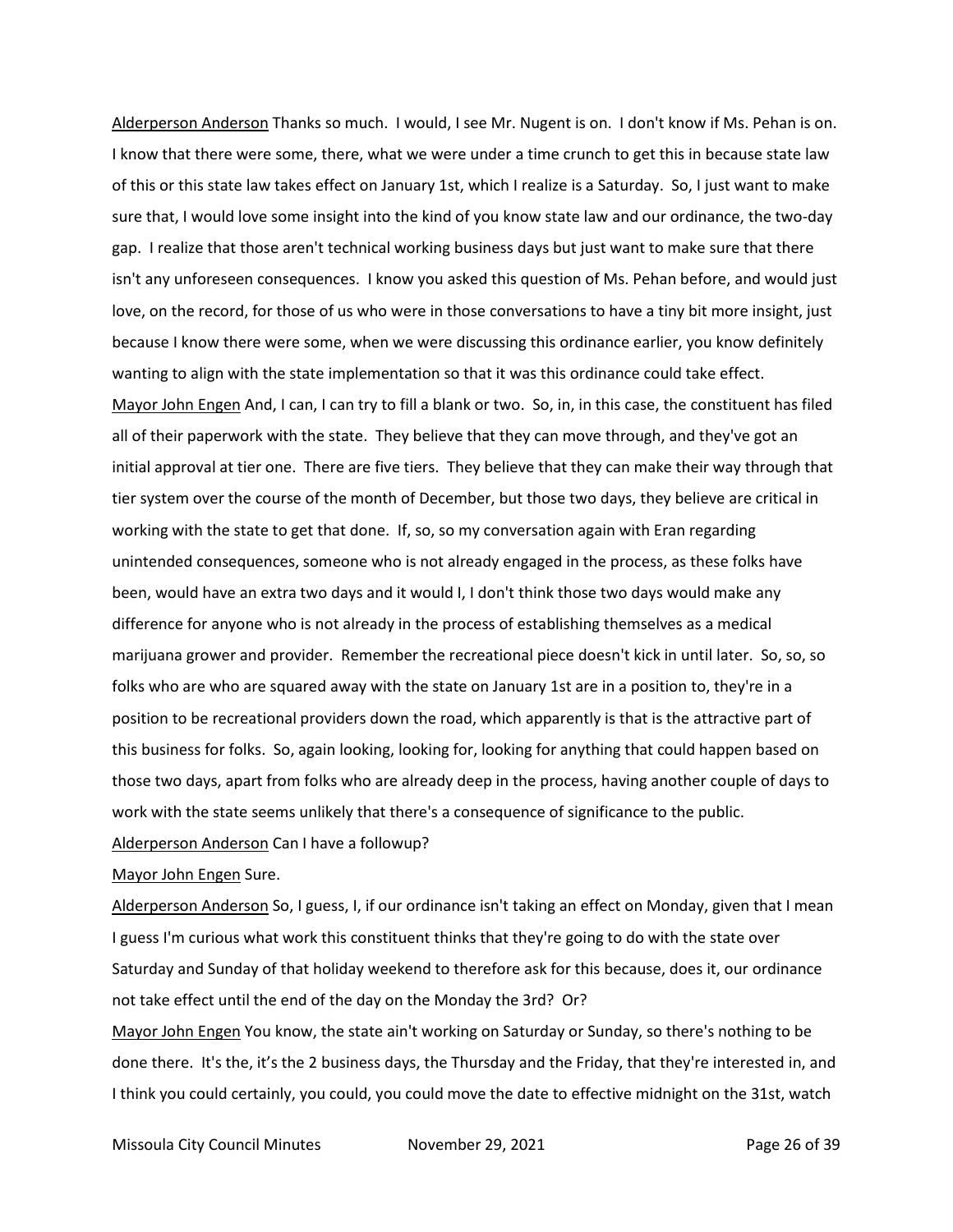Alderperson Anderson Thanks so much. I would, I see Mr. Nugent is on. I don't know if Ms. Pehan is on. I know that there were some, there, what we were under a time crunch to get this in because state law of this or this state law takes effect on January 1st, which I realize is a Saturday. So, I just want to make sure that, I would love some insight into the kind of you know state law and our ordinance, the two-day gap. I realize that those aren't technical working business days but just want to make sure that there isn't any unforeseen consequences. I know you asked this question of Ms. Pehan before, and would just love, on the record, for those of us who were in those conversations to have a tiny bit more insight, just because I know there were some, when we were discussing this ordinance earlier, you know definitely wanting to align with the state implementation so that it was this ordinance could take effect. Mayor John Engen And, I can, I can try to fill a blank or two. So, in, in this case, the constituent has filed all of their paperwork with the state. They believe that they can move through, and they've got an initial approval at tier one. There are five tiers. They believe that they can make their way through that tier system over the course of the month of December, but those two days, they believe are critical in working with the state to get that done. If, so, so my conversation again with Eran regarding unintended consequences, someone who is not already engaged in the process, as these folks have been, would have an extra two days and it would I, I don't think those two days would make any difference for anyone who is not already in the process of establishing themselves as a medical marijuana grower and provider. Remember the recreational piece doesn't kick in until later. So, so, so folks who are who are squared away with the state on January 1st are in a position to, they're in a position to be recreational providers down the road, which apparently is that is the attractive part of this business for folks. So, again looking, looking for, looking for anything that could happen based on those two days, apart from folks who are already deep in the process, having another couple of days to work with the state seems unlikely that there's a consequence of significance to the public. Alderperson Anderson Can I have a followup?

#### Mayor John Engen Sure.

Alderperson Anderson So, I guess, I, if our ordinance isn't taking an effect on Monday, given that I mean I guess I'm curious what work this constituent thinks that they're going to do with the state over Saturday and Sunday of that holiday weekend to therefore ask for this because, does it, our ordinance not take effect until the end of the day on the Monday the 3rd? Or?

Mayor John Engen You know, the state ain't working on Saturday or Sunday, so there's nothing to be done there. It's the, it's the 2 business days, the Thursday and the Friday, that they're interested in, and I think you could certainly, you could, you could move the date to effective midnight on the 31st, watch

Missoula City Council Minutes **November 29, 2021 Page 26 of 39**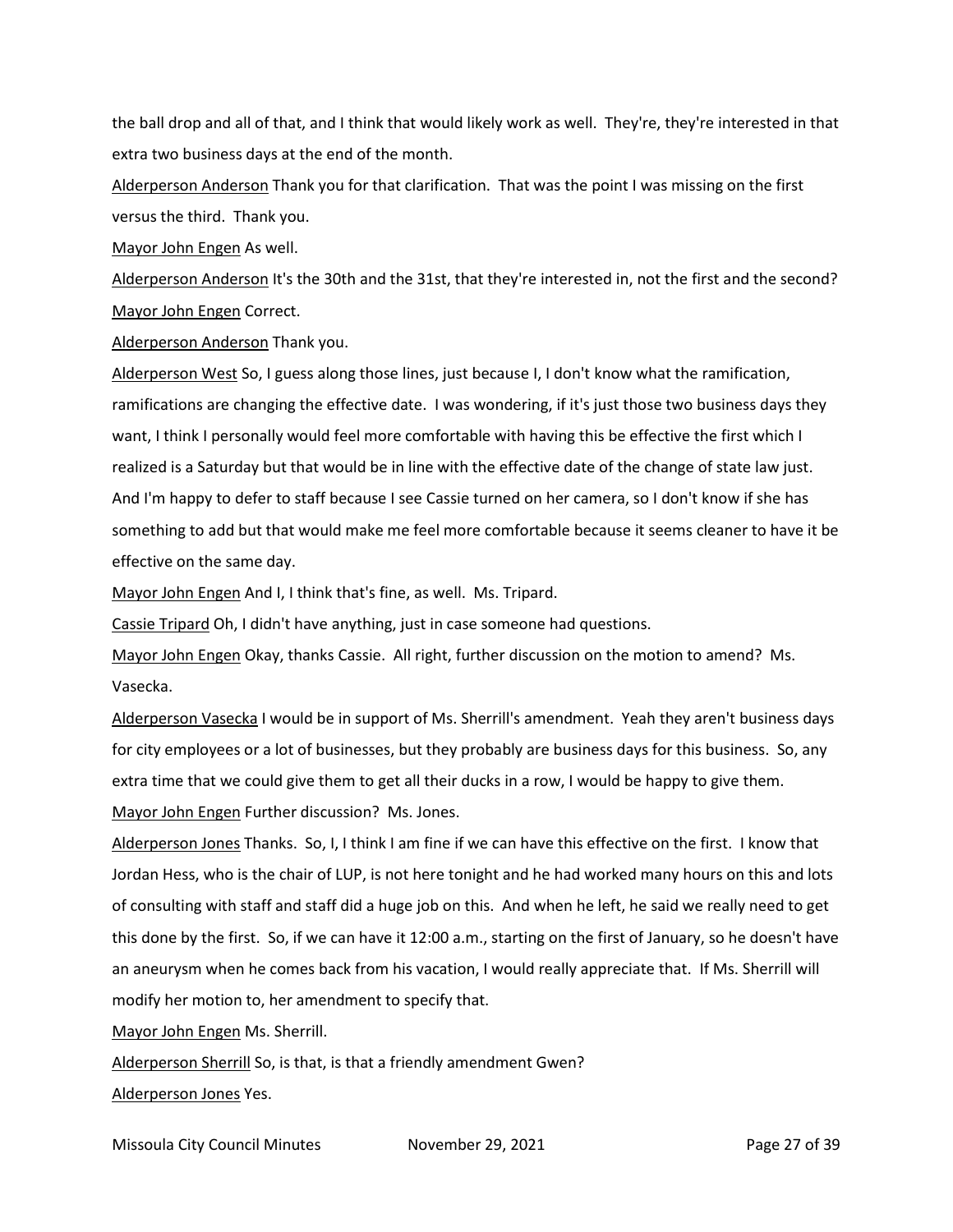the ball drop and all of that, and I think that would likely work as well. They're, they're interested in that extra two business days at the end of the month.

Alderperson Anderson Thank you for that clarification. That was the point I was missing on the first versus the third. Thank you.

Mayor John Engen As well.

Alderperson Anderson It's the 30th and the 31st, that they're interested in, not the first and the second? Mayor John Engen Correct.

Alderperson Anderson Thank you.

Alderperson West So, I guess along those lines, just because I, I don't know what the ramification, ramifications are changing the effective date. I was wondering, if it's just those two business days they want, I think I personally would feel more comfortable with having this be effective the first which I realized is a Saturday but that would be in line with the effective date of the change of state law just. And I'm happy to defer to staff because I see Cassie turned on her camera, so I don't know if she has something to add but that would make me feel more comfortable because it seems cleaner to have it be effective on the same day.

Mayor John Engen And I, I think that's fine, as well. Ms. Tripard.

Cassie Tripard Oh, I didn't have anything, just in case someone had questions.

Mayor John Engen Okay, thanks Cassie. All right, further discussion on the motion to amend? Ms. Vasecka.

Alderperson Vasecka I would be in support of Ms. Sherrill's amendment. Yeah they aren't business days for city employees or a lot of businesses, but they probably are business days for this business. So, any extra time that we could give them to get all their ducks in a row, I would be happy to give them. Mayor John Engen Further discussion? Ms. Jones.

Alderperson Jones Thanks. So, I, I think I am fine if we can have this effective on the first. I know that Jordan Hess, who is the chair of LUP, is not here tonight and he had worked many hours on this and lots of consulting with staff and staff did a huge job on this. And when he left, he said we really need to get this done by the first. So, if we can have it 12:00 a.m., starting on the first of January, so he doesn't have an aneurysm when he comes back from his vacation, I would really appreciate that. If Ms. Sherrill will modify her motion to, her amendment to specify that.

Mayor John Engen Ms. Sherrill.

Alderperson Sherrill So, is that, is that a friendly amendment Gwen? Alderperson Jones Yes.

Missoula City Council Minutes **November 29, 2021 Page 27 of 39**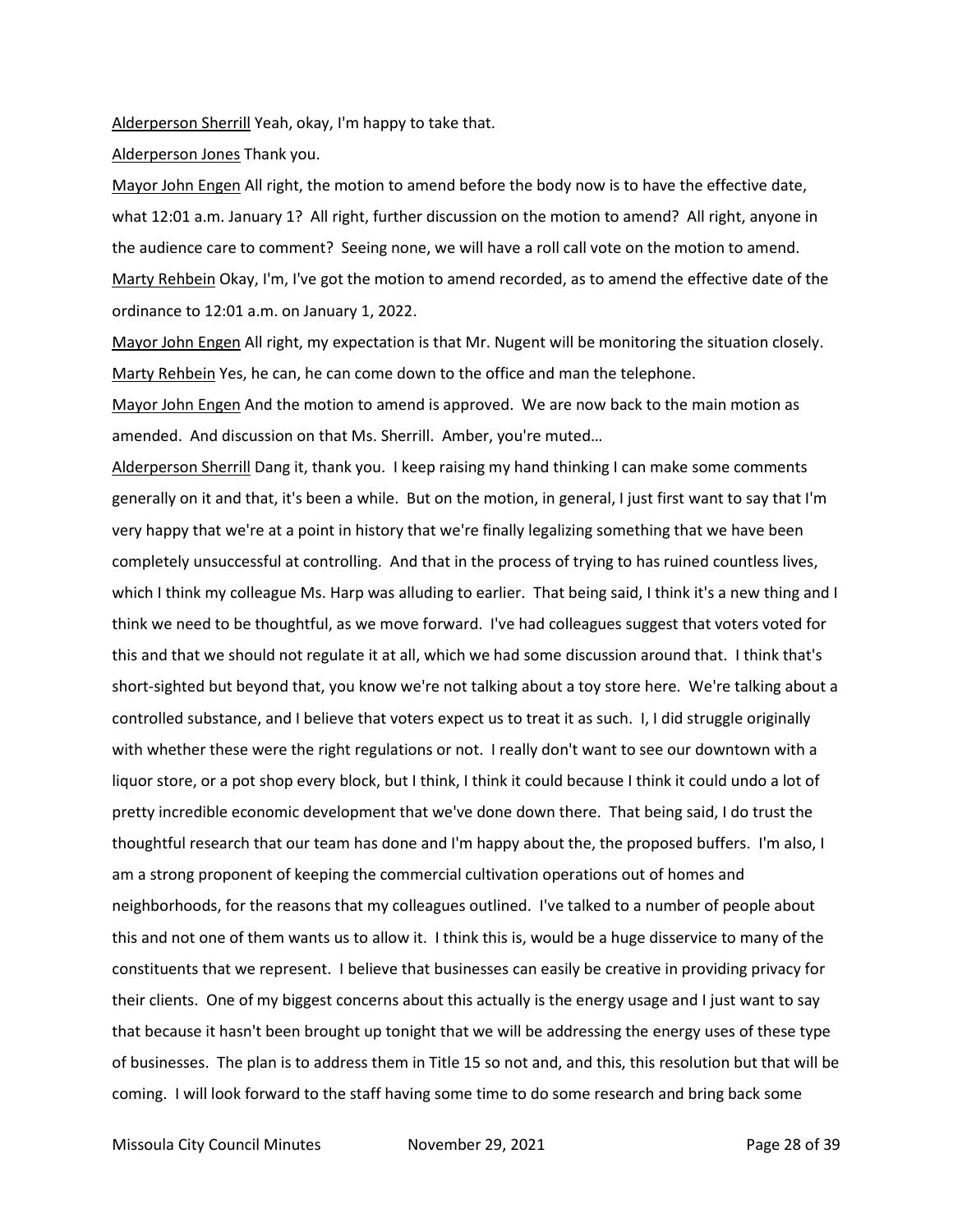Alderperson Sherrill Yeah, okay, I'm happy to take that.

Alderperson Jones Thank you.

Mayor John Engen All right, the motion to amend before the body now is to have the effective date, what 12:01 a.m. January 1? All right, further discussion on the motion to amend? All right, anyone in the audience care to comment? Seeing none, we will have a roll call vote on the motion to amend. Marty Rehbein Okay, I'm, I've got the motion to amend recorded, as to amend the effective date of the ordinance to 12:01 a.m. on January 1, 2022.

Mayor John Engen All right, my expectation is that Mr. Nugent will be monitoring the situation closely. Marty Rehbein Yes, he can, he can come down to the office and man the telephone.

Mayor John Engen And the motion to amend is approved. We are now back to the main motion as amended. And discussion on that Ms. Sherrill. Amber, you're muted…

Alderperson Sherrill Dang it, thank you. I keep raising my hand thinking I can make some comments generally on it and that, it's been a while. But on the motion, in general, I just first want to say that I'm very happy that we're at a point in history that we're finally legalizing something that we have been completely unsuccessful at controlling. And that in the process of trying to has ruined countless lives, which I think my colleague Ms. Harp was alluding to earlier. That being said, I think it's a new thing and I think we need to be thoughtful, as we move forward. I've had colleagues suggest that voters voted for this and that we should not regulate it at all, which we had some discussion around that. I think that's short-sighted but beyond that, you know we're not talking about a toy store here. We're talking about a controlled substance, and I believe that voters expect us to treat it as such. I, I did struggle originally with whether these were the right regulations or not. I really don't want to see our downtown with a liquor store, or a pot shop every block, but I think, I think it could because I think it could undo a lot of pretty incredible economic development that we've done down there. That being said, I do trust the thoughtful research that our team has done and I'm happy about the, the proposed buffers. I'm also, I am a strong proponent of keeping the commercial cultivation operations out of homes and neighborhoods, for the reasons that my colleagues outlined. I've talked to a number of people about this and not one of them wants us to allow it. I think this is, would be a huge disservice to many of the constituents that we represent. I believe that businesses can easily be creative in providing privacy for their clients. One of my biggest concerns about this actually is the energy usage and I just want to say that because it hasn't been brought up tonight that we will be addressing the energy uses of these type of businesses. The plan is to address them in Title 15 so not and, and this, this resolution but that will be coming. I will look forward to the staff having some time to do some research and bring back some

Missoula City Council Minutes **November 29, 2021 Page 28 of 39**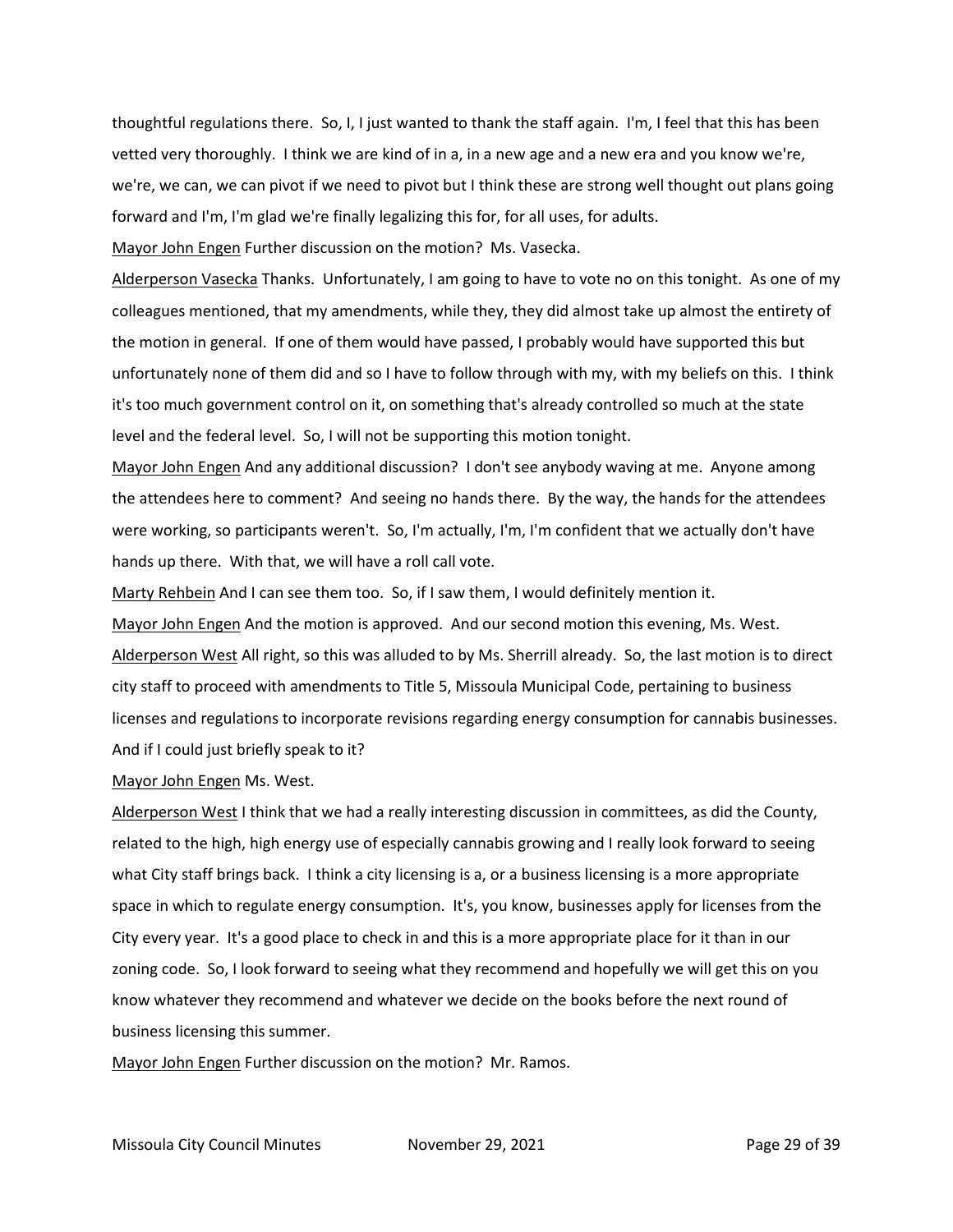thoughtful regulations there. So, I, I just wanted to thank the staff again. I'm, I feel that this has been vetted very thoroughly. I think we are kind of in a, in a new age and a new era and you know we're, we're, we can, we can pivot if we need to pivot but I think these are strong well thought out plans going forward and I'm, I'm glad we're finally legalizing this for, for all uses, for adults.

Mayor John Engen Further discussion on the motion? Ms. Vasecka.

Alderperson Vasecka Thanks. Unfortunately, I am going to have to vote no on this tonight. As one of my colleagues mentioned, that my amendments, while they, they did almost take up almost the entirety of the motion in general. If one of them would have passed, I probably would have supported this but unfortunately none of them did and so I have to follow through with my, with my beliefs on this. I think it's too much government control on it, on something that's already controlled so much at the state level and the federal level. So, I will not be supporting this motion tonight.

Mayor John Engen And any additional discussion? I don't see anybody waving at me. Anyone among the attendees here to comment? And seeing no hands there. By the way, the hands for the attendees were working, so participants weren't. So, I'm actually, I'm, I'm confident that we actually don't have hands up there. With that, we will have a roll call vote.

Marty Rehbein And I can see them too. So, if I saw them, I would definitely mention it.

Mayor John Engen And the motion is approved. And our second motion this evening, Ms. West. Alderperson West All right, so this was alluded to by Ms. Sherrill already. So, the last motion is to direct city staff to proceed with amendments to Title 5, Missoula Municipal Code, pertaining to business licenses and regulations to incorporate revisions regarding energy consumption for cannabis businesses. And if I could just briefly speak to it?

Mayor John Engen Ms. West.

Alderperson West I think that we had a really interesting discussion in committees, as did the County, related to the high, high energy use of especially cannabis growing and I really look forward to seeing what City staff brings back. I think a city licensing is a, or a business licensing is a more appropriate space in which to regulate energy consumption. It's, you know, businesses apply for licenses from the City every year. It's a good place to check in and this is a more appropriate place for it than in our zoning code. So, I look forward to seeing what they recommend and hopefully we will get this on you know whatever they recommend and whatever we decide on the books before the next round of business licensing this summer.

Mayor John Engen Further discussion on the motion? Mr. Ramos.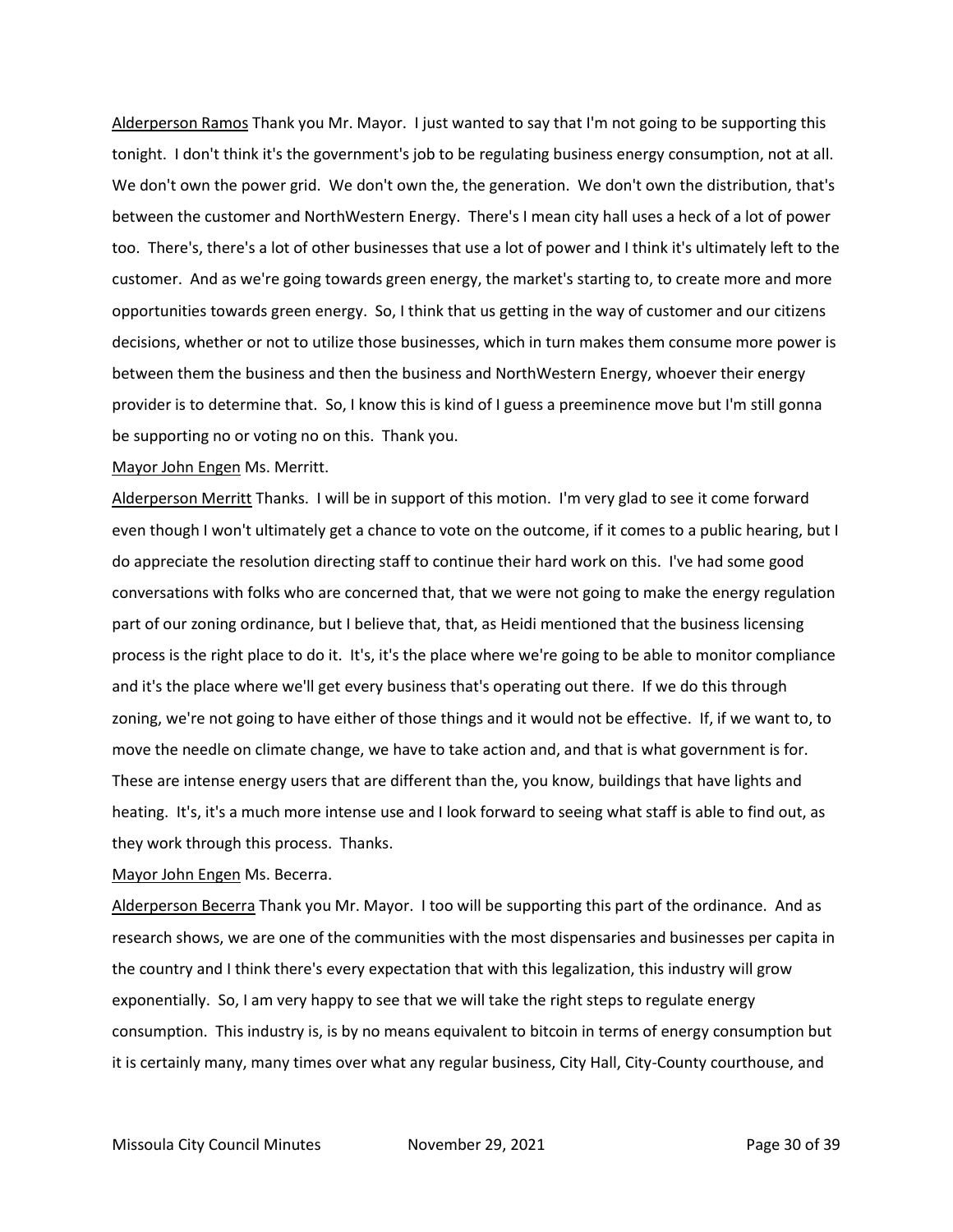Alderperson Ramos Thank you Mr. Mayor. I just wanted to say that I'm not going to be supporting this tonight. I don't think it's the government's job to be regulating business energy consumption, not at all. We don't own the power grid. We don't own the, the generation. We don't own the distribution, that's between the customer and NorthWestern Energy. There's I mean city hall uses a heck of a lot of power too. There's, there's a lot of other businesses that use a lot of power and I think it's ultimately left to the customer. And as we're going towards green energy, the market's starting to, to create more and more opportunities towards green energy. So, I think that us getting in the way of customer and our citizens decisions, whether or not to utilize those businesses, which in turn makes them consume more power is between them the business and then the business and NorthWestern Energy, whoever their energy provider is to determine that. So, I know this is kind of I guess a preeminence move but I'm still gonna be supporting no or voting no on this. Thank you.

#### Mayor John Engen Ms. Merritt.

Alderperson Merritt Thanks. I will be in support of this motion. I'm very glad to see it come forward even though I won't ultimately get a chance to vote on the outcome, if it comes to a public hearing, but I do appreciate the resolution directing staff to continue their hard work on this. I've had some good conversations with folks who are concerned that, that we were not going to make the energy regulation part of our zoning ordinance, but I believe that, that, as Heidi mentioned that the business licensing process is the right place to do it. It's, it's the place where we're going to be able to monitor compliance and it's the place where we'll get every business that's operating out there. If we do this through zoning, we're not going to have either of those things and it would not be effective. If, if we want to, to move the needle on climate change, we have to take action and, and that is what government is for. These are intense energy users that are different than the, you know, buildings that have lights and heating. It's, it's a much more intense use and I look forward to seeing what staff is able to find out, as they work through this process. Thanks.

#### Mayor John Engen Ms. Becerra.

Alderperson Becerra Thank you Mr. Mayor. I too will be supporting this part of the ordinance. And as research shows, we are one of the communities with the most dispensaries and businesses per capita in the country and I think there's every expectation that with this legalization, this industry will grow exponentially. So, I am very happy to see that we will take the right steps to regulate energy consumption. This industry is, is by no means equivalent to bitcoin in terms of energy consumption but it is certainly many, many times over what any regular business, City Hall, City-County courthouse, and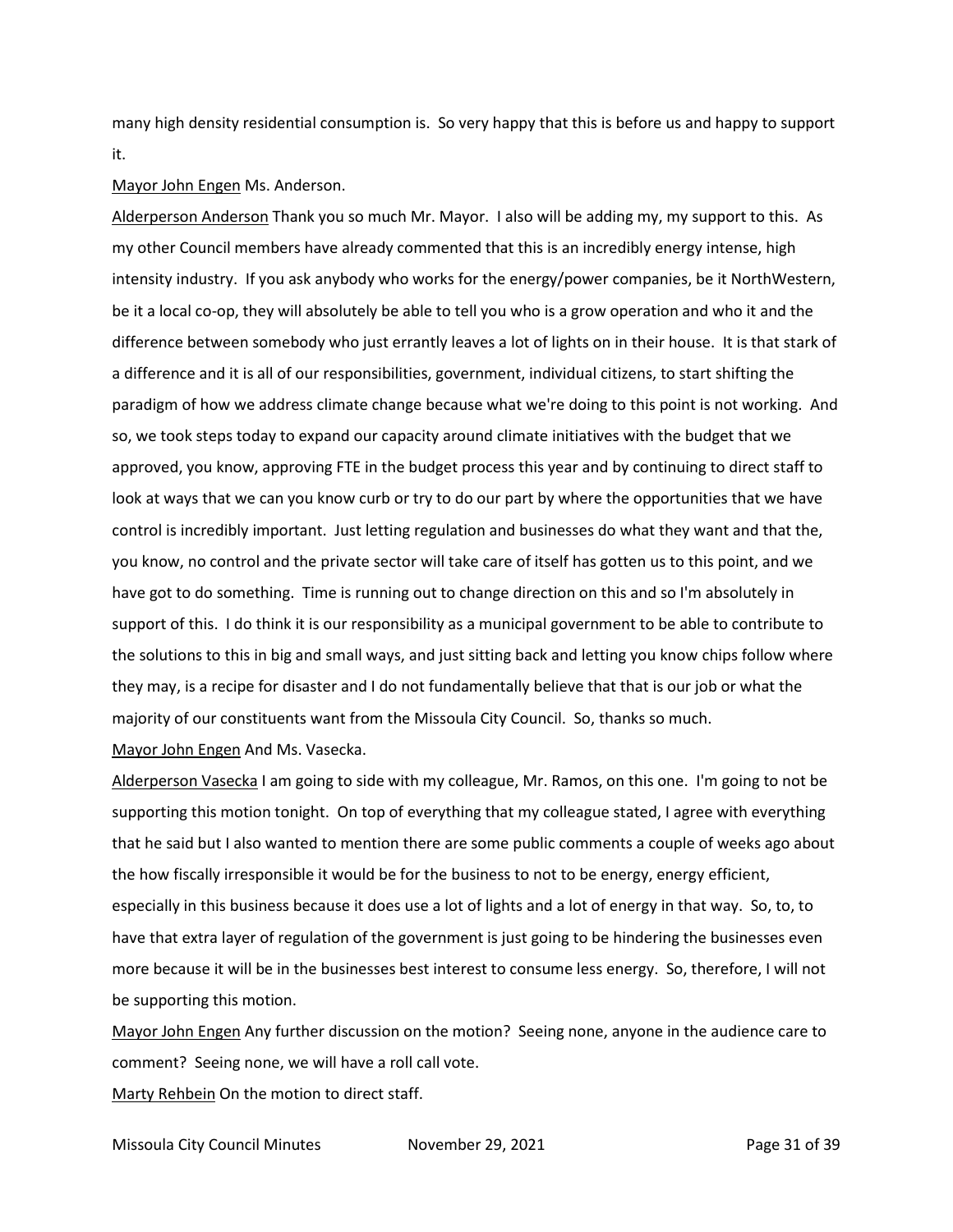many high density residential consumption is. So very happy that this is before us and happy to support it.

#### Mayor John Engen Ms. Anderson.

Alderperson Anderson Thank you so much Mr. Mayor. I also will be adding my, my support to this. As my other Council members have already commented that this is an incredibly energy intense, high intensity industry. If you ask anybody who works for the energy/power companies, be it NorthWestern, be it a local co-op, they will absolutely be able to tell you who is a grow operation and who it and the difference between somebody who just errantly leaves a lot of lights on in their house. It is that stark of a difference and it is all of our responsibilities, government, individual citizens, to start shifting the paradigm of how we address climate change because what we're doing to this point is not working. And so, we took steps today to expand our capacity around climate initiatives with the budget that we approved, you know, approving FTE in the budget process this year and by continuing to direct staff to look at ways that we can you know curb or try to do our part by where the opportunities that we have control is incredibly important. Just letting regulation and businesses do what they want and that the, you know, no control and the private sector will take care of itself has gotten us to this point, and we have got to do something. Time is running out to change direction on this and so I'm absolutely in support of this. I do think it is our responsibility as a municipal government to be able to contribute to the solutions to this in big and small ways, and just sitting back and letting you know chips follow where they may, is a recipe for disaster and I do not fundamentally believe that that is our job or what the majority of our constituents want from the Missoula City Council. So, thanks so much.

Mayor John Engen And Ms. Vasecka.

Alderperson Vasecka I am going to side with my colleague, Mr. Ramos, on this one. I'm going to not be supporting this motion tonight. On top of everything that my colleague stated, I agree with everything that he said but I also wanted to mention there are some public comments a couple of weeks ago about the how fiscally irresponsible it would be for the business to not to be energy, energy efficient, especially in this business because it does use a lot of lights and a lot of energy in that way. So, to, to have that extra layer of regulation of the government is just going to be hindering the businesses even more because it will be in the businesses best interest to consume less energy. So, therefore, I will not be supporting this motion.

Mayor John Engen Any further discussion on the motion? Seeing none, anyone in the audience care to comment? Seeing none, we will have a roll call vote.

Marty Rehbein On the motion to direct staff.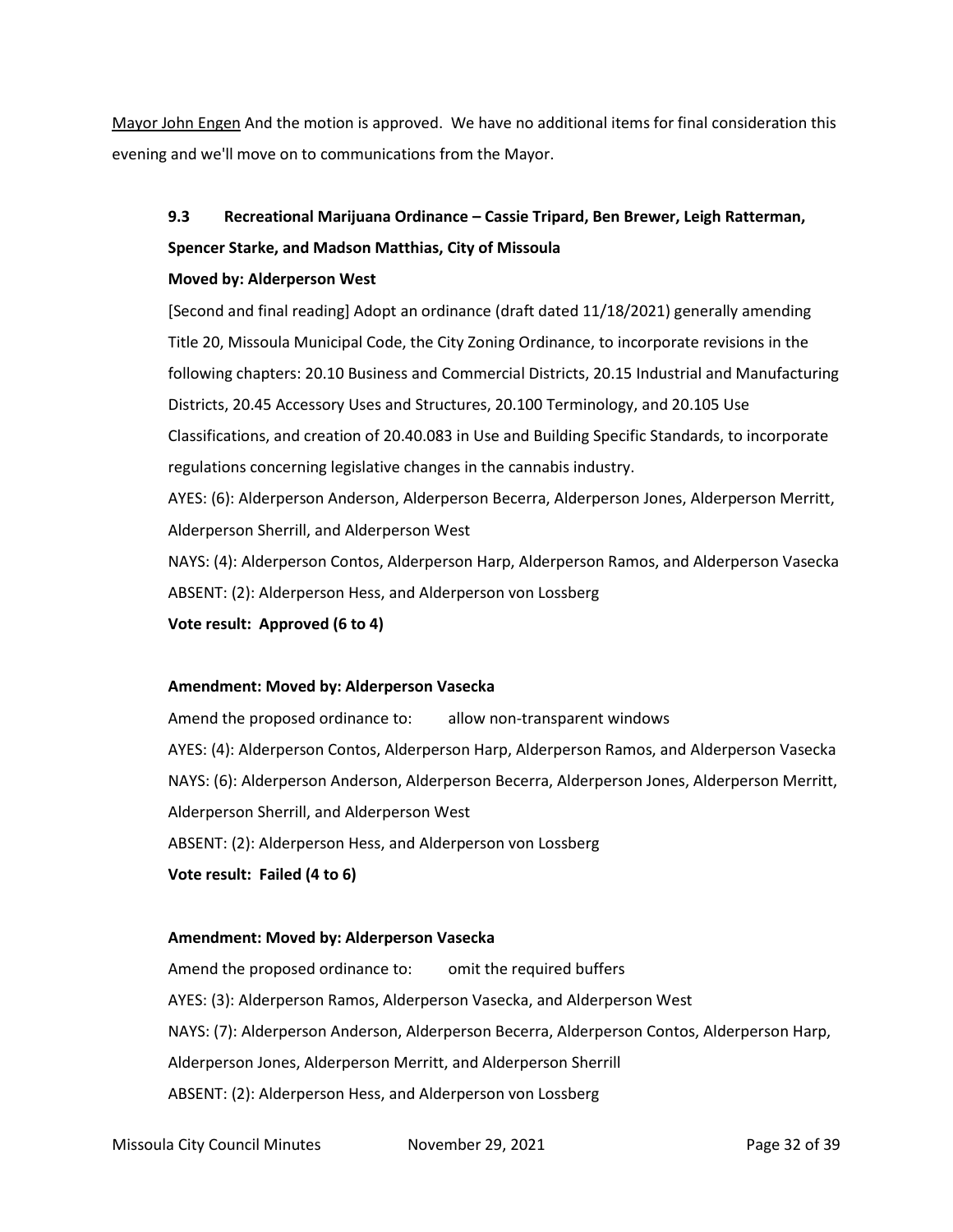Mayor John Engen And the motion is approved. We have no additional items for final consideration this evening and we'll move on to communications from the Mayor.

# **9.3 Recreational Marijuana Ordinance – Cassie Tripard, Ben Brewer, Leigh Ratterman, Spencer Starke, and Madson Matthias, City of Missoula**

# **Moved by: Alderperson West**

[Second and final reading] Adopt an ordinance (draft dated 11/18/2021) generally amending Title 20, Missoula Municipal Code, the City Zoning Ordinance, to incorporate revisions in the following chapters: 20.10 Business and Commercial Districts, 20.15 Industrial and Manufacturing Districts, 20.45 Accessory Uses and Structures, 20.100 Terminology, and 20.105 Use Classifications, and creation of 20.40.083 in Use and Building Specific Standards, to incorporate regulations concerning legislative changes in the cannabis industry. AYES: (6): Alderperson Anderson, Alderperson Becerra, Alderperson Jones, Alderperson Merritt,

Alderperson Sherrill, and Alderperson West

NAYS: (4): Alderperson Contos, Alderperson Harp, Alderperson Ramos, and Alderperson Vasecka ABSENT: (2): Alderperson Hess, and Alderperson von Lossberg

**Vote result: Approved (6 to 4)**

# **Amendment: Moved by: Alderperson Vasecka**

Amend the proposed ordinance to: allow non-transparent windows AYES: (4): Alderperson Contos, Alderperson Harp, Alderperson Ramos, and Alderperson Vasecka NAYS: (6): Alderperson Anderson, Alderperson Becerra, Alderperson Jones, Alderperson Merritt, Alderperson Sherrill, and Alderperson West ABSENT: (2): Alderperson Hess, and Alderperson von Lossberg **Vote result: Failed (4 to 6)**

# **Amendment: Moved by: Alderperson Vasecka**

Amend the proposed ordinance to: omit the required buffers AYES: (3): Alderperson Ramos, Alderperson Vasecka, and Alderperson West NAYS: (7): Alderperson Anderson, Alderperson Becerra, Alderperson Contos, Alderperson Harp, Alderperson Jones, Alderperson Merritt, and Alderperson Sherrill ABSENT: (2): Alderperson Hess, and Alderperson von Lossberg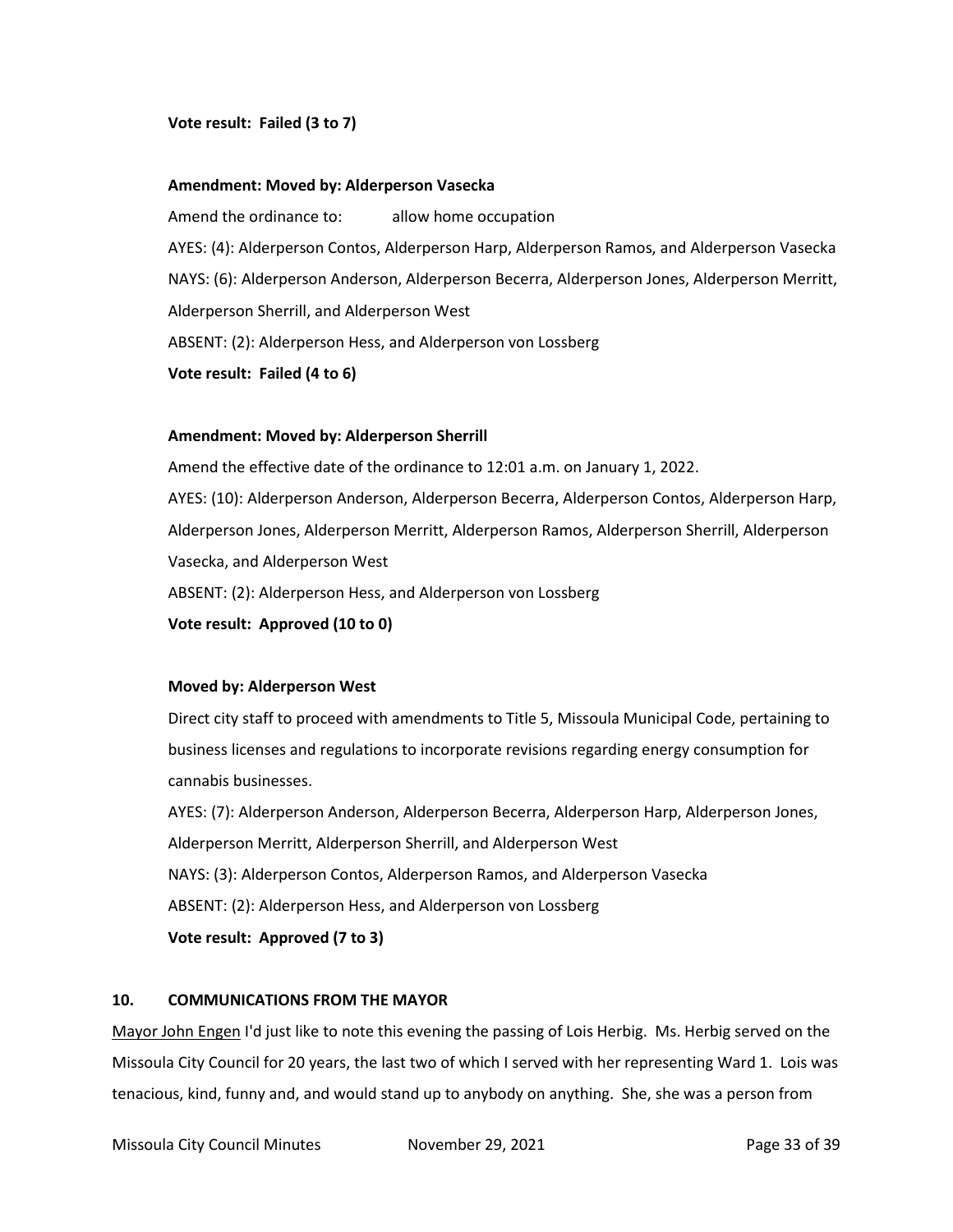### **Vote result: Failed (3 to 7)**

#### **Amendment: Moved by: Alderperson Vasecka**

Amend the ordinance to: allow home occupation AYES: (4): Alderperson Contos, Alderperson Harp, Alderperson Ramos, and Alderperson Vasecka NAYS: (6): Alderperson Anderson, Alderperson Becerra, Alderperson Jones, Alderperson Merritt, Alderperson Sherrill, and Alderperson West ABSENT: (2): Alderperson Hess, and Alderperson von Lossberg

**Vote result: Failed (4 to 6)**

#### **Amendment: Moved by: Alderperson Sherrill**

Amend the effective date of the ordinance to 12:01 a.m. on January 1, 2022. AYES: (10): Alderperson Anderson, Alderperson Becerra, Alderperson Contos, Alderperson Harp, Alderperson Jones, Alderperson Merritt, Alderperson Ramos, Alderperson Sherrill, Alderperson Vasecka, and Alderperson West ABSENT: (2): Alderperson Hess, and Alderperson von Lossberg **Vote result: Approved (10 to 0)**

#### **Moved by: Alderperson West**

Direct city staff to proceed with amendments to Title 5, Missoula Municipal Code, pertaining to business licenses and regulations to incorporate revisions regarding energy consumption for cannabis businesses.

AYES: (7): Alderperson Anderson, Alderperson Becerra, Alderperson Harp, Alderperson Jones, Alderperson Merritt, Alderperson Sherrill, and Alderperson West NAYS: (3): Alderperson Contos, Alderperson Ramos, and Alderperson Vasecka ABSENT: (2): Alderperson Hess, and Alderperson von Lossberg **Vote result: Approved (7 to 3)**

# **10. COMMUNICATIONS FROM THE MAYOR**

Mayor John Engen I'd just like to note this evening the passing of Lois Herbig. Ms. Herbig served on the Missoula City Council for 20 years, the last two of which I served with her representing Ward 1. Lois was tenacious, kind, funny and, and would stand up to anybody on anything. She, she was a person from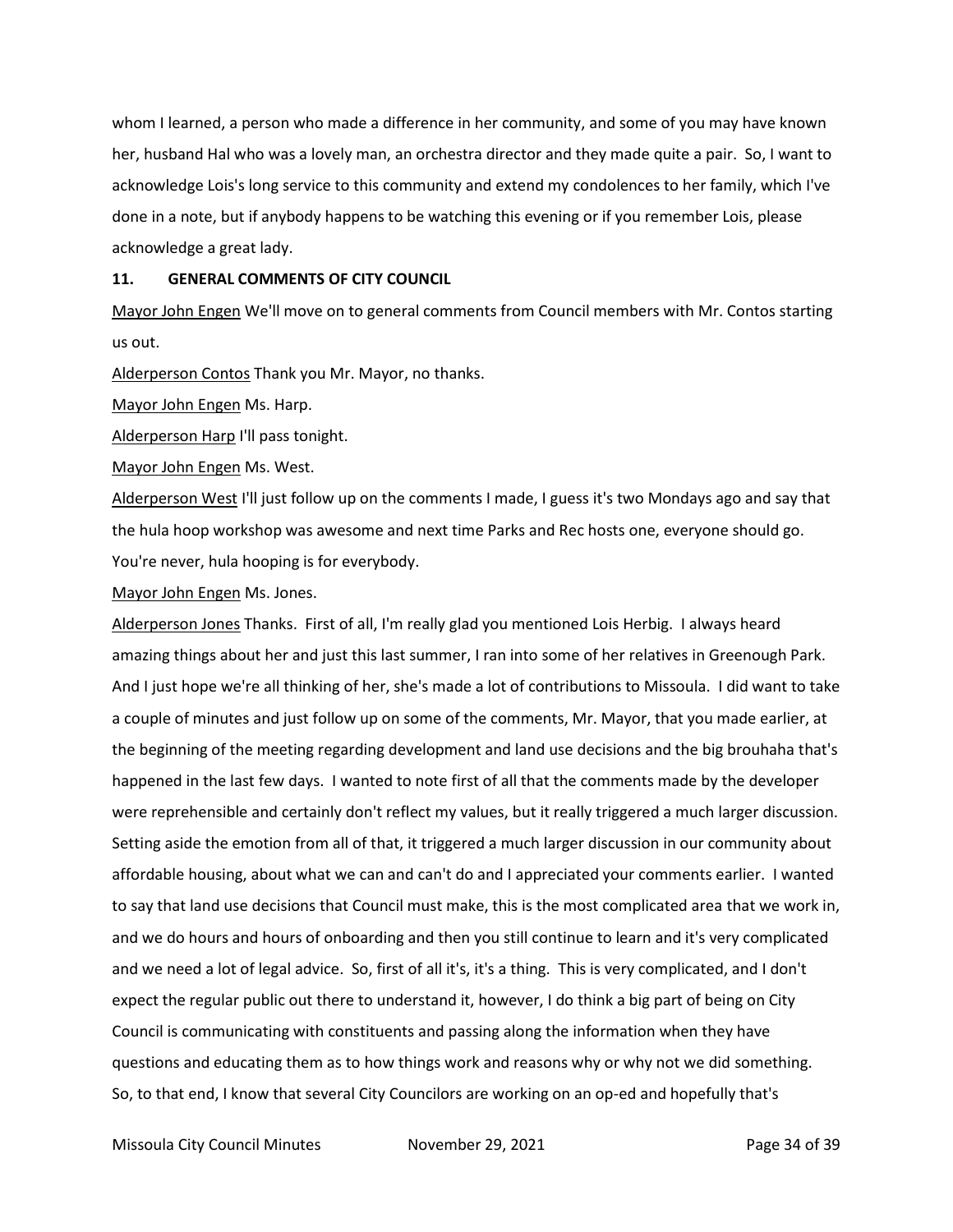whom I learned, a person who made a difference in her community, and some of you may have known her, husband Hal who was a lovely man, an orchestra director and they made quite a pair. So, I want to acknowledge Lois's long service to this community and extend my condolences to her family, which I've done in a note, but if anybody happens to be watching this evening or if you remember Lois, please acknowledge a great lady.

#### **11. GENERAL COMMENTS OF CITY COUNCIL**

Mayor John Engen We'll move on to general comments from Council members with Mr. Contos starting us out.

Alderperson Contos Thank you Mr. Mayor, no thanks.

Mayor John Engen Ms. Harp.

Alderperson Harp I'll pass tonight.

Mayor John Engen Ms. West.

Alderperson West I'll just follow up on the comments I made, I guess it's two Mondays ago and say that the hula hoop workshop was awesome and next time Parks and Rec hosts one, everyone should go. You're never, hula hooping is for everybody.

Mayor John Engen Ms. Jones.

Alderperson Jones Thanks. First of all, I'm really glad you mentioned Lois Herbig. I always heard amazing things about her and just this last summer, I ran into some of her relatives in Greenough Park. And I just hope we're all thinking of her, she's made a lot of contributions to Missoula. I did want to take a couple of minutes and just follow up on some of the comments, Mr. Mayor, that you made earlier, at the beginning of the meeting regarding development and land use decisions and the big brouhaha that's happened in the last few days. I wanted to note first of all that the comments made by the developer were reprehensible and certainly don't reflect my values, but it really triggered a much larger discussion. Setting aside the emotion from all of that, it triggered a much larger discussion in our community about affordable housing, about what we can and can't do and I appreciated your comments earlier. I wanted to say that land use decisions that Council must make, this is the most complicated area that we work in, and we do hours and hours of onboarding and then you still continue to learn and it's very complicated and we need a lot of legal advice. So, first of all it's, it's a thing. This is very complicated, and I don't expect the regular public out there to understand it, however, I do think a big part of being on City Council is communicating with constituents and passing along the information when they have questions and educating them as to how things work and reasons why or why not we did something. So, to that end, I know that several City Councilors are working on an op-ed and hopefully that's

Missoula City Council Minutes **November 29, 2021 Page 34 of 39**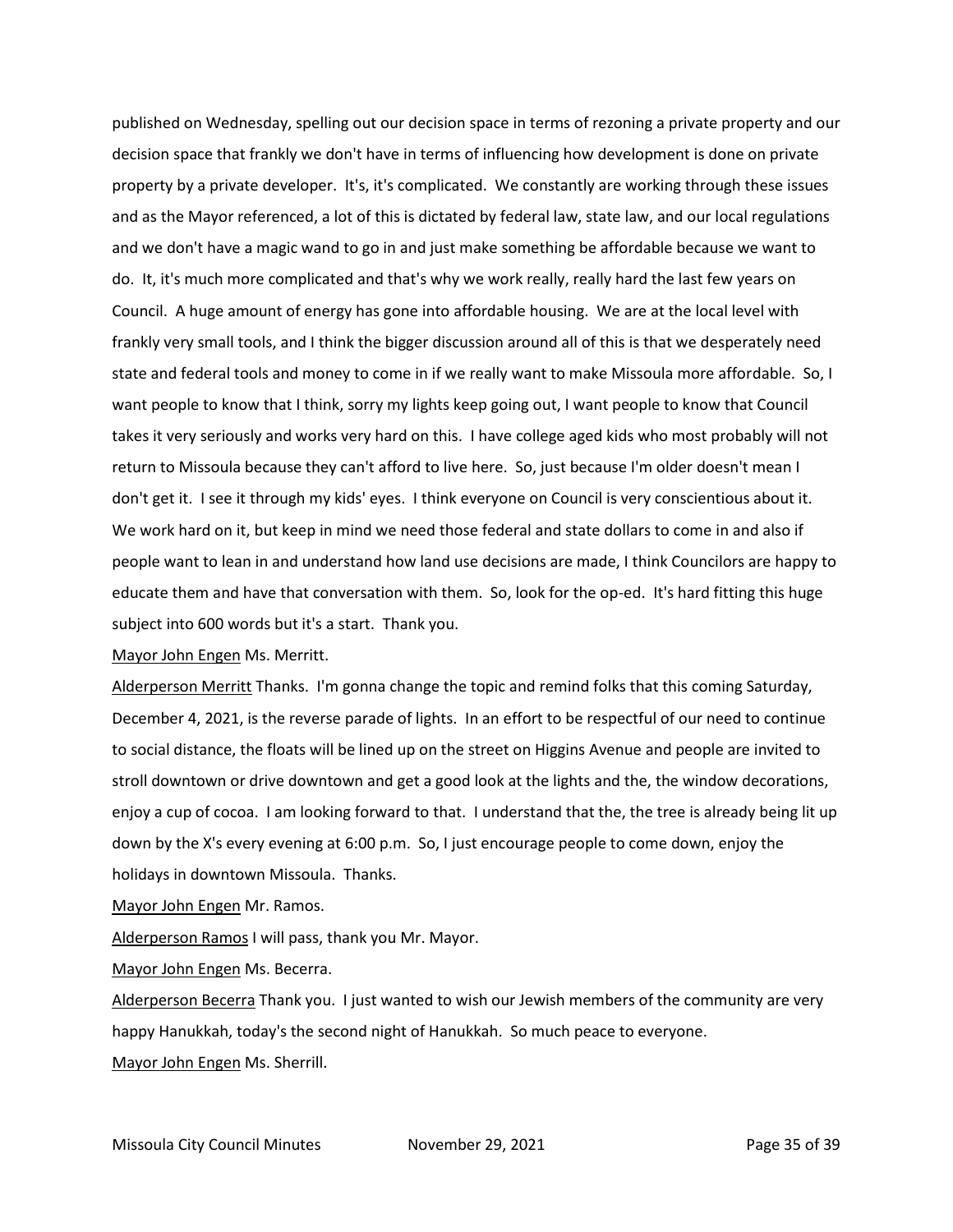published on Wednesday, spelling out our decision space in terms of rezoning a private property and our decision space that frankly we don't have in terms of influencing how development is done on private property by a private developer. It's, it's complicated. We constantly are working through these issues and as the Mayor referenced, a lot of this is dictated by federal law, state law, and our local regulations and we don't have a magic wand to go in and just make something be affordable because we want to do. It, it's much more complicated and that's why we work really, really hard the last few years on Council. A huge amount of energy has gone into affordable housing. We are at the local level with frankly very small tools, and I think the bigger discussion around all of this is that we desperately need state and federal tools and money to come in if we really want to make Missoula more affordable. So, I want people to know that I think, sorry my lights keep going out, I want people to know that Council takes it very seriously and works very hard on this. I have college aged kids who most probably will not return to Missoula because they can't afford to live here. So, just because I'm older doesn't mean I don't get it. I see it through my kids' eyes. I think everyone on Council is very conscientious about it. We work hard on it, but keep in mind we need those federal and state dollars to come in and also if people want to lean in and understand how land use decisions are made, I think Councilors are happy to educate them and have that conversation with them. So, look for the op-ed. It's hard fitting this huge subject into 600 words but it's a start. Thank you.

Mayor John Engen Ms. Merritt.

Alderperson Merritt Thanks. I'm gonna change the topic and remind folks that this coming Saturday, December 4, 2021, is the reverse parade of lights. In an effort to be respectful of our need to continue to social distance, the floats will be lined up on the street on Higgins Avenue and people are invited to stroll downtown or drive downtown and get a good look at the lights and the, the window decorations, enjoy a cup of cocoa. I am looking forward to that. I understand that the, the tree is already being lit up down by the X's every evening at 6:00 p.m. So, I just encourage people to come down, enjoy the holidays in downtown Missoula. Thanks.

Mayor John Engen Mr. Ramos.

Alderperson Ramos I will pass, thank you Mr. Mayor.

Mayor John Engen Ms. Becerra.

Alderperson Becerra Thank you. I just wanted to wish our Jewish members of the community are very happy Hanukkah, today's the second night of Hanukkah. So much peace to everyone. Mayor John Engen Ms. Sherrill.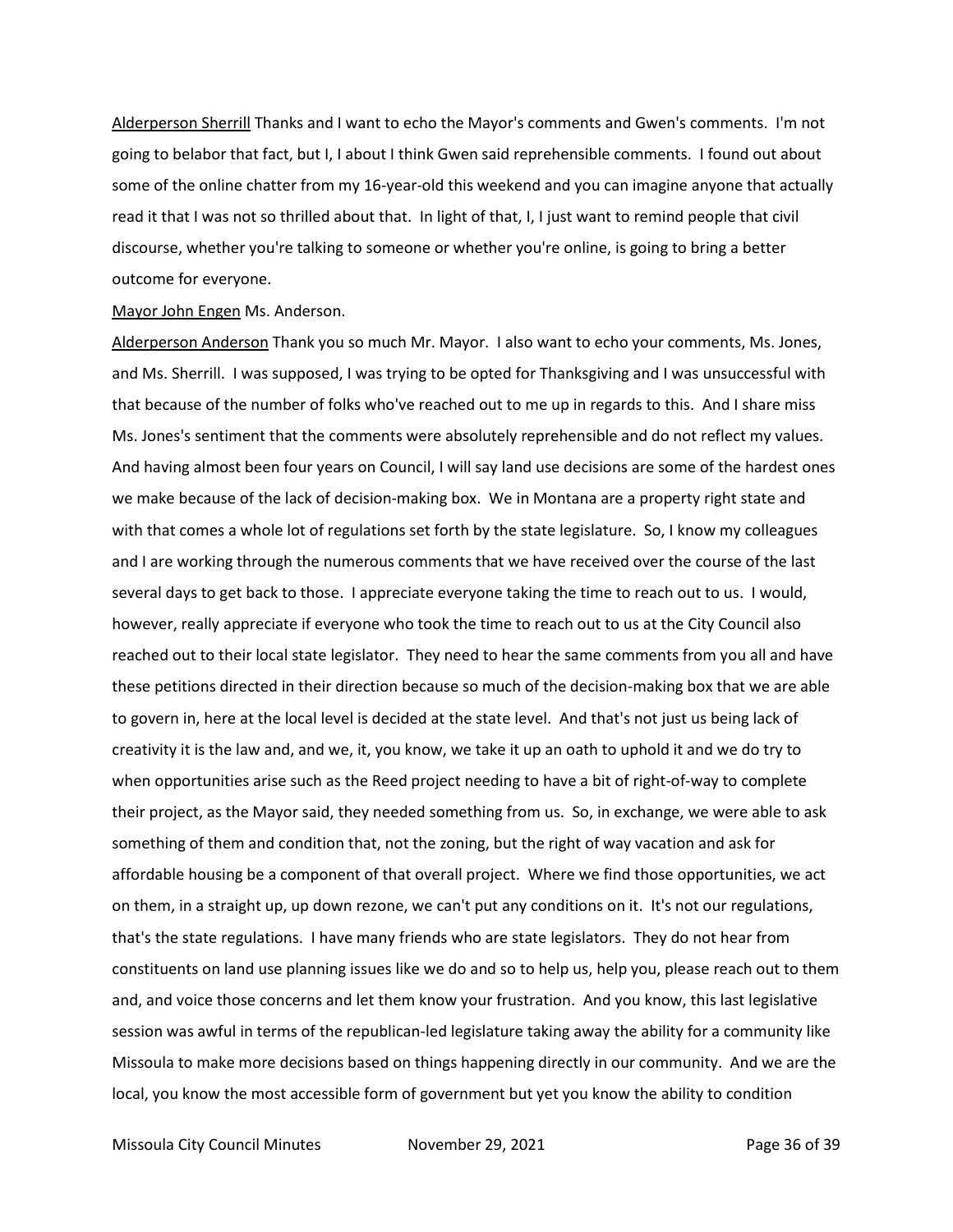Alderperson Sherrill Thanks and I want to echo the Mayor's comments and Gwen's comments. I'm not going to belabor that fact, but I, I about I think Gwen said reprehensible comments. I found out about some of the online chatter from my 16-year-old this weekend and you can imagine anyone that actually read it that I was not so thrilled about that. In light of that, I, I just want to remind people that civil discourse, whether you're talking to someone or whether you're online, is going to bring a better outcome for everyone.

#### Mayor John Engen Ms. Anderson.

Alderperson Anderson Thank you so much Mr. Mayor. I also want to echo your comments, Ms. Jones, and Ms. Sherrill. I was supposed, I was trying to be opted for Thanksgiving and I was unsuccessful with that because of the number of folks who've reached out to me up in regards to this. And I share miss Ms. Jones's sentiment that the comments were absolutely reprehensible and do not reflect my values. And having almost been four years on Council, I will say land use decisions are some of the hardest ones we make because of the lack of decision-making box. We in Montana are a property right state and with that comes a whole lot of regulations set forth by the state legislature. So, I know my colleagues and I are working through the numerous comments that we have received over the course of the last several days to get back to those. I appreciate everyone taking the time to reach out to us. I would, however, really appreciate if everyone who took the time to reach out to us at the City Council also reached out to their local state legislator. They need to hear the same comments from you all and have these petitions directed in their direction because so much of the decision-making box that we are able to govern in, here at the local level is decided at the state level. And that's not just us being lack of creativity it is the law and, and we, it, you know, we take it up an oath to uphold it and we do try to when opportunities arise such as the Reed project needing to have a bit of right-of-way to complete their project, as the Mayor said, they needed something from us. So, in exchange, we were able to ask something of them and condition that, not the zoning, but the right of way vacation and ask for affordable housing be a component of that overall project. Where we find those opportunities, we act on them, in a straight up, up down rezone, we can't put any conditions on it. It's not our regulations, that's the state regulations. I have many friends who are state legislators. They do not hear from constituents on land use planning issues like we do and so to help us, help you, please reach out to them and, and voice those concerns and let them know your frustration. And you know, this last legislative session was awful in terms of the republican-led legislature taking away the ability for a community like Missoula to make more decisions based on things happening directly in our community. And we are the local, you know the most accessible form of government but yet you know the ability to condition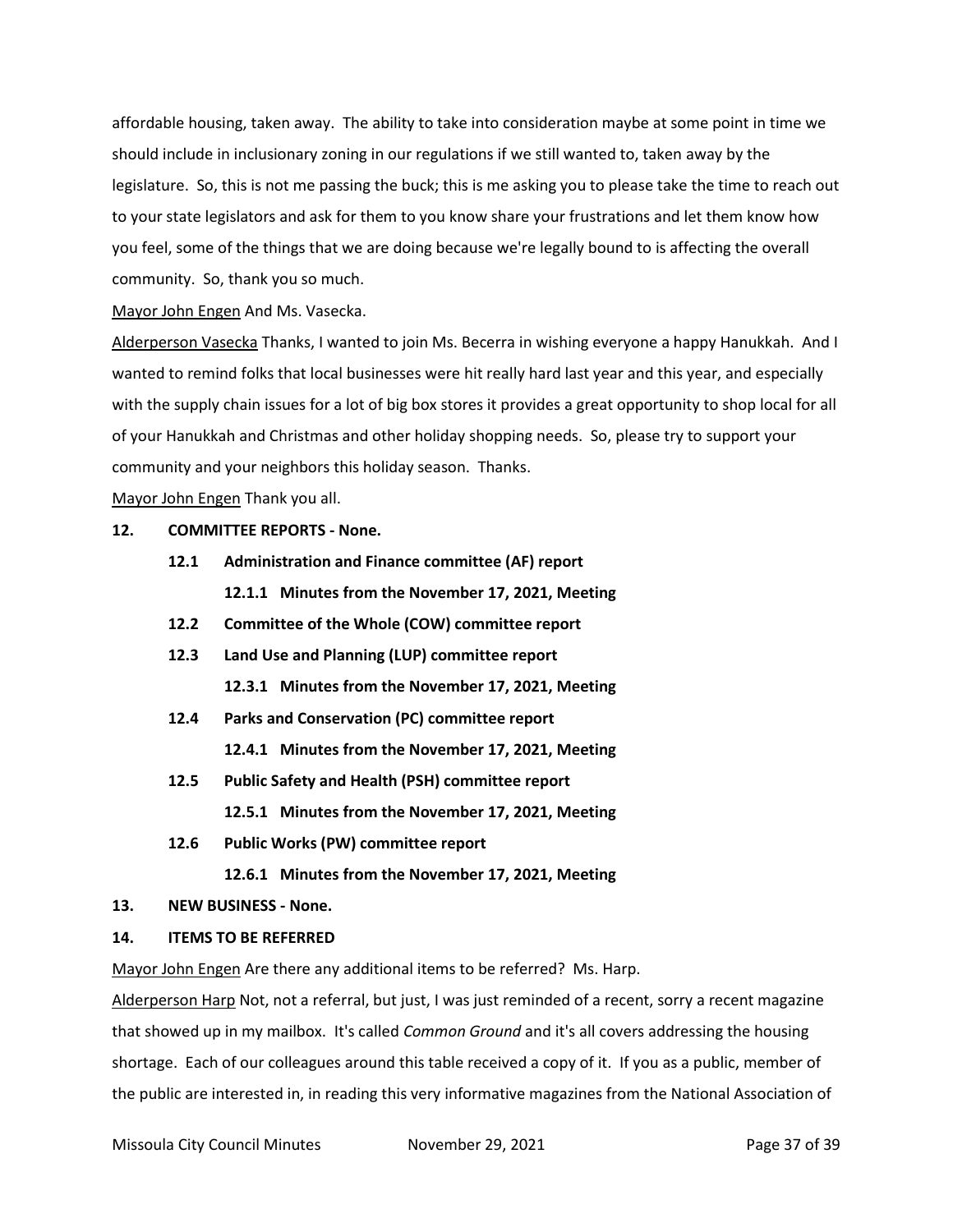affordable housing, taken away. The ability to take into consideration maybe at some point in time we should include in inclusionary zoning in our regulations if we still wanted to, taken away by the legislature. So, this is not me passing the buck; this is me asking you to please take the time to reach out to your state legislators and ask for them to you know share your frustrations and let them know how you feel, some of the things that we are doing because we're legally bound to is affecting the overall community. So, thank you so much.

Mayor John Engen And Ms. Vasecka.

Alderperson Vasecka Thanks, I wanted to join Ms. Becerra in wishing everyone a happy Hanukkah. And I wanted to remind folks that local businesses were hit really hard last year and this year, and especially with the supply chain issues for a lot of big box stores it provides a great opportunity to shop local for all of your Hanukkah and Christmas and other holiday shopping needs. So, please try to support your community and your neighbors this holiday season. Thanks.

Mayor John Engen Thank you all.

# **12. COMMITTEE REPORTS - None.**

- **12.1 Administration and Finance committee (AF) report 12.1.1 Minutes from the November 17, 2021, Meeting**
- **12.2 Committee of the Whole (COW) committee report**
- **12.3 Land Use and Planning (LUP) committee report 12.3.1 Minutes from the November 17, 2021, Meeting**
- **12.4 Parks and Conservation (PC) committee report 12.4.1 Minutes from the November 17, 2021, Meeting**
- **12.5 Public Safety and Health (PSH) committee report 12.5.1 Minutes from the November 17, 2021, Meeting**
- **12.6 Public Works (PW) committee report**
	- **12.6.1 Minutes from the November 17, 2021, Meeting**

#### **13. NEW BUSINESS - None.**

#### **14. ITEMS TO BE REFERRED**

Mayor John Engen Are there any additional items to be referred? Ms. Harp.

Alderperson Harp Not, not a referral, but just, I was just reminded of a recent, sorry a recent magazine that showed up in my mailbox. It's called *Common Ground* and it's all covers addressing the housing shortage. Each of our colleagues around this table received a copy of it. If you as a public, member of the public are interested in, in reading this very informative magazines from the National Association of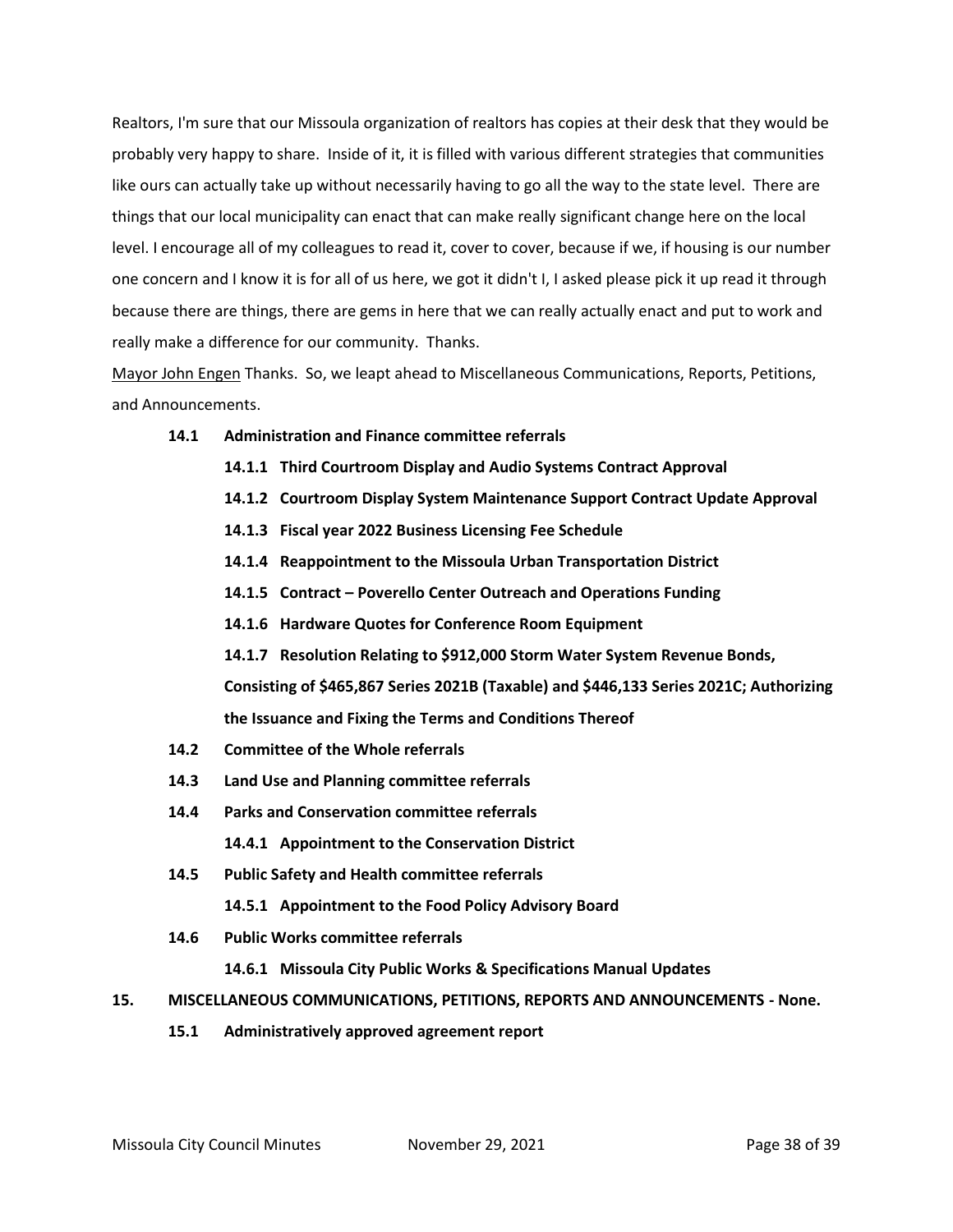Realtors, I'm sure that our Missoula organization of realtors has copies at their desk that they would be probably very happy to share. Inside of it, it is filled with various different strategies that communities like ours can actually take up without necessarily having to go all the way to the state level. There are things that our local municipality can enact that can make really significant change here on the local level. I encourage all of my colleagues to read it, cover to cover, because if we, if housing is our number one concern and I know it is for all of us here, we got it didn't I, I asked please pick it up read it through because there are things, there are gems in here that we can really actually enact and put to work and really make a difference for our community. Thanks.

Mayor John Engen Thanks. So, we leapt ahead to Miscellaneous Communications, Reports, Petitions, and Announcements.

- **14.1 Administration and Finance committee referrals**
	- **14.1.1 Third Courtroom Display and Audio Systems Contract Approval**
	- **14.1.2 Courtroom Display System Maintenance Support Contract Update Approval**
	- **14.1.3 Fiscal year 2022 Business Licensing Fee Schedule**
	- **14.1.4 Reappointment to the Missoula Urban Transportation District**
	- **14.1.5 Contract – Poverello Center Outreach and Operations Funding**
	- **14.1.6 Hardware Quotes for Conference Room Equipment**
	- **14.1.7 Resolution Relating to \$912,000 Storm Water System Revenue Bonds,**

**Consisting of \$465,867 Series 2021B (Taxable) and \$446,133 Series 2021C; Authorizing the Issuance and Fixing the Terms and Conditions Thereof**

- **14.2 Committee of the Whole referrals**
- **14.3 Land Use and Planning committee referrals**
- **14.4 Parks and Conservation committee referrals**

**14.4.1 Appointment to the Conservation District**

**14.5 Public Safety and Health committee referrals**

**14.5.1 Appointment to the Food Policy Advisory Board**

**14.6 Public Works committee referrals**

**14.6.1 Missoula City Public Works & Specifications Manual Updates** 

- **15. MISCELLANEOUS COMMUNICATIONS, PETITIONS, REPORTS AND ANNOUNCEMENTS - None.**
	- **15.1 Administratively approved agreement report**